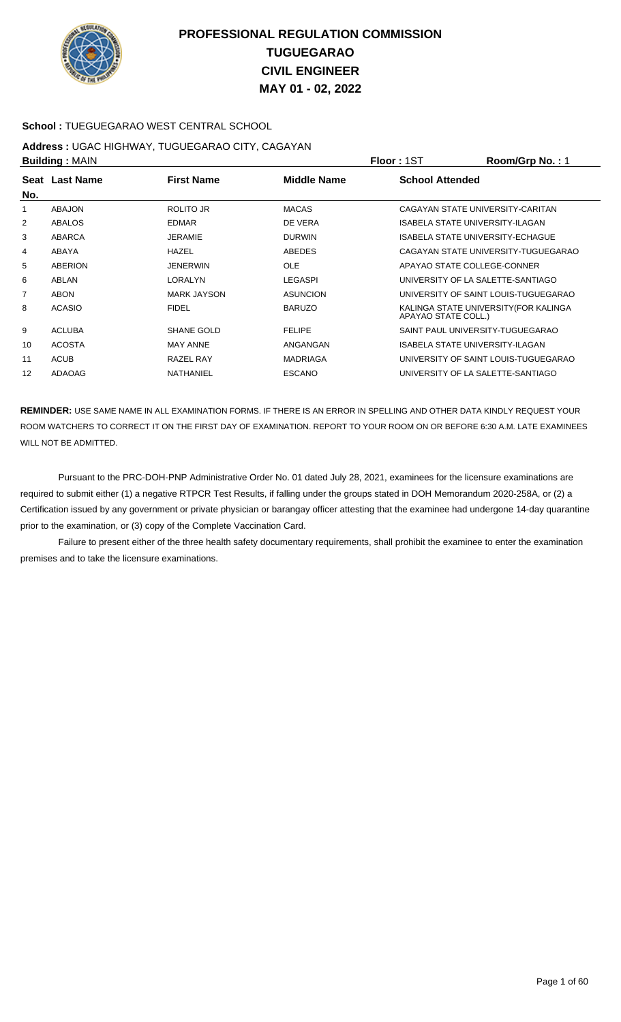

### **School :** TUEGUEGARAO WEST CENTRAL SCHOOL

#### **Address :** UGAC HIGHWAY, TUGUEGARAO CITY, CAGAYAN **Building :** MAIN **Floor :** 1ST **Room/Grp No. :** 1

|                |                    |                 |                        | י ייטוי שוטיוויטש                       |
|----------------|--------------------|-----------------|------------------------|-----------------------------------------|
| Seat Last Name | <b>First Name</b>  | Middle Name     | <b>School Attended</b> |                                         |
|                |                    |                 |                        |                                         |
| <b>ABAJON</b>  | ROLITO JR          | <b>MACAS</b>    |                        | CAGAYAN STATE UNIVERSITY-CARITAN        |
| <b>ABALOS</b>  | <b>EDMAR</b>       | DE VERA         |                        | <b>ISABELA STATE UNIVERSITY-ILAGAN</b>  |
| ABARCA         | <b>JERAMIE</b>     | <b>DURWIN</b>   |                        | <b>ISABELA STATE UNIVERSITY-ECHAGUE</b> |
| ABAYA          | HAZEL              | ABEDES          |                        | CAGAYAN STATE UNIVERSITY-TUGUEGARAO     |
| ABERION        | <b>JENERWIN</b>    | <b>OLE</b>      |                        | APAYAO STATE COLLEGE-CONNER             |
| ABLAN          | <b>LORALYN</b>     | <b>LEGASPI</b>  |                        | UNIVERSITY OF LA SALETTE-SANTIAGO       |
| <b>ABON</b>    | <b>MARK JAYSON</b> | <b>ASUNCION</b> |                        | UNIVERSITY OF SAINT LOUIS-TUGUEGARAO    |
| <b>ACASIO</b>  | <b>FIDEL</b>       | <b>BARUZO</b>   | APAYAO STATE COLL.)    | KALINGA STATE UNIVERSITY (FOR KALINGA   |
| <b>ACLUBA</b>  | SHANE GOLD         | <b>FELIPE</b>   |                        | SAINT PAUL UNIVERSITY-TUGUEGARAO        |
| <b>ACOSTA</b>  | <b>MAY ANNE</b>    | ANGANGAN        |                        | ISABELA STATE UNIVERSITY-ILAGAN         |
| <b>ACUB</b>    | RAZEL RAY          | <b>MADRIAGA</b> |                        | UNIVERSITY OF SAINT LOUIS-TUGUEGARAO    |
| <b>ADAOAG</b>  | <b>NATHANIEL</b>   | <b>ESCANO</b>   |                        | UNIVERSITY OF LA SALETTE-SANTIAGO       |
|                | <b>Punung.</b> WAR |                 |                        | .                                       |

**REMINDER:** USE SAME NAME IN ALL EXAMINATION FORMS. IF THERE IS AN ERROR IN SPELLING AND OTHER DATA KINDLY REQUEST YOUR ROOM WATCHERS TO CORRECT IT ON THE FIRST DAY OF EXAMINATION. REPORT TO YOUR ROOM ON OR BEFORE 6:30 A.M. LATE EXAMINEES WILL NOT BE ADMITTED.

 Pursuant to the PRC-DOH-PNP Administrative Order No. 01 dated July 28, 2021, examinees for the licensure examinations are required to submit either (1) a negative RTPCR Test Results, if falling under the groups stated in DOH Memorandum 2020-258A, or (2) a Certification issued by any government or private physician or barangay officer attesting that the examinee had undergone 14-day quarantine prior to the examination, or (3) copy of the Complete Vaccination Card.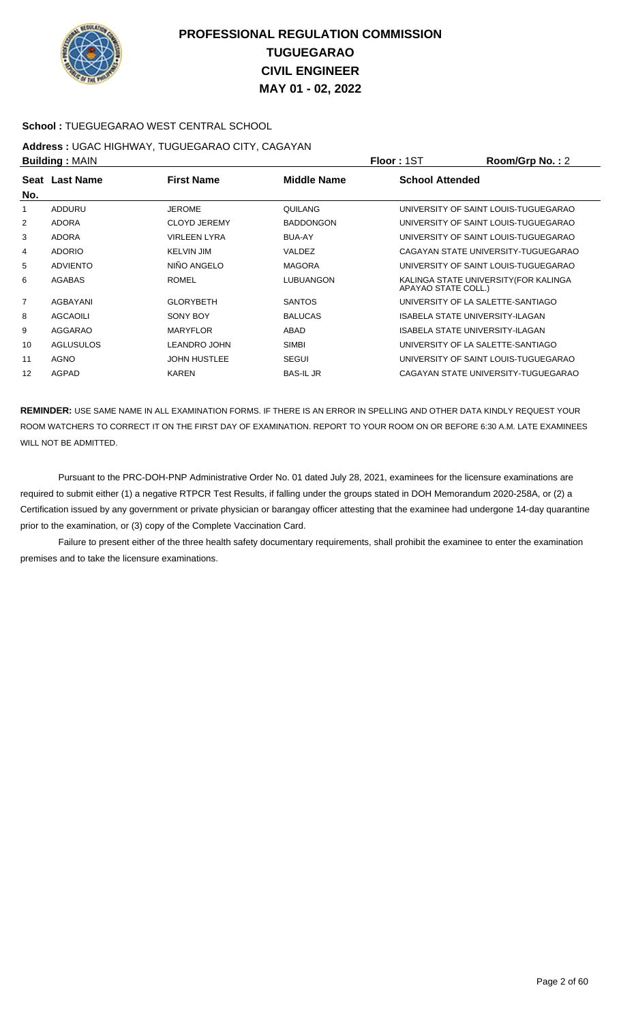

### **School :** TUEGUEGARAO WEST CENTRAL SCHOOL

#### **Address :** UGAC HIGHWAY, TUGUEGARAO CITY, CAGAYAN **Building :** MAIN **Floor :** 1ST **Room/Grp No. :** 2

|     | рананга гилипт   |                     |                    | .                                                            |
|-----|------------------|---------------------|--------------------|--------------------------------------------------------------|
| No. | Seat Last Name   | <b>First Name</b>   | <b>Middle Name</b> | <b>School Attended</b>                                       |
|     | ADDURU           | <b>JEROME</b>       | QUILANG            | UNIVERSITY OF SAINT LOUIS-TUGUEGARAO                         |
| 2   | <b>ADORA</b>     | <b>CLOYD JEREMY</b> | <b>BADDONGON</b>   | UNIVERSITY OF SAINT LOUIS-TUGUEGARAO                         |
| 3   | <b>ADORA</b>     | <b>VIRLEEN LYRA</b> | <b>BUA-AY</b>      | UNIVERSITY OF SAINT LOUIS-TUGUEGARAO                         |
| 4   | <b>ADORIO</b>    | <b>KELVIN JIM</b>   | VALDEZ             | CAGAYAN STATE UNIVERSITY-TUGUEGARAO                          |
| 5   | <b>ADVIENTO</b>  | NIÑO ANGELO         | <b>MAGORA</b>      | UNIVERSITY OF SAINT LOUIS-TUGUEGARAO                         |
| 6   | AGABAS           | <b>ROMEL</b>        | <b>LUBUANGON</b>   | KALINGA STATE UNIVERSITY (FOR KALINGA<br>APAYAO STATE COLL.) |
| 7   | AGBAYANI         | <b>GLORYBETH</b>    | <b>SANTOS</b>      | UNIVERSITY OF LA SALETTE-SANTIAGO                            |
| 8   | <b>AGCAOILI</b>  | SONY BOY            | <b>BALUCAS</b>     | <b>ISABELA STATE UNIVERSITY-ILAGAN</b>                       |
| 9   | <b>AGGARAO</b>   | <b>MARYFLOR</b>     | ABAD               | ISABELA STATE UNIVERSITY-ILAGAN                              |
| 10  | <b>AGLUSULOS</b> | <b>LEANDRO JOHN</b> | <b>SIMBI</b>       | UNIVERSITY OF LA SALETTE-SANTIAGO                            |
| 11  | <b>AGNO</b>      | <b>JOHN HUSTLEE</b> | <b>SEGUI</b>       | UNIVERSITY OF SAINT LOUIS-TUGUEGARAO                         |
| 12  | AGPAD            | KAREN               | <b>BAS-IL JR</b>   | CAGAYAN STATE UNIVERSITY-TUGUEGARAO                          |

**REMINDER:** USE SAME NAME IN ALL EXAMINATION FORMS. IF THERE IS AN ERROR IN SPELLING AND OTHER DATA KINDLY REQUEST YOUR ROOM WATCHERS TO CORRECT IT ON THE FIRST DAY OF EXAMINATION. REPORT TO YOUR ROOM ON OR BEFORE 6:30 A.M. LATE EXAMINEES WILL NOT BE ADMITTED.

 Pursuant to the PRC-DOH-PNP Administrative Order No. 01 dated July 28, 2021, examinees for the licensure examinations are required to submit either (1) a negative RTPCR Test Results, if falling under the groups stated in DOH Memorandum 2020-258A, or (2) a Certification issued by any government or private physician or barangay officer attesting that the examinee had undergone 14-day quarantine prior to the examination, or (3) copy of the Complete Vaccination Card.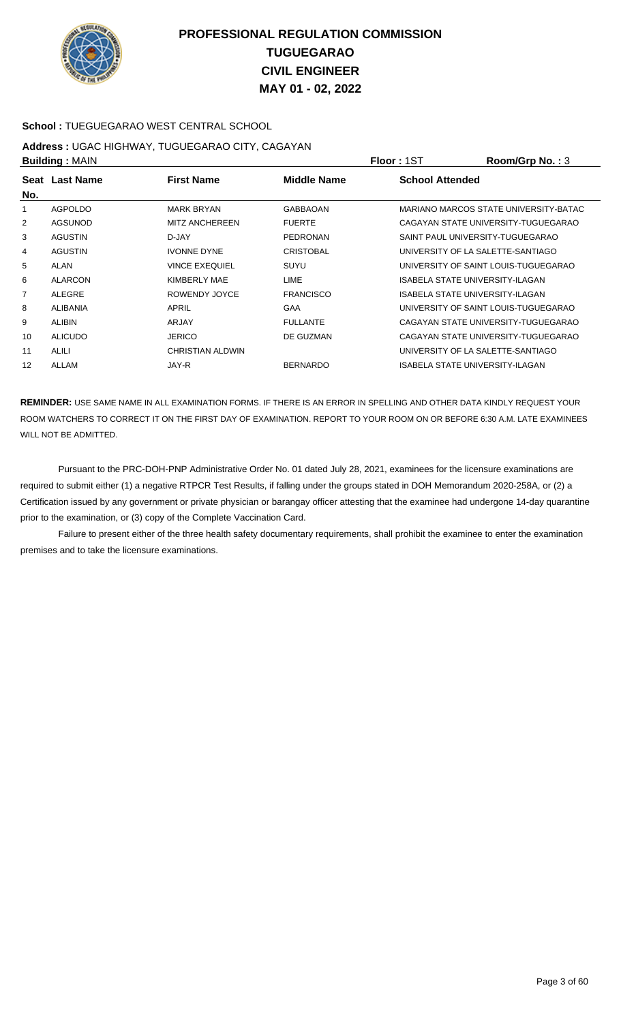

### **School :** TUEGUEGARAO WEST CENTRAL SCHOOL

### **Address :** UGAC HIGHWAY, TUGUEGARAO CITY, CAGAYAN **Building :** MAIN **Floor :** 1ST **Room/Grp No. :** 3

|     | P              |                       |                  | 1 IVVI 1 IVI                          |
|-----|----------------|-----------------------|------------------|---------------------------------------|
| No. | Seat Last Name | <b>First Name</b>     | Middle Name      | <b>School Attended</b>                |
|     | <b>AGPOLDO</b> | <b>MARK BRYAN</b>     | <b>GABBAOAN</b>  | MARIANO MARCOS STATE UNIVERSITY-BATAC |
| 2   | AGSUNOD        | <b>MITZ ANCHEREEN</b> | <b>FUERTE</b>    | CAGAYAN STATE UNIVERSITY-TUGUEGARAO   |
| 3   | <b>AGUSTIN</b> | D-JAY                 | <b>PEDRONAN</b>  | SAINT PAUL UNIVERSITY-TUGUEGARAO      |
| 4   | <b>AGUSTIN</b> | <b>IVONNE DYNE</b>    | <b>CRISTOBAL</b> | UNIVERSITY OF LA SALETTE-SANTIAGO     |
| 5   | <b>ALAN</b>    | <b>VINCE EXEQUIEL</b> | SUYU             | UNIVERSITY OF SAINT LOUIS-TUGUEGARAO  |
| 6   | <b>ALARCON</b> | KIMBERLY MAE          | <b>LIME</b>      | ISABELA STATE UNIVERSITY-ILAGAN       |
| 7   | <b>ALEGRE</b>  | ROWENDY JOYCE         | <b>FRANCISCO</b> | ISABELA STATE UNIVERSITY-ILAGAN       |
| 8   | ALIBANIA       | APRIL                 | <b>GAA</b>       | UNIVERSITY OF SAINT LOUIS-TUGUEGARAO  |
| 9   | ALIBIN         | ARJAY                 | <b>FULLANTE</b>  | CAGAYAN STATE UNIVERSITY-TUGUEGARAO   |
| 10  | <b>ALICUDO</b> | <b>JERICO</b>         | DE GUZMAN        | CAGAYAN STATE UNIVERSITY-TUGUEGARAO   |
| 11  | <b>ALILI</b>   | CHRISTIAN ALDWIN      |                  | UNIVERSITY OF LA SALETTE-SANTIAGO     |
| 12  | ALLAM          | JAY-R                 | <b>BERNARDO</b>  | ISABELA STATE UNIVERSITY-ILAGAN       |
|     |                |                       |                  |                                       |

**REMINDER:** USE SAME NAME IN ALL EXAMINATION FORMS. IF THERE IS AN ERROR IN SPELLING AND OTHER DATA KINDLY REQUEST YOUR ROOM WATCHERS TO CORRECT IT ON THE FIRST DAY OF EXAMINATION. REPORT TO YOUR ROOM ON OR BEFORE 6:30 A.M. LATE EXAMINEES WILL NOT BE ADMITTED.

 Pursuant to the PRC-DOH-PNP Administrative Order No. 01 dated July 28, 2021, examinees for the licensure examinations are required to submit either (1) a negative RTPCR Test Results, if falling under the groups stated in DOH Memorandum 2020-258A, or (2) a Certification issued by any government or private physician or barangay officer attesting that the examinee had undergone 14-day quarantine prior to the examination, or (3) copy of the Complete Vaccination Card.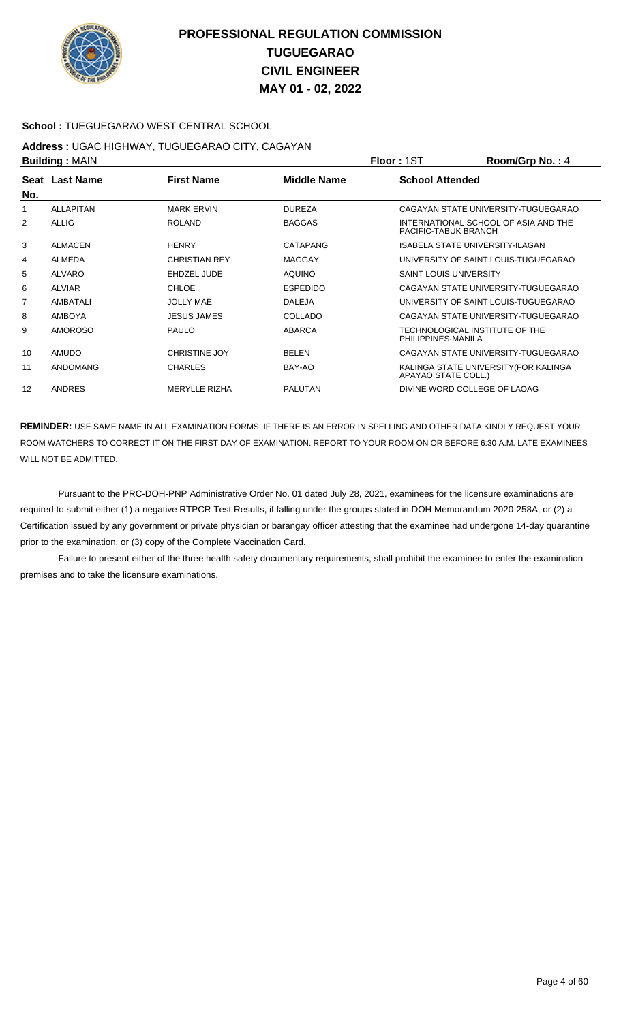

### **School :** TUEGUEGARAO WEST CENTRAL SCHOOL

#### **Address :** UGAC HIGHWAY, TUGUEGARAO CITY, CAGAYAN **Building :** MAIN **Floor :** 1ST **Room/Grp No. :** 4

|                | <b>DUILUILLY</b> ULAIN |                      |                    | 1 IUU 1 1 U 1<br>110011110111101117                          |
|----------------|------------------------|----------------------|--------------------|--------------------------------------------------------------|
| No.            | Seat Last Name         | <b>First Name</b>    | <b>Middle Name</b> | <b>School Attended</b>                                       |
| 1              | <b>ALLAPITAN</b>       | <b>MARK ERVIN</b>    | <b>DUREZA</b>      | CAGAYAN STATE UNIVERSITY-TUGUEGARAO                          |
| 2              | ALLIG                  | <b>ROLAND</b>        | <b>BAGGAS</b>      | INTERNATIONAL SCHOOL OF ASIA AND THE<br>PACIFIC-TABUK BRANCH |
| 3              | <b>ALMACEN</b>         | <b>HENRY</b>         | CATAPANG           | <b>ISABELA STATE UNIVERSITY-ILAGAN</b>                       |
| 4              | <b>ALMEDA</b>          | <b>CHRISTIAN REY</b> | <b>MAGGAY</b>      | UNIVERSITY OF SAINT LOUIS-TUGUEGARAO                         |
| 5              | <b>ALVARO</b>          | EHDZEL JUDE          | <b>AQUINO</b>      | <b>SAINT LOUIS UNIVERSITY</b>                                |
| 6              | <b>ALVIAR</b>          | <b>CHLOE</b>         | <b>ESPEDIDO</b>    | CAGAYAN STATE UNIVERSITY-TUGUEGARAO                          |
| $\overline{7}$ | <b>AMBATALI</b>        | <b>JOLLY MAE</b>     | <b>DALEJA</b>      | UNIVERSITY OF SAINT LOUIS-TUGUEGARAO                         |
| 8              | <b>AMBOYA</b>          | <b>JESUS JAMES</b>   | COLLADO            | CAGAYAN STATE UNIVERSITY-TUGUEGARAO                          |
| 9              | <b>AMOROSO</b>         | <b>PAULO</b>         | <b>ABARCA</b>      | TECHNOLOGICAL INSTITUTE OF THE<br>PHILIPPINES-MANILA         |
| 10             | <b>AMUDO</b>           | <b>CHRISTINE JOY</b> | <b>BELEN</b>       | CAGAYAN STATE UNIVERSITY-TUGUEGARAO                          |
| 11             | <b>ANDOMANG</b>        | <b>CHARLES</b>       | BAY-AO             | KALINGA STATE UNIVERSITY (FOR KALINGA<br>APAYAO STATE COLL.) |
| 12             | <b>ANDRES</b>          | <b>MERYLLE RIZHA</b> | <b>PALUTAN</b>     | DIVINE WORD COLLEGE OF LAOAG                                 |

**REMINDER:** USE SAME NAME IN ALL EXAMINATION FORMS. IF THERE IS AN ERROR IN SPELLING AND OTHER DATA KINDLY REQUEST YOUR ROOM WATCHERS TO CORRECT IT ON THE FIRST DAY OF EXAMINATION. REPORT TO YOUR ROOM ON OR BEFORE 6:30 A.M. LATE EXAMINEES WILL NOT BE ADMITTED.

 Pursuant to the PRC-DOH-PNP Administrative Order No. 01 dated July 28, 2021, examinees for the licensure examinations are required to submit either (1) a negative RTPCR Test Results, if falling under the groups stated in DOH Memorandum 2020-258A, or (2) a Certification issued by any government or private physician or barangay officer attesting that the examinee had undergone 14-day quarantine prior to the examination, or (3) copy of the Complete Vaccination Card.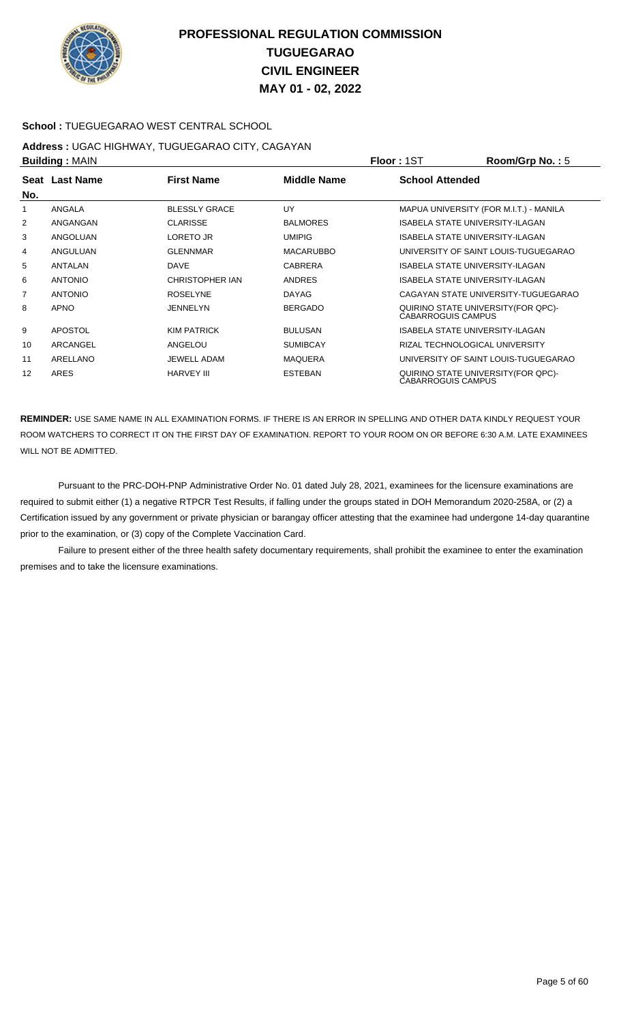

### **School :** TUEGUEGARAO WEST CENTRAL SCHOOL

#### **Address :** UGAC HIGHWAY, TUGUEGARAO CITY, CAGAYAN **Building :** MAIN **Floor :** 1ST **Room/Grp No. :** 5

|     |                |                      |                  | .                                      |                                        |
|-----|----------------|----------------------|------------------|----------------------------------------|----------------------------------------|
| No. | Seat Last Name | <b>First Name</b>    | Middle Name      | <b>School Attended</b>                 |                                        |
| 1   | ANGALA         | <b>BLESSLY GRACE</b> | <b>UY</b>        |                                        | MAPUA UNIVERSITY (FOR M.I.T.) - MANILA |
| 2   | ANGANGAN       | <b>CLARISSE</b>      | <b>BALMORES</b>  | ISABELA STATE UNIVERSITY-ILAGAN        |                                        |
| 3   | ANGOLUAN       | LORETO JR            | <b>UMIPIG</b>    | ISABELA STATE UNIVERSITY-ILAGAN        |                                        |
| 4   | ANGULUAN       | <b>GLENNMAR</b>      | <b>MACARUBBO</b> |                                        | UNIVERSITY OF SAINT LOUIS-TUGUEGARAO   |
| 5   | <b>ANTALAN</b> | <b>DAVE</b>          | <b>CABRERA</b>   | ISABELA STATE UNIVERSITY-ILAGAN        |                                        |
| 6   | <b>ANTONIO</b> | CHRISTOPHER IAN      | <b>ANDRES</b>    | ISABELA STATE UNIVERSITY-ILAGAN        |                                        |
| 7   | <b>ANTONIO</b> | <b>ROSELYNE</b>      | <b>DAYAG</b>     |                                        | CAGAYAN STATE UNIVERSITY-TUGUEGARAO    |
| 8   | <b>APNO</b>    | <b>JENNELYN</b>      | <b>BERGADO</b>   | <b>CABARROGUIS CAMPUS</b>              | QUIRINO STATE UNIVERSITY (FOR QPC)-    |
| 9   | <b>APOSTOL</b> | <b>KIM PATRICK</b>   | <b>BULUSAN</b>   | <b>ISABELA STATE UNIVERSITY-ILAGAN</b> |                                        |
| 10  | ARCANGEL       | ANGELOU              | <b>SUMIBCAY</b>  | RIZAL TECHNOLOGICAL UNIVERSITY         |                                        |
| 11  | ARELLANO       | <b>JEWELL ADAM</b>   | <b>MAQUERA</b>   |                                        | UNIVERSITY OF SAINT LOUIS-TUGUEGARAO   |
| 12  | ARES           | <b>HARVEY III</b>    | <b>ESTEBAN</b>   | <b>CABARROGUIS CAMPUS</b>              | QUIRINO STATE UNIVERSITY (FOR QPC)-    |

**REMINDER:** USE SAME NAME IN ALL EXAMINATION FORMS. IF THERE IS AN ERROR IN SPELLING AND OTHER DATA KINDLY REQUEST YOUR ROOM WATCHERS TO CORRECT IT ON THE FIRST DAY OF EXAMINATION. REPORT TO YOUR ROOM ON OR BEFORE 6:30 A.M. LATE EXAMINEES WILL NOT BE ADMITTED.

 Pursuant to the PRC-DOH-PNP Administrative Order No. 01 dated July 28, 2021, examinees for the licensure examinations are required to submit either (1) a negative RTPCR Test Results, if falling under the groups stated in DOH Memorandum 2020-258A, or (2) a Certification issued by any government or private physician or barangay officer attesting that the examinee had undergone 14-day quarantine prior to the examination, or (3) copy of the Complete Vaccination Card.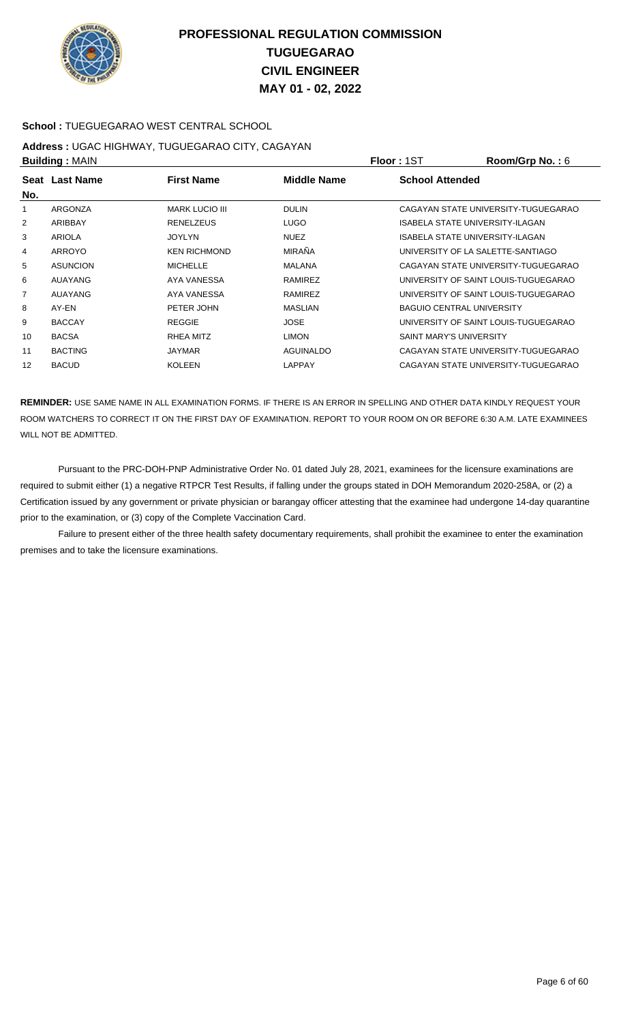

### **School :** TUEGUEGARAO WEST CENTRAL SCHOOL

#### **Address :** UGAC HIGHWAY, TUGUEGARAO CITY, CAGAYAN **Building :** MAIN **Floor :** 1ST **Room/Grp No. :** 6

|                | рананга гилипт  |                       |                    | .                                    |
|----------------|-----------------|-----------------------|--------------------|--------------------------------------|
| No.            | Seat Last Name  | <b>First Name</b>     | <b>Middle Name</b> | <b>School Attended</b>               |
|                | ARGONZA         | <b>MARK LUCIO III</b> | <b>DULIN</b>       | CAGAYAN STATE UNIVERSITY-TUGUEGARAO  |
| 2              | ARIBBAY         | <b>RENELZEUS</b>      | <b>LUGO</b>        | ISABELA STATE UNIVERSITY-ILAGAN      |
| 3              | <b>ARIOLA</b>   | <b>JOYLYN</b>         | <b>NUEZ</b>        | ISABELA STATE UNIVERSITY-ILAGAN      |
| 4              | ARROYO          | <b>KEN RICHMOND</b>   | <b>MIRAÑA</b>      | UNIVERSITY OF LA SALETTE-SANTIAGO    |
| 5              | <b>ASUNCION</b> | <b>MICHELLE</b>       | <b>MALANA</b>      | CAGAYAN STATE UNIVERSITY-TUGUEGARAO  |
| 6              | <b>AUAYANG</b>  | AYA VANESSA           | RAMIREZ            | UNIVERSITY OF SAINT LOUIS-TUGUEGARAO |
| $\overline{7}$ | AUAYANG         | AYA VANESSA           | RAMIREZ            | UNIVERSITY OF SAINT LOUIS-TUGUEGARAO |
| 8              | AY-EN           | PETER JOHN            | <b>MASLIAN</b>     | <b>BAGUIO CENTRAL UNIVERSITY</b>     |
| 9              | <b>BACCAY</b>   | <b>REGGIE</b>         | <b>JOSE</b>        | UNIVERSITY OF SAINT LOUIS-TUGUEGARAO |
| 10             | <b>BACSA</b>    | RHEA MITZ             | <b>LIMON</b>       | <b>SAINT MARY'S UNIVERSITY</b>       |
| 11             | <b>BACTING</b>  | <b>JAYMAR</b>         | <b>AGUINALDO</b>   | CAGAYAN STATE UNIVERSITY-TUGUEGARAO  |
| 12             | <b>BACUD</b>    | <b>KOLEEN</b>         | <b>LAPPAY</b>      | CAGAYAN STATE UNIVERSITY-TUGUEGARAO  |
|                |                 |                       |                    |                                      |

**REMINDER:** USE SAME NAME IN ALL EXAMINATION FORMS. IF THERE IS AN ERROR IN SPELLING AND OTHER DATA KINDLY REQUEST YOUR ROOM WATCHERS TO CORRECT IT ON THE FIRST DAY OF EXAMINATION. REPORT TO YOUR ROOM ON OR BEFORE 6:30 A.M. LATE EXAMINEES WILL NOT BE ADMITTED.

 Pursuant to the PRC-DOH-PNP Administrative Order No. 01 dated July 28, 2021, examinees for the licensure examinations are required to submit either (1) a negative RTPCR Test Results, if falling under the groups stated in DOH Memorandum 2020-258A, or (2) a Certification issued by any government or private physician or barangay officer attesting that the examinee had undergone 14-day quarantine prior to the examination, or (3) copy of the Complete Vaccination Card.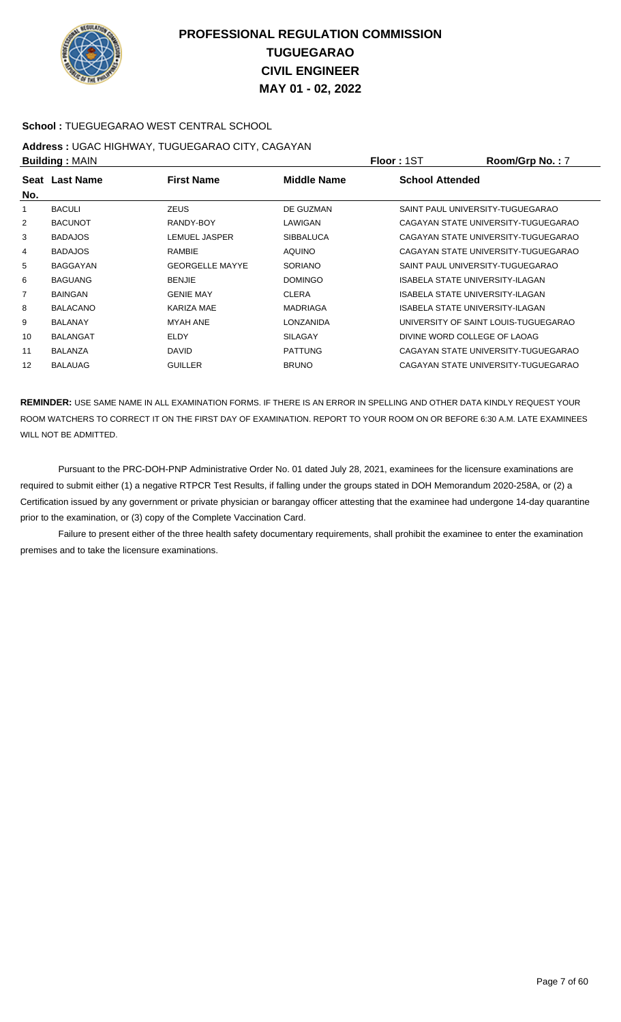

### **School :** TUEGUEGARAO WEST CENTRAL SCHOOL

#### **Address :** UGAC HIGHWAY, TUGUEGARAO CITY, CAGAYAN **Building :** MAIN **Floor :** 1ST **Room/Grp No. :** 7

|     | рананга гилипт  |                        |                    | .                                    |
|-----|-----------------|------------------------|--------------------|--------------------------------------|
| No. | Seat Last Name  | <b>First Name</b>      | <b>Middle Name</b> | <b>School Attended</b>               |
|     | <b>BACULI</b>   | <b>ZEUS</b>            | DE GUZMAN          | SAINT PAUL UNIVERSITY-TUGUEGARAO     |
| 2   | <b>BACUNOT</b>  | RANDY-BOY              | LAWIGAN            | CAGAYAN STATE UNIVERSITY-TUGUEGARAO  |
| 3   | <b>BADAJOS</b>  | LEMUEL JASPER          | <b>SIBBALUCA</b>   | CAGAYAN STATE UNIVERSITY-TUGUEGARAO  |
| 4   | <b>BADAJOS</b>  | <b>RAMBIE</b>          | <b>AQUINO</b>      | CAGAYAN STATE UNIVERSITY-TUGUEGARAO  |
| 5   | BAGGAYAN        | <b>GEORGELLE MAYYE</b> | <b>SORIANO</b>     | SAINT PAUL UNIVERSITY-TUGUEGARAO     |
| 6   | <b>BAGUANG</b>  | <b>BENJIE</b>          | <b>DOMINGO</b>     | ISABELA STATE UNIVERSITY-ILAGAN      |
| 7   | <b>BAINGAN</b>  | <b>GENIE MAY</b>       | <b>CLERA</b>       | ISABELA STATE UNIVERSITY-ILAGAN      |
| 8   | <b>BALACANO</b> | KARIZA MAE             | <b>MADRIAGA</b>    | ISABELA STATE UNIVERSITY-ILAGAN      |
| 9   | <b>BALANAY</b>  | MYAH ANE               | LONZANIDA          | UNIVERSITY OF SAINT LOUIS-TUGUEGARAO |
| 10  | <b>BALANGAT</b> | ELDY                   | <b>SILAGAY</b>     | DIVINE WORD COLLEGE OF LAOAG         |
| 11  | <b>BALANZA</b>  | <b>DAVID</b>           | <b>PATTUNG</b>     | CAGAYAN STATE UNIVERSITY-TUGUEGARAO  |
| 12  | <b>BALAUAG</b>  | <b>GUILLER</b>         | <b>BRUNO</b>       | CAGAYAN STATE UNIVERSITY-TUGUEGARAO  |
|     |                 |                        |                    |                                      |

**REMINDER:** USE SAME NAME IN ALL EXAMINATION FORMS. IF THERE IS AN ERROR IN SPELLING AND OTHER DATA KINDLY REQUEST YOUR ROOM WATCHERS TO CORRECT IT ON THE FIRST DAY OF EXAMINATION. REPORT TO YOUR ROOM ON OR BEFORE 6:30 A.M. LATE EXAMINEES WILL NOT BE ADMITTED.

 Pursuant to the PRC-DOH-PNP Administrative Order No. 01 dated July 28, 2021, examinees for the licensure examinations are required to submit either (1) a negative RTPCR Test Results, if falling under the groups stated in DOH Memorandum 2020-258A, or (2) a Certification issued by any government or private physician or barangay officer attesting that the examinee had undergone 14-day quarantine prior to the examination, or (3) copy of the Complete Vaccination Card.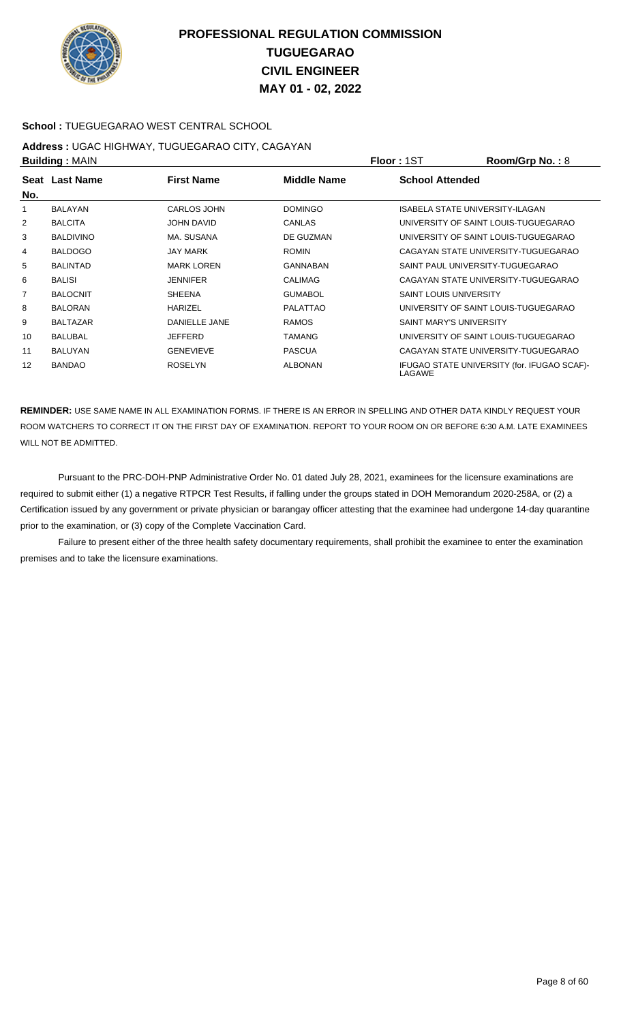

### **School :** TUEGUEGARAO WEST CENTRAL SCHOOL

#### **Address :** UGAC HIGHWAY, TUGUEGARAO CITY, CAGAYAN **Building :** MAIN **Floor :** 1ST **Room/Grp No. :** 8

|     | <b>DUILUILLY</b> ULAIN |                    |                    | 1 IUU 1 1 U 1<br>11001111011110110                    |
|-----|------------------------|--------------------|--------------------|-------------------------------------------------------|
| No. | Seat Last Name         | <b>First Name</b>  | <b>Middle Name</b> | <b>School Attended</b>                                |
| 1   | <b>BALAYAN</b>         | <b>CARLOS JOHN</b> | <b>DOMINGO</b>     | ISABELA STATE UNIVERSITY-ILAGAN                       |
| 2   | <b>BALCITA</b>         | JOHN DAVID         | <b>CANLAS</b>      | UNIVERSITY OF SAINT LOUIS-TUGUEGARAO                  |
| 3   | <b>BALDIVINO</b>       | MA. SUSANA         | DE GUZMAN          | UNIVERSITY OF SAINT LOUIS-TUGUEGARAO                  |
| 4   | <b>BALDOGO</b>         | <b>JAY MARK</b>    | <b>ROMIN</b>       | CAGAYAN STATE UNIVERSITY-TUGUEGARAO                   |
| 5   | <b>BALINTAD</b>        | <b>MARK LOREN</b>  | GANNABAN           | SAINT PAUL UNIVERSITY-TUGUEGARAO                      |
| 6   | <b>BALISI</b>          | <b>JENNIFER</b>    | <b>CALIMAG</b>     | CAGAYAN STATE UNIVERSITY-TUGUEGARAO                   |
| 7   | <b>BALOCNIT</b>        | <b>SHEENA</b>      | <b>GUMABOL</b>     | <b>SAINT LOUIS UNIVERSITY</b>                         |
| 8   | <b>BALORAN</b>         | <b>HARIZEL</b>     | PALATTAO           | UNIVERSITY OF SAINT LOUIS-TUGUEGARAO                  |
| 9   | <b>BALTAZAR</b>        | DANIELLE JANE      | <b>RAMOS</b>       | SAINT MARY'S UNIVERSITY                               |
| 10  | <b>BALUBAL</b>         | <b>JEFFERD</b>     | <b>TAMANG</b>      | UNIVERSITY OF SAINT LOUIS-TUGUEGARAO                  |
| 11  | <b>BALUYAN</b>         | <b>GENEVIEVE</b>   | <b>PASCUA</b>      | CAGAYAN STATE UNIVERSITY-TUGUEGARAO                   |
| 12  | <b>BANDAO</b>          | <b>ROSELYN</b>     | <b>ALBONAN</b>     | IFUGAO STATE UNIVERSITY (for. IFUGAO SCAF)-<br>LAGAWE |

**REMINDER:** USE SAME NAME IN ALL EXAMINATION FORMS. IF THERE IS AN ERROR IN SPELLING AND OTHER DATA KINDLY REQUEST YOUR ROOM WATCHERS TO CORRECT IT ON THE FIRST DAY OF EXAMINATION. REPORT TO YOUR ROOM ON OR BEFORE 6:30 A.M. LATE EXAMINEES WILL NOT BE ADMITTED.

 Pursuant to the PRC-DOH-PNP Administrative Order No. 01 dated July 28, 2021, examinees for the licensure examinations are required to submit either (1) a negative RTPCR Test Results, if falling under the groups stated in DOH Memorandum 2020-258A, or (2) a Certification issued by any government or private physician or barangay officer attesting that the examinee had undergone 14-day quarantine prior to the examination, or (3) copy of the Complete Vaccination Card.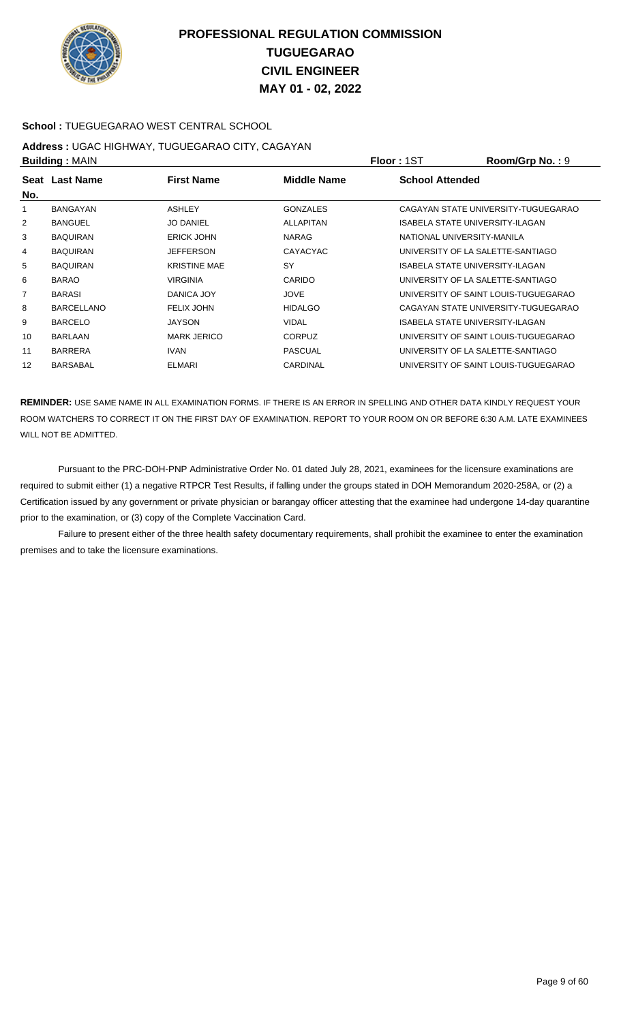

### **School :** TUEGUEGARAO WEST CENTRAL SCHOOL

### **Address :** UGAC HIGHWAY, TUGUEGARAO CITY, CAGAYAN **Building :** MAIN **Floor :** 1ST **Room/Grp No. :** 9

|     | P                 |                     |                    | . IUU . IUI                          |
|-----|-------------------|---------------------|--------------------|--------------------------------------|
| No. | Seat Last Name    | <b>First Name</b>   | <b>Middle Name</b> | <b>School Attended</b>               |
|     | <b>BANGAYAN</b>   | <b>ASHLEY</b>       | <b>GONZALES</b>    | CAGAYAN STATE UNIVERSITY-TUGUEGARAO  |
| 2   | <b>BANGUEL</b>    | <b>JO DANIEL</b>    | ALLAPITAN          | ISABELA STATE UNIVERSITY-ILAGAN      |
| 3   | <b>BAQUIRAN</b>   | <b>ERICK JOHN</b>   | NARAG              | NATIONAL UNIVERSITY-MANILA           |
| 4   | <b>BAQUIRAN</b>   | <b>JEFFERSON</b>    | <b>CAYACYAC</b>    | UNIVERSITY OF LA SALETTE-SANTIAGO    |
| 5   | <b>BAQUIRAN</b>   | <b>KRISTINE MAE</b> | SY                 | ISABELA STATE UNIVERSITY-ILAGAN      |
| 6   | <b>BARAO</b>      | <b>VIRGINIA</b>     | CARIDO             | UNIVERSITY OF LA SALETTE-SANTIAGO    |
| 7   | <b>BARASI</b>     | DANICA JOY          | <b>JOVE</b>        | UNIVERSITY OF SAINT LOUIS-TUGUEGARAO |
| 8   | <b>BARCELLANO</b> | FELIX JOHN          | <b>HIDALGO</b>     | CAGAYAN STATE UNIVERSITY-TUGUEGARAO  |
| 9   | <b>BARCELO</b>    | <b>JAYSON</b>       | <b>VIDAL</b>       | ISABELA STATE UNIVERSITY-ILAGAN      |
| 10  | <b>BARLAAN</b>    | <b>MARK JERICO</b>  | <b>CORPUZ</b>      | UNIVERSITY OF SAINT LOUIS-TUGUEGARAO |
| 11  | <b>BARRERA</b>    | <b>IVAN</b>         | <b>PASCUAL</b>     | UNIVERSITY OF LA SALETTE-SANTIAGO    |
| 12  | <b>BARSABAL</b>   | <b>ELMARI</b>       | <b>CARDINAL</b>    | UNIVERSITY OF SAINT LOUIS-TUGUEGARAO |
|     |                   |                     |                    |                                      |

**REMINDER:** USE SAME NAME IN ALL EXAMINATION FORMS. IF THERE IS AN ERROR IN SPELLING AND OTHER DATA KINDLY REQUEST YOUR ROOM WATCHERS TO CORRECT IT ON THE FIRST DAY OF EXAMINATION. REPORT TO YOUR ROOM ON OR BEFORE 6:30 A.M. LATE EXAMINEES WILL NOT BE ADMITTED.

 Pursuant to the PRC-DOH-PNP Administrative Order No. 01 dated July 28, 2021, examinees for the licensure examinations are required to submit either (1) a negative RTPCR Test Results, if falling under the groups stated in DOH Memorandum 2020-258A, or (2) a Certification issued by any government or private physician or barangay officer attesting that the examinee had undergone 14-day quarantine prior to the examination, or (3) copy of the Complete Vaccination Card.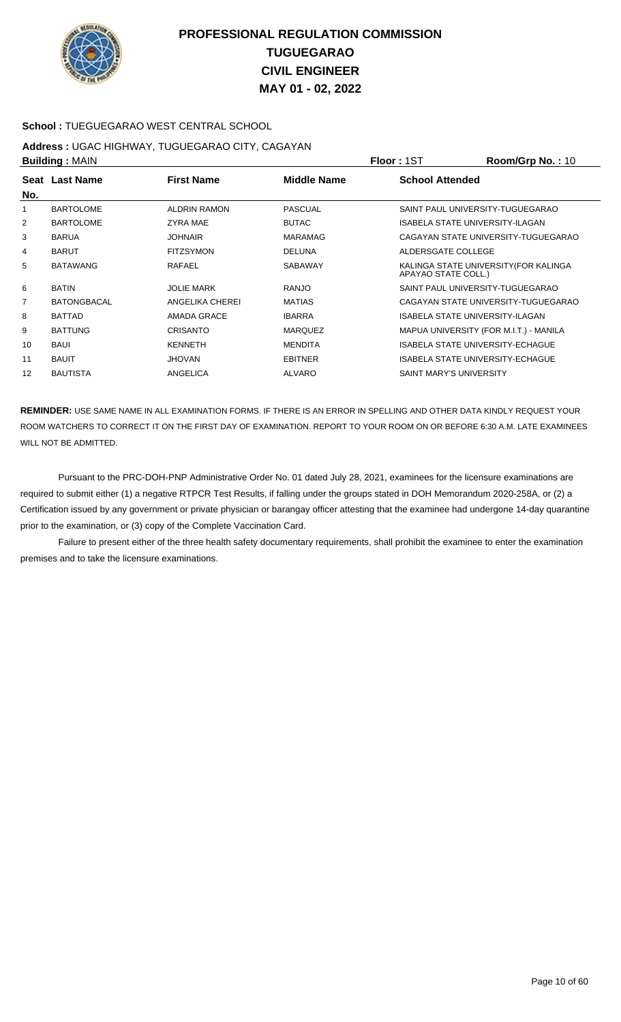

### **School :** TUEGUEGARAO WEST CENTRAL SCHOOL

#### **Address :** UGAC HIGHWAY, TUGUEGARAO CITY, CAGAYAN **Building :** MAIN **Floor :** 1ST **Room/Grp No. :** 10

|                | <b>DURING A MILITY</b> |                     |                    | .<br>יי ייטוי שושטייו                                        |
|----------------|------------------------|---------------------|--------------------|--------------------------------------------------------------|
| No.            | Seat Last Name         | <b>First Name</b>   | <b>Middle Name</b> | <b>School Attended</b>                                       |
|                |                        |                     |                    |                                                              |
| 1              | <b>BARTOLOME</b>       | <b>ALDRIN RAMON</b> | <b>PASCUAL</b>     | SAINT PAUL UNIVERSITY-TUGUEGARAO                             |
| 2              | <b>BARTOLOME</b>       | ZYRA MAE            | <b>BUTAC</b>       | <b>ISABELA STATE UNIVERSITY-ILAGAN</b>                       |
| 3              | <b>BARUA</b>           | <b>JOHNAIR</b>      | <b>MARAMAG</b>     | CAGAYAN STATE UNIVERSITY-TUGUEGARAO                          |
| 4              | <b>BARUT</b>           | <b>FITZSYMON</b>    | <b>DELUNA</b>      | ALDERSGATE COLLEGE                                           |
| 5              | <b>BATAWANG</b>        | RAFAEL              | <b>SABAWAY</b>     | KALINGA STATE UNIVERSITY (FOR KALINGA<br>APAYAO STATE COLL.) |
| 6              | <b>BATIN</b>           | <b>JOLIE MARK</b>   | <b>RANJO</b>       | SAINT PAUL UNIVERSITY-TUGUEGARAO                             |
| $\overline{7}$ | <b>BATONGBACAL</b>     | ANGELIKA CHEREI     | <b>MATIAS</b>      | CAGAYAN STATE UNIVERSITY-TUGUEGARAO                          |
| 8              | <b>BATTAD</b>          | AMADA GRACE         | <b>IBARRA</b>      | ISABELA STATE UNIVERSITY-ILAGAN                              |
| 9              | <b>BATTUNG</b>         | <b>CRISANTO</b>     | <b>MARQUEZ</b>     | MAPUA UNIVERSITY (FOR M.I.T.) - MANILA                       |
| 10             | <b>BAUI</b>            | <b>KENNETH</b>      | <b>MENDITA</b>     | ISABELA STATE UNIVERSITY-ECHAGUE                             |
| 11             | <b>BAUIT</b>           | <b>JHOVAN</b>       | <b>EBITNER</b>     | <b>ISABELA STATE UNIVERSITY-ECHAGUE</b>                      |
| 12             | <b>BAUTISTA</b>        | ANGELICA            | <b>ALVARO</b>      | SAINT MARY'S UNIVERSITY                                      |
|                |                        |                     |                    |                                                              |

**REMINDER:** USE SAME NAME IN ALL EXAMINATION FORMS. IF THERE IS AN ERROR IN SPELLING AND OTHER DATA KINDLY REQUEST YOUR ROOM WATCHERS TO CORRECT IT ON THE FIRST DAY OF EXAMINATION. REPORT TO YOUR ROOM ON OR BEFORE 6:30 A.M. LATE EXAMINEES WILL NOT BE ADMITTED.

 Pursuant to the PRC-DOH-PNP Administrative Order No. 01 dated July 28, 2021, examinees for the licensure examinations are required to submit either (1) a negative RTPCR Test Results, if falling under the groups stated in DOH Memorandum 2020-258A, or (2) a Certification issued by any government or private physician or barangay officer attesting that the examinee had undergone 14-day quarantine prior to the examination, or (3) copy of the Complete Vaccination Card.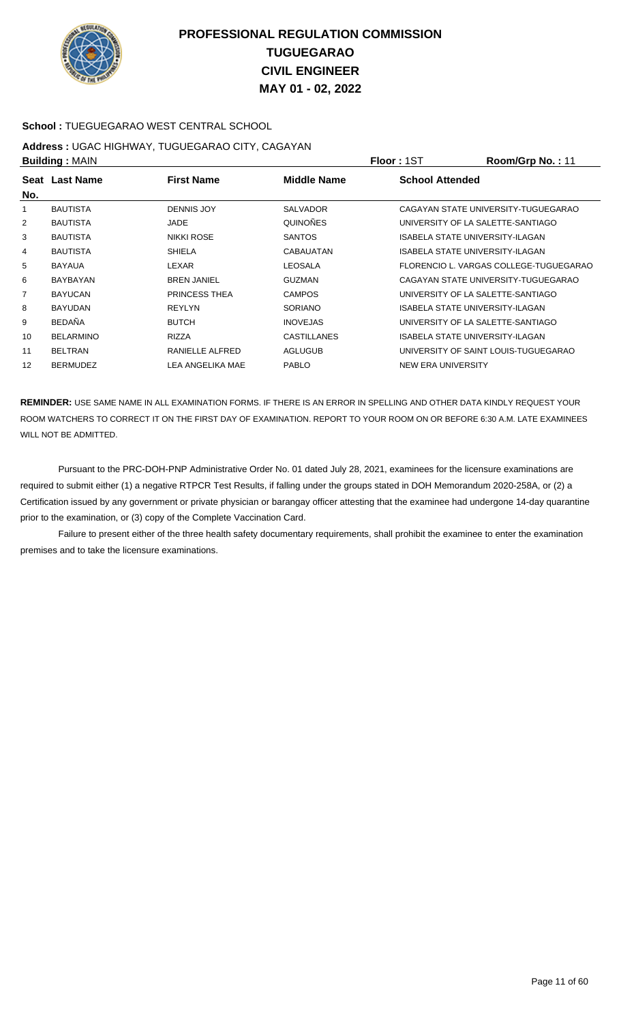

### **School :** TUEGUEGARAO WEST CENTRAL SCHOOL

### **Address :** UGAC HIGHWAY, TUGUEGARAO CITY, CAGAYAN **Building :** MAIN **Floor :** 1ST **Room/Grp No. :** 11

|                  |                    |                    | ו טיו וי<br>1100111101111011111        |
|------------------|--------------------|--------------------|----------------------------------------|
| Seat Last Name   | <b>First Name</b>  | <b>Middle Name</b> | <b>School Attended</b>                 |
| <b>BAUTISTA</b>  | <b>DENNIS JOY</b>  | <b>SALVADOR</b>    | CAGAYAN STATE UNIVERSITY-TUGUEGARAO    |
| <b>BAUTISTA</b>  | JADE               | QUINOÑES           | UNIVERSITY OF LA SALETTE-SANTIAGO      |
| <b>BAUTISTA</b>  | <b>NIKKI ROSE</b>  | <b>SANTOS</b>      | <b>ISABELA STATE UNIVERSITY-ILAGAN</b> |
| <b>BAUTISTA</b>  | <b>SHIELA</b>      | CABAUATAN          | ISABELA STATE UNIVERSITY-ILAGAN        |
| <b>BAYAUA</b>    | LEXAR              | <b>LEOSALA</b>     | FLORENCIO L. VARGAS COLLEGE-TUGUEGARAO |
| BAYBAYAN         | <b>BREN JANIEL</b> | <b>GUZMAN</b>      | CAGAYAN STATE UNIVERSITY-TUGUEGARAO    |
| <b>BAYUCAN</b>   | PRINCESS THEA      | <b>CAMPOS</b>      | UNIVERSITY OF LA SALETTE-SANTIAGO      |
| <b>BAYUDAN</b>   | <b>REYLYN</b>      | <b>SORIANO</b>     | ISABELA STATE UNIVERSITY-ILAGAN        |
| <b>BEDAÑA</b>    | <b>BUTCH</b>       | <b>INOVEJAS</b>    | UNIVERSITY OF LA SALETTE-SANTIAGO      |
| <b>BELARMINO</b> | <b>RIZZA</b>       | <b>CASTILLANES</b> | ISABELA STATE UNIVERSITY-ILAGAN        |
| <b>BELTRAN</b>   | RANIELLE ALFRED    | <b>AGLUGUB</b>     | UNIVERSITY OF SAINT LOUIS-TUGUEGARAO   |
| <b>BERMUDEZ</b>  | LEA ANGELIKA MAE   | <b>PABLO</b>       | NEW ERA UNIVERSITY                     |
|                  | P                  |                    |                                        |

**REMINDER:** USE SAME NAME IN ALL EXAMINATION FORMS. IF THERE IS AN ERROR IN SPELLING AND OTHER DATA KINDLY REQUEST YOUR ROOM WATCHERS TO CORRECT IT ON THE FIRST DAY OF EXAMINATION. REPORT TO YOUR ROOM ON OR BEFORE 6:30 A.M. LATE EXAMINEES WILL NOT BE ADMITTED.

 Pursuant to the PRC-DOH-PNP Administrative Order No. 01 dated July 28, 2021, examinees for the licensure examinations are required to submit either (1) a negative RTPCR Test Results, if falling under the groups stated in DOH Memorandum 2020-258A, or (2) a Certification issued by any government or private physician or barangay officer attesting that the examinee had undergone 14-day quarantine prior to the examination, or (3) copy of the Complete Vaccination Card.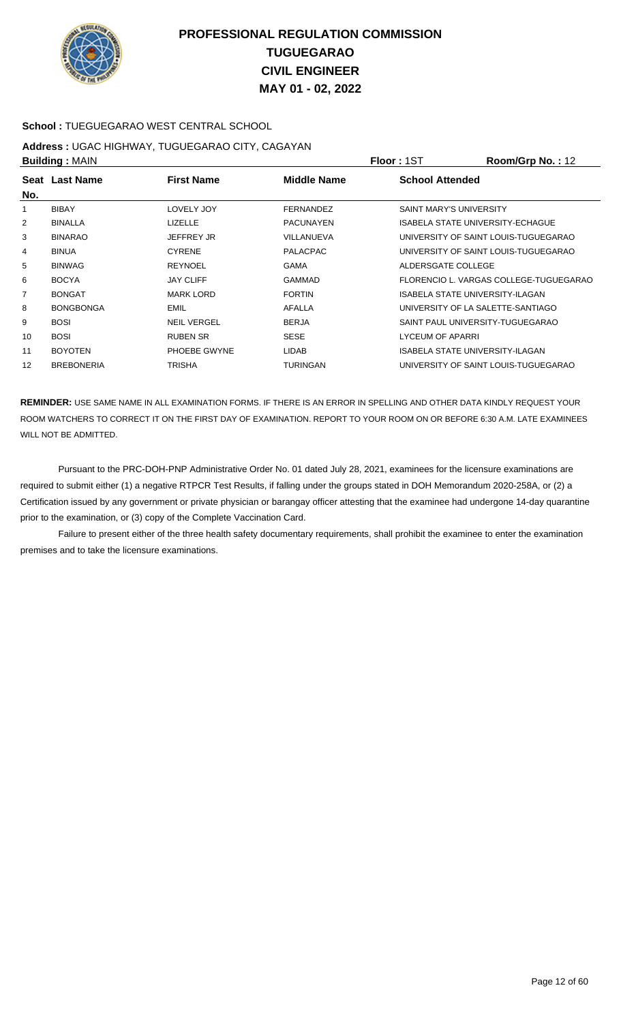

### **School :** TUEGUEGARAO WEST CENTRAL SCHOOL

### **Address :** UGAC HIGHWAY, TUGUEGARAO CITY, CAGAYAN **Building :** MAIN **Floor :** 1ST **Room/Grp No. :** 12

|     | P                 |                    | 1 IUU 1 1 U 1    | 11001111011110111212                   |
|-----|-------------------|--------------------|------------------|----------------------------------------|
| No. | Seat Last Name    | <b>First Name</b>  | Middle Name      | <b>School Attended</b>                 |
|     | <b>BIBAY</b>      | LOVELY JOY         | <b>FERNANDEZ</b> | <b>SAINT MARY'S UNIVERSITY</b>         |
| 2   | <b>BINALLA</b>    | <b>LIZELLE</b>     | <b>PACUNAYEN</b> | ISABELA STATE UNIVERSITY-ECHAGUE       |
| 3   | <b>BINARAO</b>    | <b>JEFFREY JR</b>  | VILLANUEVA       | UNIVERSITY OF SAINT LOUIS-TUGUEGARAO   |
| 4   | <b>BINUA</b>      | <b>CYRENE</b>      | <b>PALACPAC</b>  | UNIVERSITY OF SAINT LOUIS-TUGUEGARAO   |
| 5   | <b>BINWAG</b>     | <b>REYNOEL</b>     | <b>GAMA</b>      | ALDERSGATE COLLEGE                     |
| 6   | <b>BOCYA</b>      | <b>JAY CLIFF</b>   | GAMMAD           | FLORENCIO L. VARGAS COLLEGE-TUGUEGARAO |
| 7   | <b>BONGAT</b>     | <b>MARK LORD</b>   | <b>FORTIN</b>    | ISABELA STATE UNIVERSITY-ILAGAN        |
| 8   | <b>BONGBONGA</b>  | <b>EMIL</b>        | <b>AFALLA</b>    | UNIVERSITY OF LA SALETTE-SANTIAGO      |
| 9   | <b>BOSI</b>       | <b>NEIL VERGEL</b> | <b>BERJA</b>     | SAINT PAUL UNIVERSITY-TUGUEGARAO       |
| 10  | <b>BOSI</b>       | <b>RUBEN SR</b>    | <b>SESE</b>      | LYCEUM OF APARRI                       |
| 11  | <b>BOYOTEN</b>    | PHOEBE GWYNE       | <b>LIDAB</b>     | ISABELA STATE UNIVERSITY-ILAGAN        |
| 12  | <b>BREBONERIA</b> | <b>TRISHA</b>      | <b>TURINGAN</b>  | UNIVERSITY OF SAINT LOUIS-TUGUEGARAO   |
|     |                   |                    |                  |                                        |

**REMINDER:** USE SAME NAME IN ALL EXAMINATION FORMS. IF THERE IS AN ERROR IN SPELLING AND OTHER DATA KINDLY REQUEST YOUR ROOM WATCHERS TO CORRECT IT ON THE FIRST DAY OF EXAMINATION. REPORT TO YOUR ROOM ON OR BEFORE 6:30 A.M. LATE EXAMINEES WILL NOT BE ADMITTED.

 Pursuant to the PRC-DOH-PNP Administrative Order No. 01 dated July 28, 2021, examinees for the licensure examinations are required to submit either (1) a negative RTPCR Test Results, if falling under the groups stated in DOH Memorandum 2020-258A, or (2) a Certification issued by any government or private physician or barangay officer attesting that the examinee had undergone 14-day quarantine prior to the examination, or (3) copy of the Complete Vaccination Card.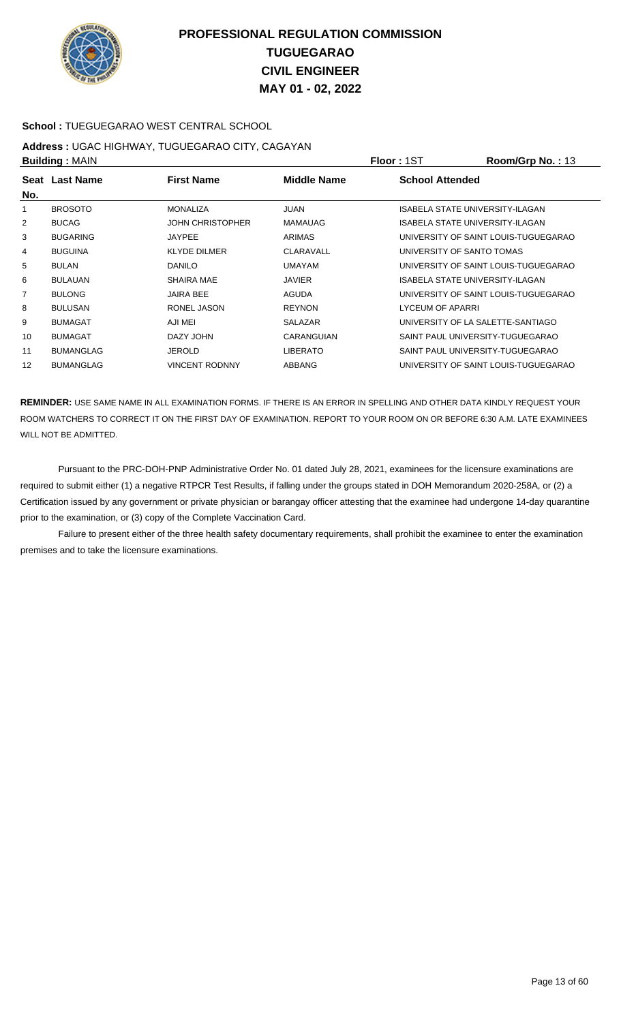

### **School :** TUEGUEGARAO WEST CENTRAL SCHOOL

#### **Address :** UGAC HIGHWAY, TUGUEGARAO CITY, CAGAYAN **Building :** MAIN **Floor :** 1ST **Room/Grp No. :** 13

|                |                  |                         |                 | .                                    |
|----------------|------------------|-------------------------|-----------------|--------------------------------------|
| No.            | Seat Last Name   | <b>First Name</b>       | Middle Name     | <b>School Attended</b>               |
|                | <b>BROSOTO</b>   | <b>MONALIZA</b>         | <b>JUAN</b>     | ISABELA STATE UNIVERSITY-ILAGAN      |
| 2              | <b>BUCAG</b>     | <b>JOHN CHRISTOPHER</b> | <b>MAMAUAG</b>  | ISABELA STATE UNIVERSITY-ILAGAN      |
| 3              | <b>BUGARING</b>  | <b>JAYPEE</b>           | <b>ARIMAS</b>   | UNIVERSITY OF SAINT LOUIS-TUGUEGARAO |
| 4              | <b>BUGUINA</b>   | <b>KLYDE DILMER</b>     | CLARAVALL       | UNIVERSITY OF SANTO TOMAS            |
| 5              | <b>BULAN</b>     | <b>DANILO</b>           | UMAYAM          | UNIVERSITY OF SAINT LOUIS-TUGUEGARAO |
| 6              | <b>BULAUAN</b>   | <b>SHAIRA MAE</b>       | <b>JAVIER</b>   | ISABELA STATE UNIVERSITY-ILAGAN      |
| $\overline{7}$ | <b>BULONG</b>    | <b>JAIRA BEE</b>        | <b>AGUDA</b>    | UNIVERSITY OF SAINT LOUIS-TUGUEGARAO |
| 8              | <b>BULUSAN</b>   | RONEL JASON             | <b>REYNON</b>   | LYCEUM OF APARRI                     |
| 9              | <b>BUMAGAT</b>   | AJI MEI                 | <b>SALAZAR</b>  | UNIVERSITY OF LA SALETTE-SANTIAGO    |
| 10             | <b>BUMAGAT</b>   | DAZY JOHN               | CARANGUIAN      | SAINT PAUL UNIVERSITY-TUGUEGARAO     |
| 11             | <b>BUMANGLAG</b> | <b>JEROLD</b>           | <b>LIBERATO</b> | SAINT PAUL UNIVERSITY-TUGUEGARAO     |
| 12             | <b>BUMANGLAG</b> | <b>VINCENT RODNNY</b>   | ABBANG          | UNIVERSITY OF SAINT LOUIS-TUGUEGARAO |
|                |                  |                         |                 |                                      |

**REMINDER:** USE SAME NAME IN ALL EXAMINATION FORMS. IF THERE IS AN ERROR IN SPELLING AND OTHER DATA KINDLY REQUEST YOUR ROOM WATCHERS TO CORRECT IT ON THE FIRST DAY OF EXAMINATION. REPORT TO YOUR ROOM ON OR BEFORE 6:30 A.M. LATE EXAMINEES WILL NOT BE ADMITTED.

 Pursuant to the PRC-DOH-PNP Administrative Order No. 01 dated July 28, 2021, examinees for the licensure examinations are required to submit either (1) a negative RTPCR Test Results, if falling under the groups stated in DOH Memorandum 2020-258A, or (2) a Certification issued by any government or private physician or barangay officer attesting that the examinee had undergone 14-day quarantine prior to the examination, or (3) copy of the Complete Vaccination Card.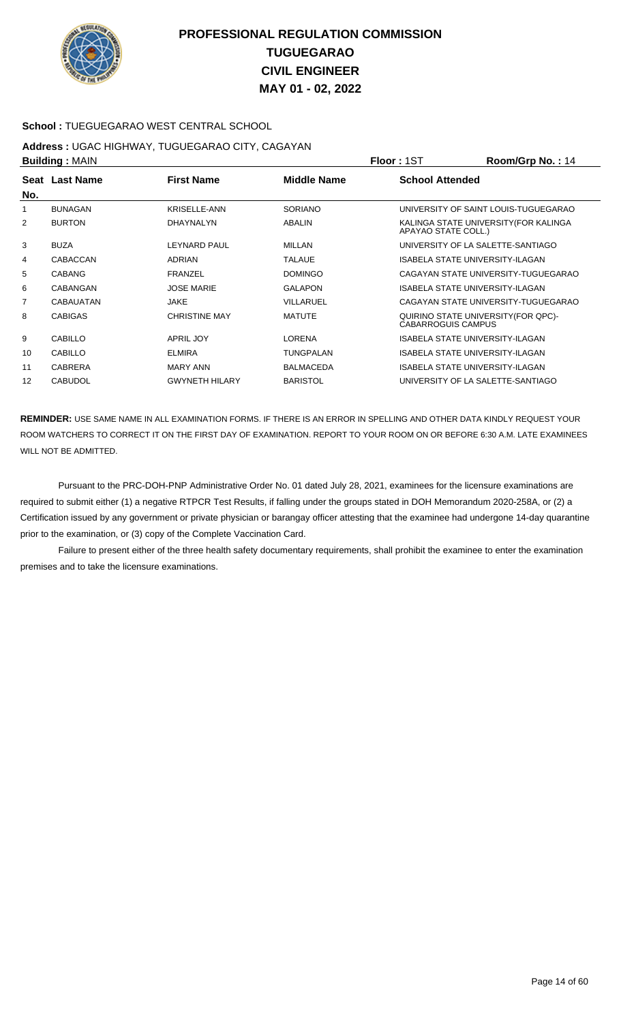

### **School :** TUEGUEGARAO WEST CENTRAL SCHOOL

#### **Address :** UGAC HIGHWAY, TUGUEGARAO CITY, CAGAYAN **Building :** MAIN **Floor :** 1ST **Room/Grp No. :** 14

| <b>Punung.</b> WAR |                  |                       |                    | 1 IVVI 1 IVI<br>דו . טוו קושטוויטט                               |
|--------------------|------------------|-----------------------|--------------------|------------------------------------------------------------------|
| No.                | Seat Last Name   | <b>First Name</b>     | <b>Middle Name</b> | <b>School Attended</b>                                           |
| 1                  | <b>BUNAGAN</b>   | KRISELLE-ANN          | <b>SORIANO</b>     | UNIVERSITY OF SAINT LOUIS-TUGUEGARAO                             |
| 2                  | <b>BURTON</b>    | DHAYNALYN             | ABALIN             | KALINGA STATE UNIVERSITY (FOR KALINGA<br>APAYAO STATE COLL.)     |
| 3                  | <b>BUZA</b>      | LEYNARD PAUL          | <b>MILLAN</b>      | UNIVERSITY OF LA SALETTE-SANTIAGO                                |
| 4                  | CABACCAN         | <b>ADRIAN</b>         | <b>TALAUE</b>      | ISABELA STATE UNIVERSITY-ILAGAN                                  |
| 5                  | <b>CABANG</b>    | <b>FRANZEL</b>        | <b>DOMINGO</b>     | CAGAYAN STATE UNIVERSITY-TUGUEGARAO                              |
| 6                  | CABANGAN         | <b>JOSE MARIE</b>     | <b>GALAPON</b>     | ISABELA STATE UNIVERSITY-ILAGAN                                  |
| 7                  | <b>CABAUATAN</b> | <b>JAKE</b>           | VILLARUEL          | CAGAYAN STATE UNIVERSITY-TUGUEGARAO                              |
| 8                  | <b>CABIGAS</b>   | <b>CHRISTINE MAY</b>  | <b>MATUTE</b>      | QUIRINO STATE UNIVERSITY (FOR QPC)-<br><b>CABARROGUIS CAMPUS</b> |
| 9                  | <b>CABILLO</b>   | APRIL JOY             | <b>LORENA</b>      | <b>ISABELA STATE UNIVERSITY-ILAGAN</b>                           |
| 10                 | <b>CABILLO</b>   | <b>ELMIRA</b>         | TUNGPALAN          | <b>ISABELA STATE UNIVERSITY-ILAGAN</b>                           |
| 11                 | <b>CABRERA</b>   | <b>MARY ANN</b>       | <b>BALMACEDA</b>   | <b>ISABELA STATE UNIVERSITY-ILAGAN</b>                           |
| 12                 | <b>CABUDOL</b>   | <b>GWYNETH HILARY</b> | <b>BARISTOL</b>    | UNIVERSITY OF LA SALETTE-SANTIAGO                                |
|                    |                  |                       |                    |                                                                  |

**REMINDER:** USE SAME NAME IN ALL EXAMINATION FORMS. IF THERE IS AN ERROR IN SPELLING AND OTHER DATA KINDLY REQUEST YOUR ROOM WATCHERS TO CORRECT IT ON THE FIRST DAY OF EXAMINATION. REPORT TO YOUR ROOM ON OR BEFORE 6:30 A.M. LATE EXAMINEES WILL NOT BE ADMITTED.

 Pursuant to the PRC-DOH-PNP Administrative Order No. 01 dated July 28, 2021, examinees for the licensure examinations are required to submit either (1) a negative RTPCR Test Results, if falling under the groups stated in DOH Memorandum 2020-258A, or (2) a Certification issued by any government or private physician or barangay officer attesting that the examinee had undergone 14-day quarantine prior to the examination, or (3) copy of the Complete Vaccination Card.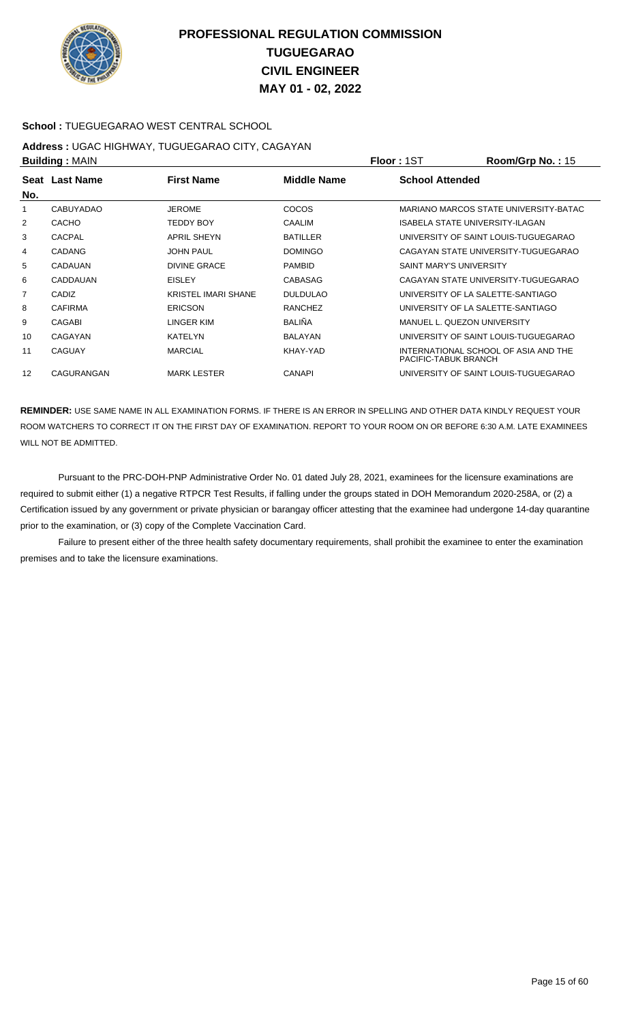

### **School :** TUEGUEGARAO WEST CENTRAL SCHOOL

#### **Address :** UGAC HIGHWAY, TUGUEGARAO CITY, CAGAYAN **Building :** MAIN **Floor :** 1ST **Room/Grp No. :** 15

|                   |                            |                 | .<br>1100111101111011110111                                  |  |  |
|-------------------|----------------------------|-----------------|--------------------------------------------------------------|--|--|
| Last Name<br>Seat | <b>First Name</b>          | Middle Name     | <b>School Attended</b>                                       |  |  |
| CABUYADAO         | <b>JEROME</b>              | COCOS           | MARIANO MARCOS STATE UNIVERSITY-BATAC                        |  |  |
| <b>CACHO</b>      | TEDDY BOY                  | <b>CAALIM</b>   | ISABELA STATE UNIVERSITY-ILAGAN                              |  |  |
| CACPAL            | <b>APRIL SHEYN</b>         | <b>BATILLER</b> | UNIVERSITY OF SAINT LOUIS-TUGUEGARAO                         |  |  |
| <b>CADANG</b>     | <b>JOHN PAUL</b>           | <b>DOMINGO</b>  | CAGAYAN STATE UNIVERSITY-TUGUEGARAO                          |  |  |
| CADAUAN           | DIVINE GRACE               | <b>PAMBID</b>   | <b>SAINT MARY'S UNIVERSITY</b>                               |  |  |
| CADDAUAN          | <b>EISLEY</b>              | CABASAG         | CAGAYAN STATE UNIVERSITY-TUGUEGARAO                          |  |  |
| CADIZ             | <b>KRISTEL IMARI SHANE</b> | <b>DULDULAO</b> | UNIVERSITY OF LA SALETTE-SANTIAGO                            |  |  |
| <b>CAFIRMA</b>    | <b>ERICSON</b>             | <b>RANCHEZ</b>  | UNIVERSITY OF LA SALETTE-SANTIAGO                            |  |  |
| CAGABI            | LINGER KIM                 | <b>BALIÑA</b>   | MANUEL L. QUEZON UNIVERSITY                                  |  |  |
| CAGAYAN           | <b>KATELYN</b>             | <b>BALAYAN</b>  | UNIVERSITY OF SAINT LOUIS-TUGUEGARAO                         |  |  |
| CAGUAY            | <b>MARCIAL</b>             | KHAY-YAD        | INTERNATIONAL SCHOOL OF ASIA AND THE<br>PACIFIC-TABUK BRANCH |  |  |
| CAGURANGAN        | <b>MARK LESTER</b>         | <b>CANAPI</b>   | UNIVERSITY OF SAINT LOUIS-TUGUEGARAO                         |  |  |
|                   | <b>Punung.</b> WAR         |                 |                                                              |  |  |

**REMINDER:** USE SAME NAME IN ALL EXAMINATION FORMS. IF THERE IS AN ERROR IN SPELLING AND OTHER DATA KINDLY REQUEST YOUR ROOM WATCHERS TO CORRECT IT ON THE FIRST DAY OF EXAMINATION. REPORT TO YOUR ROOM ON OR BEFORE 6:30 A.M. LATE EXAMINEES WILL NOT BE ADMITTED.

 Pursuant to the PRC-DOH-PNP Administrative Order No. 01 dated July 28, 2021, examinees for the licensure examinations are required to submit either (1) a negative RTPCR Test Results, if falling under the groups stated in DOH Memorandum 2020-258A, or (2) a Certification issued by any government or private physician or barangay officer attesting that the examinee had undergone 14-day quarantine prior to the examination, or (3) copy of the Complete Vaccination Card.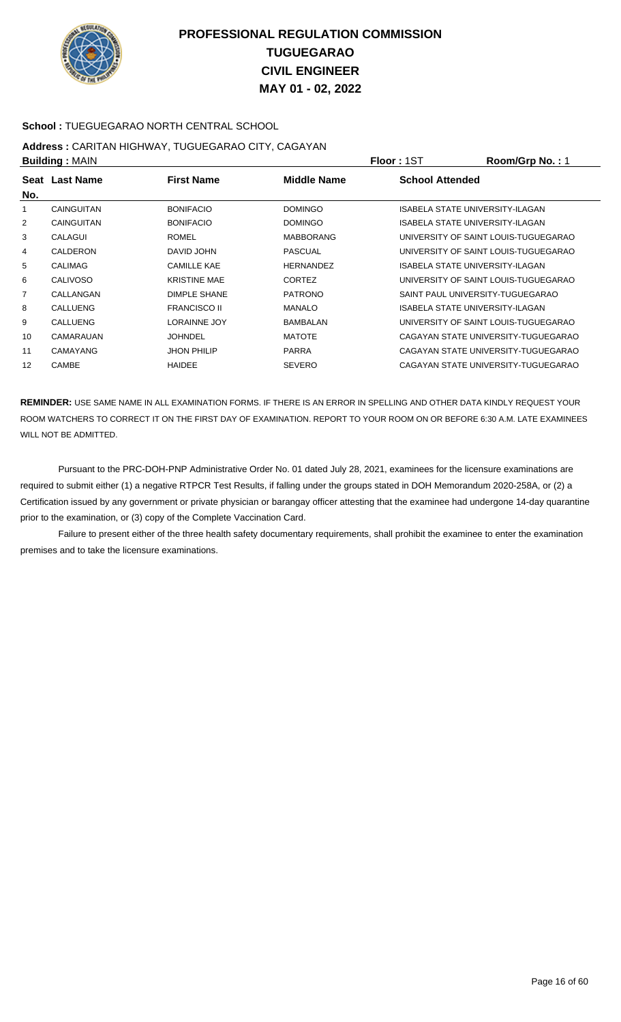

### **School :** TUEGUEGARAO NORTH CENTRAL SCHOOL

# **Address :** CARITAN HIGHWAY, TUGUEGARAO CITY, CAGAYAN

|                | <b>Building: MAIN</b> |                     | <b>Floor: 1ST</b> | Room/Grp No.: 1        |                                      |
|----------------|-----------------------|---------------------|-------------------|------------------------|--------------------------------------|
| No.            | Seat Last Name        | <b>First Name</b>   | Middle Name       | <b>School Attended</b> |                                      |
|                | <b>CAINGUITAN</b>     | <b>BONIFACIO</b>    | <b>DOMINGO</b>    |                        | ISABELA STATE UNIVERSITY-ILAGAN      |
| 2              | <b>CAINGUITAN</b>     | <b>BONIFACIO</b>    | <b>DOMINGO</b>    |                        | ISABELA STATE UNIVERSITY-ILAGAN      |
| 3              | CALAGUI               | <b>ROMEL</b>        | <b>MABBORANG</b>  |                        | UNIVERSITY OF SAINT LOUIS-TUGUEGARAO |
| 4              | CALDERON              | DAVID JOHN          | <b>PASCUAL</b>    |                        | UNIVERSITY OF SAINT LOUIS-TUGUEGARAO |
| 5              | <b>CALIMAG</b>        | <b>CAMILLE KAE</b>  | <b>HERNANDEZ</b>  |                        | ISABELA STATE UNIVERSITY-ILAGAN      |
| 6              | <b>CALIVOSO</b>       | <b>KRISTINE MAE</b> | <b>CORTEZ</b>     |                        | UNIVERSITY OF SAINT LOUIS-TUGUEGARAO |
| $\overline{7}$ | CALLANGAN             | <b>DIMPLE SHANE</b> | <b>PATRONO</b>    |                        | SAINT PAUL UNIVERSITY-TUGUEGARAO     |
| 8              | CALLUENG              | <b>FRANCISCO II</b> | <b>MANALO</b>     |                        | ISABELA STATE UNIVERSITY-ILAGAN      |
| 9              | <b>CALLUENG</b>       | <b>LORAINNE JOY</b> | <b>BAMBALAN</b>   |                        | UNIVERSITY OF SAINT LOUIS-TUGUEGARAO |
| 10             | CAMARAUAN             | <b>JOHNDEL</b>      | <b>MATOTE</b>     |                        | CAGAYAN STATE UNIVERSITY-TUGUEGARAO  |
| 11             | <b>CAMAYANG</b>       | <b>JHON PHILIP</b>  | <b>PARRA</b>      |                        | CAGAYAN STATE UNIVERSITY-TUGUEGARAO  |
| 12             | <b>CAMBE</b>          | <b>HAIDEE</b>       | <b>SEVERO</b>     |                        | CAGAYAN STATE UNIVERSITY-TUGUEGARAO  |

**REMINDER:** USE SAME NAME IN ALL EXAMINATION FORMS. IF THERE IS AN ERROR IN SPELLING AND OTHER DATA KINDLY REQUEST YOUR ROOM WATCHERS TO CORRECT IT ON THE FIRST DAY OF EXAMINATION. REPORT TO YOUR ROOM ON OR BEFORE 6:30 A.M. LATE EXAMINEES WILL NOT BE ADMITTED.

 Pursuant to the PRC-DOH-PNP Administrative Order No. 01 dated July 28, 2021, examinees for the licensure examinations are required to submit either (1) a negative RTPCR Test Results, if falling under the groups stated in DOH Memorandum 2020-258A, or (2) a Certification issued by any government or private physician or barangay officer attesting that the examinee had undergone 14-day quarantine prior to the examination, or (3) copy of the Complete Vaccination Card.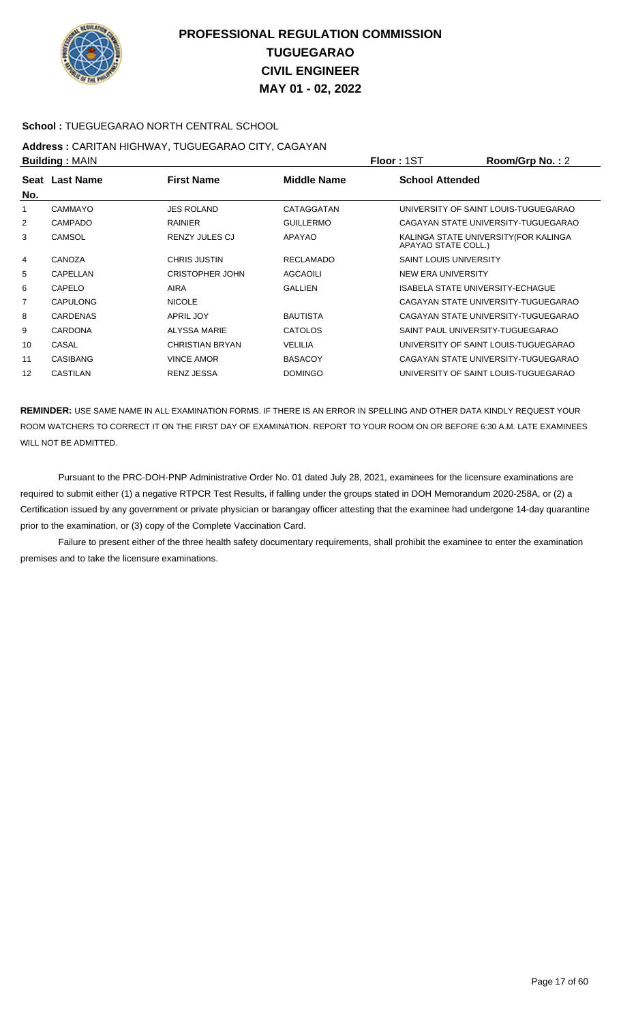

### **School :** TUEGUEGARAO NORTH CENTRAL SCHOOL

#### **Address :** CARITAN HIGHWAY, TUGUEGARAO CITY, CAGAYAN **Building :** MAIN **Floor :** 1ST **Room/Grp No. :** 2

|                | <b>DUILUILLY</b> ULAIN |                        |                  | 1 IUU 1 1 U 1<br>110011101111101122                          |
|----------------|------------------------|------------------------|------------------|--------------------------------------------------------------|
| No.            | Seat Last Name         | <b>First Name</b>      | Middle Name      | <b>School Attended</b>                                       |
|                | CAMMAYO                | <b>JES ROLAND</b>      | CATAGGATAN       | UNIVERSITY OF SAINT LOUIS-TUGUEGARAO                         |
| 2              | <b>CAMPADO</b>         | <b>RAINIER</b>         | <b>GUILLERMO</b> | CAGAYAN STATE UNIVERSITY-TUGUEGARAO                          |
| 3              | <b>CAMSOL</b>          | <b>RENZY JULES CJ</b>  | APAYAO           | KALINGA STATE UNIVERSITY (FOR KALINGA<br>APAYAO STATE COLL.) |
| $\overline{4}$ | CANOZA                 | <b>CHRIS JUSTIN</b>    | <b>RECLAMADO</b> | <b>SAINT LOUIS UNIVERSITY</b>                                |
| 5              | CAPELLAN               | <b>CRISTOPHER JOHN</b> | <b>AGCAOILI</b>  | NEW ERA UNIVERSITY                                           |
| 6              | CAPELO                 | <b>AIRA</b>            | <b>GALLIEN</b>   | ISABELA STATE UNIVERSITY-ECHAGUE                             |
| 7              | CAPULONG               | <b>NICOLE</b>          |                  | CAGAYAN STATE UNIVERSITY-TUGUEGARAO                          |
| 8              | <b>CARDENAS</b>        | <b>APRIL JOY</b>       | <b>BAUTISTA</b>  | CAGAYAN STATE UNIVERSITY-TUGUEGARAO                          |
| 9              | <b>CARDONA</b>         | <b>ALYSSA MARIE</b>    | <b>CATOLOS</b>   | SAINT PAUL UNIVERSITY-TUGUEGARAO                             |
| 10             | CASAL                  | <b>CHRISTIAN BRYAN</b> | <b>VELILIA</b>   | UNIVERSITY OF SAINT LOUIS-TUGUEGARAO                         |
| 11             | <b>CASIBANG</b>        | <b>VINCE AMOR</b>      | <b>BASACOY</b>   | CAGAYAN STATE UNIVERSITY-TUGUEGARAO                          |
| 12             | <b>CASTILAN</b>        | <b>RENZ JESSA</b>      | <b>DOMINGO</b>   | UNIVERSITY OF SAINT LOUIS-TUGUEGARAO                         |

**REMINDER:** USE SAME NAME IN ALL EXAMINATION FORMS. IF THERE IS AN ERROR IN SPELLING AND OTHER DATA KINDLY REQUEST YOUR ROOM WATCHERS TO CORRECT IT ON THE FIRST DAY OF EXAMINATION. REPORT TO YOUR ROOM ON OR BEFORE 6:30 A.M. LATE EXAMINEES WILL NOT BE ADMITTED.

 Pursuant to the PRC-DOH-PNP Administrative Order No. 01 dated July 28, 2021, examinees for the licensure examinations are required to submit either (1) a negative RTPCR Test Results, if falling under the groups stated in DOH Memorandum 2020-258A, or (2) a Certification issued by any government or private physician or barangay officer attesting that the examinee had undergone 14-day quarantine prior to the examination, or (3) copy of the Complete Vaccination Card.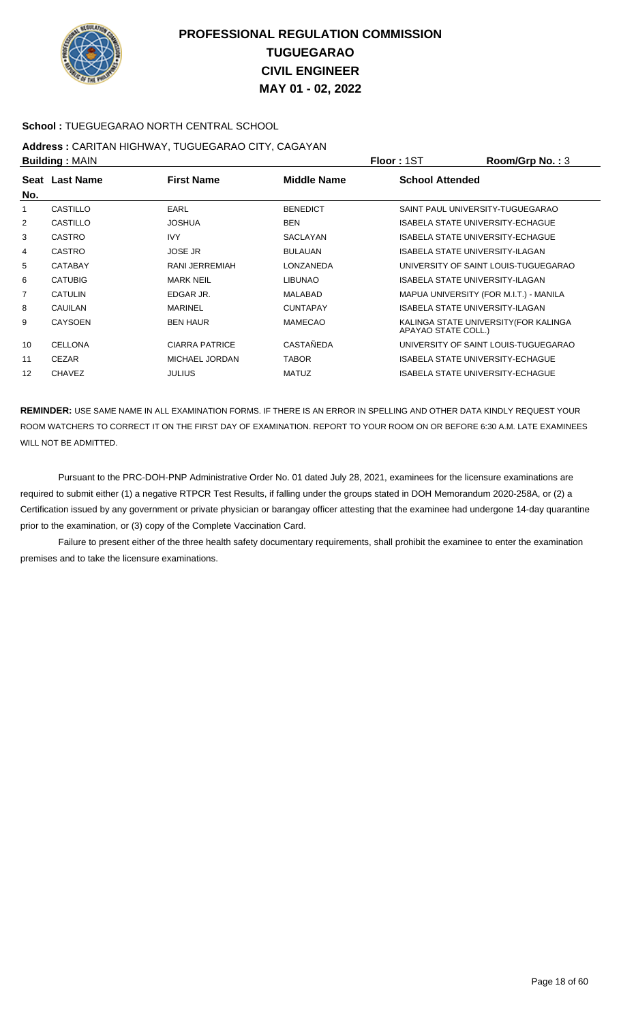

### **School :** TUEGUEGARAO NORTH CENTRAL SCHOOL

#### **Address :** CARITAN HIGHWAY, TUGUEGARAO CITY, CAGAYAN **Building :** MAIN **Floor :** 1ST **Room/Grp No. :** 3

|                | <b>Punung.</b> WAR |                       |                    | .                                                            |
|----------------|--------------------|-----------------------|--------------------|--------------------------------------------------------------|
|                | Seat Last Name     | <b>First Name</b>     | <b>Middle Name</b> | <b>School Attended</b>                                       |
| No.            |                    |                       |                    |                                                              |
| 1              | CASTILLO           | <b>EARL</b>           | <b>BENEDICT</b>    | SAINT PAUL UNIVERSITY-TUGUEGARAO                             |
| $\overline{2}$ | CASTILLO           | <b>JOSHUA</b>         | <b>BEN</b>         | ISABELA STATE UNIVERSITY-ECHAGUE                             |
| 3              | <b>CASTRO</b>      | <b>IVY</b>            | SACLAYAN           | <b>ISABELA STATE UNIVERSITY-ECHAGUE</b>                      |
| 4              | <b>CASTRO</b>      | <b>JOSE JR</b>        | <b>BULAUAN</b>     | ISABELA STATE UNIVERSITY-ILAGAN                              |
| 5              | <b>CATABAY</b>     | RANI JERREMIAH        | LONZANEDA          | UNIVERSITY OF SAINT LOUIS-TUGUEGARAO                         |
| 6              | <b>CATUBIG</b>     | <b>MARK NEIL</b>      | <b>LIBUNAO</b>     | <b>ISABELA STATE UNIVERSITY-ILAGAN</b>                       |
| 7              | <b>CATULIN</b>     | EDGAR JR.             | <b>MALABAD</b>     | MAPUA UNIVERSITY (FOR M.I.T.) - MANILA                       |
| 8              | <b>CAUILAN</b>     | <b>MARINEL</b>        | <b>CUNTAPAY</b>    | <b>ISABELA STATE UNIVERSITY-ILAGAN</b>                       |
| 9              | <b>CAYSOEN</b>     | <b>BEN HAUR</b>       | <b>MAMECAO</b>     | KALINGA STATE UNIVERSITY (FOR KALINGA<br>APAYAO STATE COLL.) |
| 10             | <b>CELLONA</b>     | <b>CIARRA PATRICE</b> | CASTAÑEDA          | UNIVERSITY OF SAINT LOUIS-TUGUEGARAO                         |
| 11             | <b>CEZAR</b>       | MICHAEL JORDAN        | <b>TABOR</b>       | <b>ISABELA STATE UNIVERSITY-ECHAGUE</b>                      |
| 12             | <b>CHAVEZ</b>      | <b>JULIUS</b>         | <b>MATUZ</b>       | ISABELA STATE UNIVERSITY-ECHAGUE                             |
|                |                    |                       |                    |                                                              |

**REMINDER:** USE SAME NAME IN ALL EXAMINATION FORMS. IF THERE IS AN ERROR IN SPELLING AND OTHER DATA KINDLY REQUEST YOUR ROOM WATCHERS TO CORRECT IT ON THE FIRST DAY OF EXAMINATION. REPORT TO YOUR ROOM ON OR BEFORE 6:30 A.M. LATE EXAMINEES WILL NOT BE ADMITTED.

 Pursuant to the PRC-DOH-PNP Administrative Order No. 01 dated July 28, 2021, examinees for the licensure examinations are required to submit either (1) a negative RTPCR Test Results, if falling under the groups stated in DOH Memorandum 2020-258A, or (2) a Certification issued by any government or private physician or barangay officer attesting that the examinee had undergone 14-day quarantine prior to the examination, or (3) copy of the Complete Vaccination Card.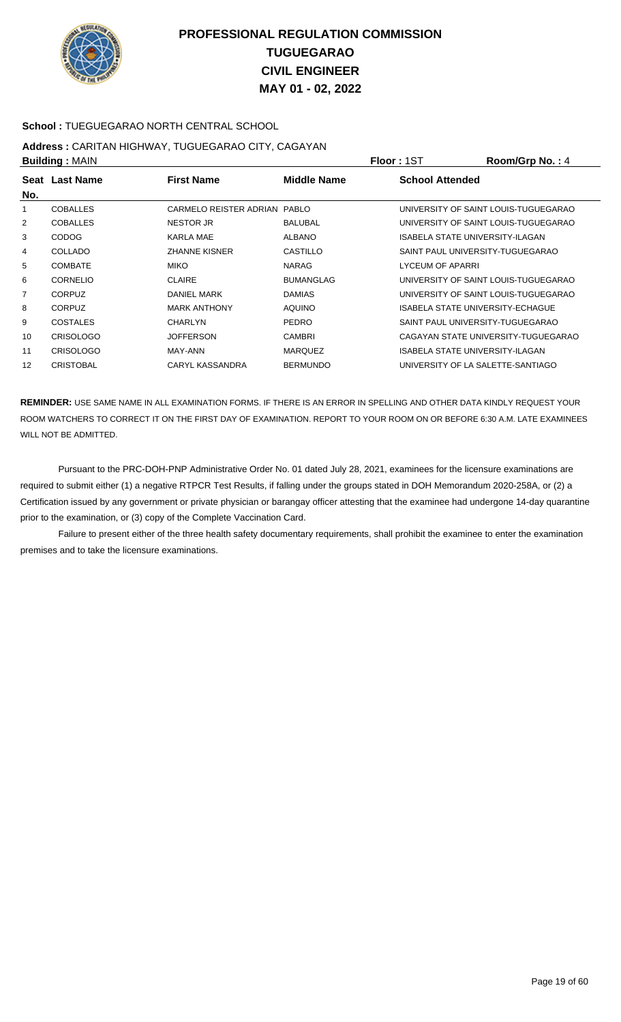

### **School :** TUEGUEGARAO NORTH CENTRAL SCHOOL

# **Address :** CARITAN HIGHWAY, TUGUEGARAO CITY, CAGAYAN

|                | <b>Building: MAIN</b> |                              | <b>Floor: 1ST</b> | Room/Grp No.: 4         |                                      |
|----------------|-----------------------|------------------------------|-------------------|-------------------------|--------------------------------------|
| No.            | Seat Last Name        | <b>First Name</b>            | Middle Name       | <b>School Attended</b>  |                                      |
|                | <b>COBALLES</b>       | CARMELO REISTER ADRIAN PABLO |                   |                         | UNIVERSITY OF SAINT LOUIS-TUGUEGARAO |
| 2              | <b>COBALLES</b>       | <b>NESTOR JR</b>             | <b>BALUBAL</b>    |                         | UNIVERSITY OF SAINT LOUIS-TUGUEGARAO |
| 3              | <b>CODOG</b>          | <b>KARLA MAE</b>             | <b>ALBANO</b>     |                         | ISABELA STATE UNIVERSITY-ILAGAN      |
| 4              | <b>COLLADO</b>        | <b>ZHANNE KISNER</b>         | CASTILLO          |                         | SAINT PAUL UNIVERSITY-TUGUEGARAO     |
| 5              | <b>COMBATE</b>        | <b>MIKO</b>                  | <b>NARAG</b>      | <b>LYCEUM OF APARRI</b> |                                      |
| 6              | <b>CORNELIO</b>       | <b>CLAIRE</b>                | <b>BUMANGLAG</b>  |                         | UNIVERSITY OF SAINT LOUIS-TUGUEGARAO |
| $\overline{7}$ | <b>CORPUZ</b>         | DANIEL MARK                  | <b>DAMIAS</b>     |                         | UNIVERSITY OF SAINT LOUIS-TUGUEGARAO |
| 8              | <b>CORPUZ</b>         | <b>MARK ANTHONY</b>          | <b>AQUINO</b>     |                         | ISABELA STATE UNIVERSITY-ECHAGUE     |
| 9              | <b>COSTALES</b>       | CHARLYN                      | <b>PEDRO</b>      |                         | SAINT PAUL UNIVERSITY-TUGUEGARAO     |
| 10             | <b>CRISOLOGO</b>      | <b>JOFFERSON</b>             | <b>CAMBRI</b>     |                         | CAGAYAN STATE UNIVERSITY-TUGUEGARAO  |
| 11             | <b>CRISOLOGO</b>      | MAY-ANN                      | <b>MARQUEZ</b>    |                         | ISABELA STATE UNIVERSITY-ILAGAN      |
| 12             | <b>CRISTOBAL</b>      | CARYL KASSANDRA              | <b>BERMUNDO</b>   |                         | UNIVERSITY OF LA SALETTE-SANTIAGO    |

**REMINDER:** USE SAME NAME IN ALL EXAMINATION FORMS. IF THERE IS AN ERROR IN SPELLING AND OTHER DATA KINDLY REQUEST YOUR ROOM WATCHERS TO CORRECT IT ON THE FIRST DAY OF EXAMINATION. REPORT TO YOUR ROOM ON OR BEFORE 6:30 A.M. LATE EXAMINEES WILL NOT BE ADMITTED.

 Pursuant to the PRC-DOH-PNP Administrative Order No. 01 dated July 28, 2021, examinees for the licensure examinations are required to submit either (1) a negative RTPCR Test Results, if falling under the groups stated in DOH Memorandum 2020-258A, or (2) a Certification issued by any government or private physician or barangay officer attesting that the examinee had undergone 14-day quarantine prior to the examination, or (3) copy of the Complete Vaccination Card.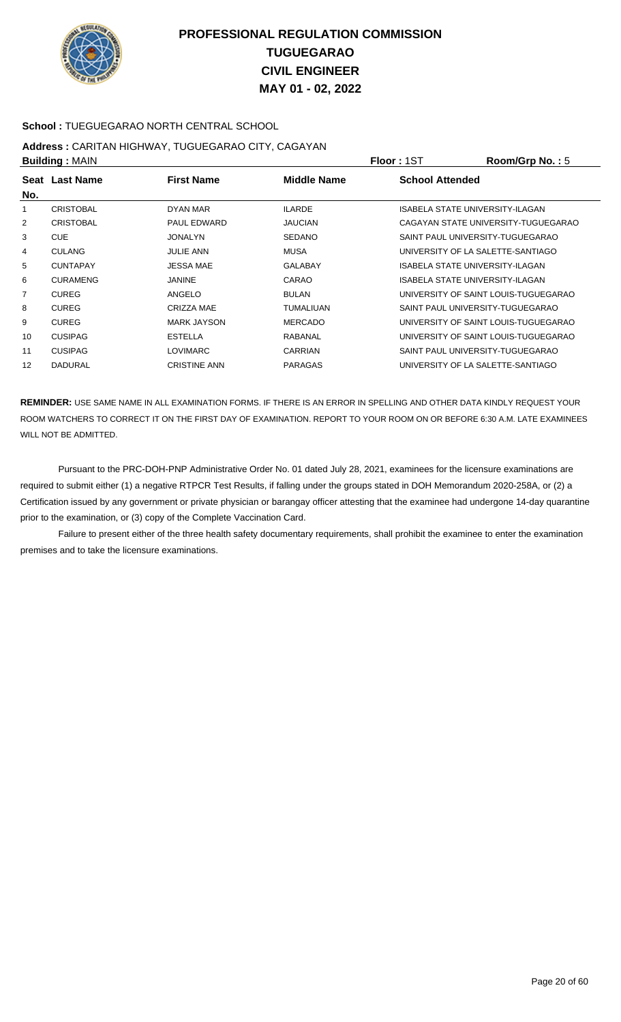

### **School :** TUEGUEGARAO NORTH CENTRAL SCHOOL

# **Address :** CARITAN HIGHWAY, TUGUEGARAO CITY, CAGAYAN

|                | <b>Building: MAIN</b> |                     |                  | <b>Floor: 1ST</b>                 | Room/Grp No.: 5                      |
|----------------|-----------------------|---------------------|------------------|-----------------------------------|--------------------------------------|
| No.            | Seat Last Name        | <b>First Name</b>   | Middle Name      | <b>School Attended</b>            |                                      |
|                | <b>CRISTOBAL</b>      | DYAN MAR            | <b>ILARDE</b>    | ISABELA STATE UNIVERSITY-ILAGAN   |                                      |
| $\overline{2}$ | <b>CRISTOBAL</b>      | <b>PAUL EDWARD</b>  | <b>JAUCIAN</b>   |                                   | CAGAYAN STATE UNIVERSITY-TUGUEGARAO  |
| 3              | <b>CUE</b>            | <b>JONALYN</b>      | <b>SEDANO</b>    | SAINT PAUL UNIVERSITY-TUGUEGARAO  |                                      |
| 4              | <b>CULANG</b>         | <b>JULIE ANN</b>    | MUSA             | UNIVERSITY OF LA SALETTE-SANTIAGO |                                      |
| 5              | <b>CUNTAPAY</b>       | <b>JESSA MAE</b>    | <b>GALABAY</b>   | ISABELA STATE UNIVERSITY-ILAGAN   |                                      |
| 6              | <b>CURAMENG</b>       | <b>JANINE</b>       | CARAO            | ISABELA STATE UNIVERSITY-ILAGAN   |                                      |
| $\overline{7}$ | <b>CUREG</b>          | ANGELO              | <b>BULAN</b>     |                                   | UNIVERSITY OF SAINT LOUIS-TUGUEGARAO |
| 8              | <b>CUREG</b>          | CRIZZA MAE          | <b>TUMALIUAN</b> | SAINT PAUL UNIVERSITY-TUGUEGARAO  |                                      |
| 9              | <b>CUREG</b>          | <b>MARK JAYSON</b>  | <b>MERCADO</b>   |                                   | UNIVERSITY OF SAINT LOUIS-TUGUEGARAO |
| 10             | <b>CUSIPAG</b>        | <b>ESTELLA</b>      | RABANAL          |                                   | UNIVERSITY OF SAINT LOUIS-TUGUEGARAO |
| 11             | <b>CUSIPAG</b>        | <b>LOVIMARC</b>     | <b>CARRIAN</b>   | SAINT PAUL UNIVERSITY-TUGUEGARAO  |                                      |
| 12             | <b>DADURAL</b>        | <b>CRISTINE ANN</b> | <b>PARAGAS</b>   | UNIVERSITY OF LA SALETTE-SANTIAGO |                                      |

**REMINDER:** USE SAME NAME IN ALL EXAMINATION FORMS. IF THERE IS AN ERROR IN SPELLING AND OTHER DATA KINDLY REQUEST YOUR ROOM WATCHERS TO CORRECT IT ON THE FIRST DAY OF EXAMINATION. REPORT TO YOUR ROOM ON OR BEFORE 6:30 A.M. LATE EXAMINEES WILL NOT BE ADMITTED.

 Pursuant to the PRC-DOH-PNP Administrative Order No. 01 dated July 28, 2021, examinees for the licensure examinations are required to submit either (1) a negative RTPCR Test Results, if falling under the groups stated in DOH Memorandum 2020-258A, or (2) a Certification issued by any government or private physician or barangay officer attesting that the examinee had undergone 14-day quarantine prior to the examination, or (3) copy of the Complete Vaccination Card.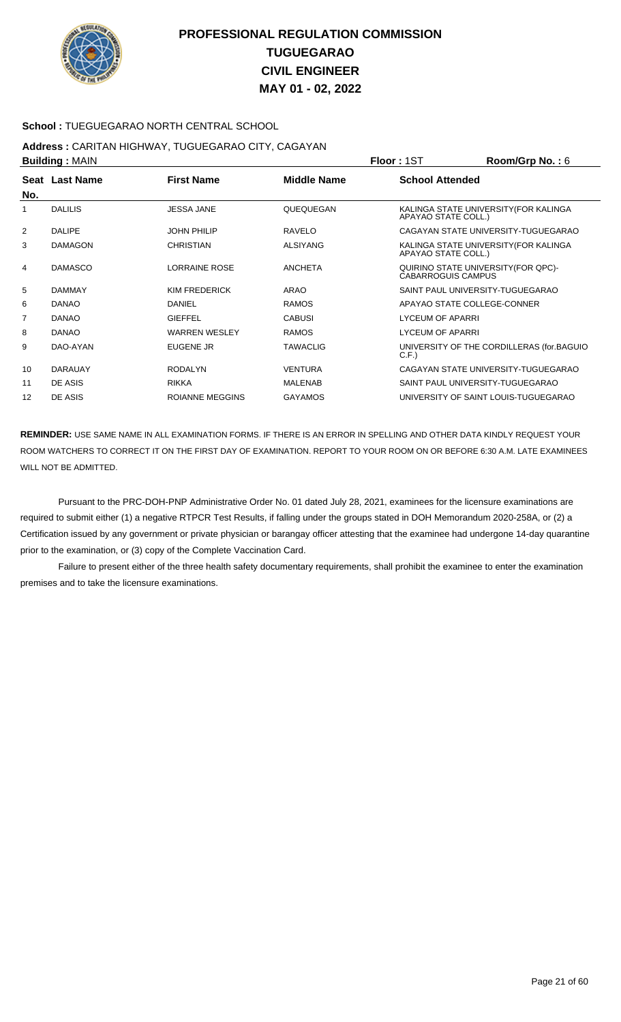

### **School :** TUEGUEGARAO NORTH CENTRAL SCHOOL

# **Address :** CARITAN HIGHWAY, TUGUEGARAO CITY, CAGAYAN

|                |                                         | <b>Floor: 1ST</b>  | Room/Grp No.: 6        |                                           |
|----------------|-----------------------------------------|--------------------|------------------------|-------------------------------------------|
|                | <b>First Name</b>                       | <b>Middle Name</b> | <b>School Attended</b> |                                           |
| <b>DALILIS</b> | <b>JESSA JANE</b>                       | QUEQUEGAN          | APAYAO STATE COLL.)    | KALINGA STATE UNIVERSITY (FOR KALINGA     |
| <b>DALIPE</b>  | <b>JOHN PHILIP</b>                      | <b>RAVELO</b>      |                        | CAGAYAN STATE UNIVERSITY-TUGUEGARAO       |
| <b>DAMAGON</b> | <b>CHRISTIAN</b>                        | <b>ALSIYANG</b>    | APAYAO STATE COLL.)    | KALINGA STATE UNIVERSITY (FOR KALINGA     |
| <b>DAMASCO</b> | LORRAINE ROSE                           | <b>ANCHETA</b>     | CABARROGUIS CAMPUS     | QUIRINO STATE UNIVERSITY (FOR QPC)-       |
| <b>DAMMAY</b>  | KIM FREDERICK                           | ARAO               |                        | SAINT PAUL UNIVERSITY-TUGUEGARAO          |
| <b>DANAO</b>   | <b>DANIEL</b>                           | <b>RAMOS</b>       |                        | APAYAO STATE COLLEGE-CONNER               |
| <b>DANAO</b>   | <b>GIEFFEL</b>                          | <b>CABUSI</b>      | LYCEUM OF APARRI       |                                           |
| <b>DANAO</b>   | <b>WARREN WESLEY</b>                    | <b>RAMOS</b>       | LYCEUM OF APARRI       |                                           |
| DAO-AYAN       | <b>EUGENE JR</b>                        | <b>TAWACLIG</b>    | C.F.                   | UNIVERSITY OF THE CORDILLERAS (for.BAGUIO |
| <b>DARAUAY</b> | <b>RODALYN</b>                          | <b>VENTURA</b>     |                        | CAGAYAN STATE UNIVERSITY-TUGUEGARAO       |
| DE ASIS        | <b>RIKKA</b>                            | <b>MALENAB</b>     |                        | SAINT PAUL UNIVERSITY-TUGUEGARAO          |
| DE ASIS        | <b>ROIANNE MEGGINS</b>                  | <b>GAYAMOS</b>     |                        | UNIVERSITY OF SAINT LOUIS-TUGUEGARAO      |
|                | <b>Building: MAIN</b><br>Seat Last Name |                    |                        |                                           |

**REMINDER:** USE SAME NAME IN ALL EXAMINATION FORMS. IF THERE IS AN ERROR IN SPELLING AND OTHER DATA KINDLY REQUEST YOUR ROOM WATCHERS TO CORRECT IT ON THE FIRST DAY OF EXAMINATION. REPORT TO YOUR ROOM ON OR BEFORE 6:30 A.M. LATE EXAMINEES WILL NOT BE ADMITTED.

 Pursuant to the PRC-DOH-PNP Administrative Order No. 01 dated July 28, 2021, examinees for the licensure examinations are required to submit either (1) a negative RTPCR Test Results, if falling under the groups stated in DOH Memorandum 2020-258A, or (2) a Certification issued by any government or private physician or barangay officer attesting that the examinee had undergone 14-day quarantine prior to the examination, or (3) copy of the Complete Vaccination Card.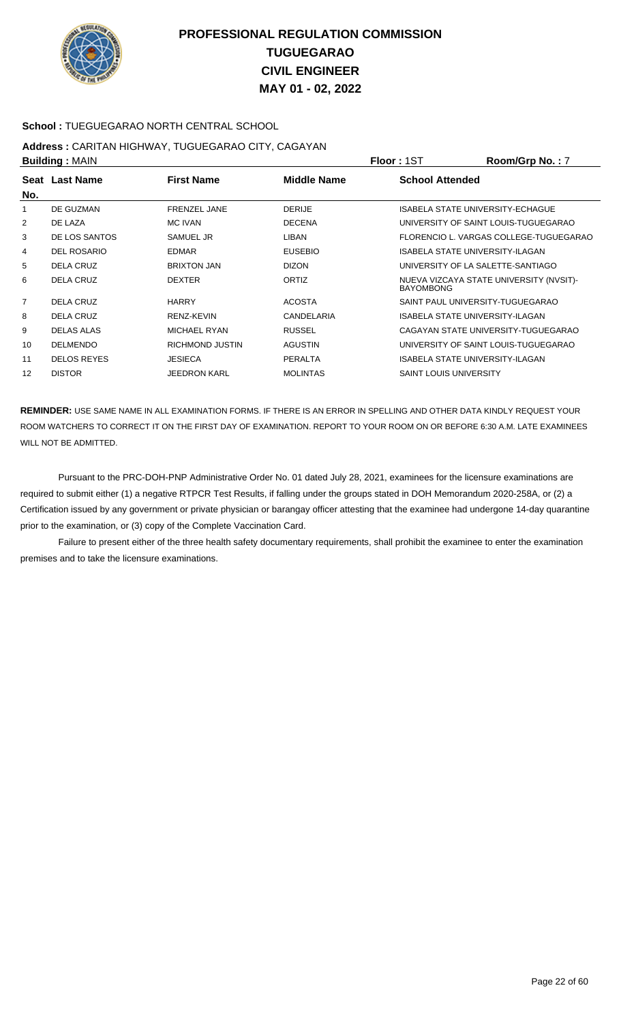

### **School :** TUEGUEGARAO NORTH CENTRAL SCHOOL

#### **Address :** CARITAN HIGHWAY, TUGUEGARAO CITY, CAGAYAN **Building :** MAIN **Floor :** 1ST **Room/Grp No. :** 7

| <b>DUILUILLY</b> JULAILY |                    |                     |                    | 1 IUU - IUI<br>N                                            |
|--------------------------|--------------------|---------------------|--------------------|-------------------------------------------------------------|
| No.                      | Seat Last Name     | <b>First Name</b>   | <b>Middle Name</b> | <b>School Attended</b>                                      |
| 1                        | DE GUZMAN          | <b>FRENZEL JANE</b> | <b>DERIJE</b>      | <b>ISABELA STATE UNIVERSITY-ECHAGUE</b>                     |
| $\overline{2}$           | DE LAZA            | <b>MC IVAN</b>      | <b>DECENA</b>      | UNIVERSITY OF SAINT LOUIS-TUGUEGARAO                        |
| 3                        | DE LOS SANTOS      | <b>SAMUEL JR</b>    | LIBAN              | FLORENCIO L. VARGAS COLLEGE-TUGUEGARAO                      |
| 4                        | DEL ROSARIO        | EDMAR               | <b>EUSEBIO</b>     | ISABELA STATE UNIVERSITY-ILAGAN                             |
| 5                        | <b>DELA CRUZ</b>   | <b>BRIXTON JAN</b>  | <b>DIZON</b>       | UNIVERSITY OF LA SALETTE-SANTIAGO                           |
| 6                        | <b>DELA CRUZ</b>   | <b>DEXTER</b>       | <b>ORTIZ</b>       | NUEVA VIZCAYA STATE UNIVERSITY (NVSIT)-<br><b>BAYOMBONG</b> |
| $\overline{7}$           | <b>DELA CRUZ</b>   | <b>HARRY</b>        | <b>ACOSTA</b>      | SAINT PAUL UNIVERSITY-TUGUEGARAO                            |
| 8                        | <b>DELA CRUZ</b>   | RENZ-KEVIN          | CANDELARIA         | ISABELA STATE UNIVERSITY-ILAGAN                             |
| 9                        | DELAS ALAS         | <b>MICHAEL RYAN</b> | <b>RUSSEL</b>      | CAGAYAN STATE UNIVERSITY-TUGUEGARAO                         |
| 10                       | <b>DELMENDO</b>    | RICHMOND JUSTIN     | <b>AGUSTIN</b>     | UNIVERSITY OF SAINT LOUIS-TUGUEGARAO                        |
| 11                       | <b>DELOS REYES</b> | <b>JESIECA</b>      | <b>PERALTA</b>     | ISABELA STATE UNIVERSITY-ILAGAN                             |
| 12                       | <b>DISTOR</b>      | <b>JEEDRON KARL</b> | <b>MOLINTAS</b>    | <b>SAINT LOUIS UNIVERSITY</b>                               |

**REMINDER:** USE SAME NAME IN ALL EXAMINATION FORMS. IF THERE IS AN ERROR IN SPELLING AND OTHER DATA KINDLY REQUEST YOUR ROOM WATCHERS TO CORRECT IT ON THE FIRST DAY OF EXAMINATION. REPORT TO YOUR ROOM ON OR BEFORE 6:30 A.M. LATE EXAMINEES WILL NOT BE ADMITTED.

 Pursuant to the PRC-DOH-PNP Administrative Order No. 01 dated July 28, 2021, examinees for the licensure examinations are required to submit either (1) a negative RTPCR Test Results, if falling under the groups stated in DOH Memorandum 2020-258A, or (2) a Certification issued by any government or private physician or barangay officer attesting that the examinee had undergone 14-day quarantine prior to the examination, or (3) copy of the Complete Vaccination Card.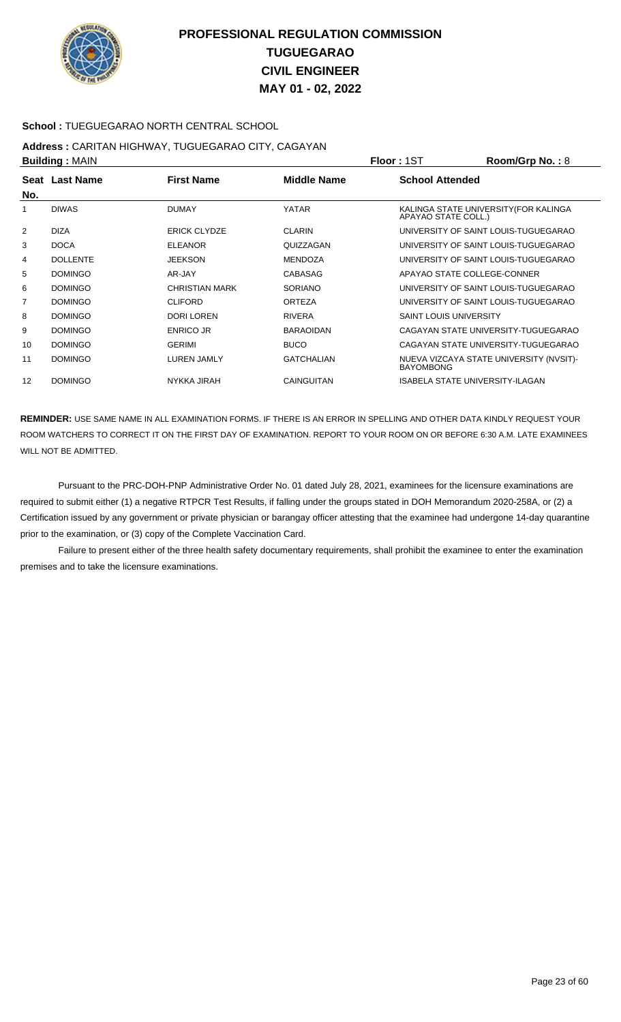

### **School :** TUEGUEGARAO NORTH CENTRAL SCHOOL

# **Address :** CARITAN HIGHWAY, TUGUEGARAO CITY, CAGAYAN

| <b>Building: MAIN</b> |                 |                       |                   | <b>Floor: 1ST</b>             | Room/Grp No.: 8                         |
|-----------------------|-----------------|-----------------------|-------------------|-------------------------------|-----------------------------------------|
|                       | Seat Last Name  | <b>First Name</b>     | Middle Name       | <b>School Attended</b>        |                                         |
| No.                   |                 |                       |                   |                               |                                         |
| 1                     | <b>DIWAS</b>    | <b>DUMAY</b>          | <b>YATAR</b>      | APAYAO STATE COLL.)           | KALINGA STATE UNIVERSITY (FOR KALINGA   |
| 2                     | <b>DIZA</b>     | <b>ERICK CLYDZE</b>   | <b>CLARIN</b>     |                               | UNIVERSITY OF SAINT LOUIS-TUGUEGARAO    |
| 3                     | <b>DOCA</b>     | <b>ELEANOR</b>        | QUIZZAGAN         |                               | UNIVERSITY OF SAINT LOUIS-TUGUEGARAO    |
| 4                     | <b>DOLLENTE</b> | <b>JEEKSON</b>        | <b>MENDOZA</b>    |                               | UNIVERSITY OF SAINT LOUIS-TUGUEGARAO    |
| 5                     | <b>DOMINGO</b>  | AR-JAY                | <b>CABASAG</b>    |                               | APAYAO STATE COLLEGE-CONNER             |
| 6                     | <b>DOMINGO</b>  | <b>CHRISTIAN MARK</b> | <b>SORIANO</b>    |                               | UNIVERSITY OF SAINT LOUIS-TUGUEGARAO    |
| 7                     | <b>DOMINGO</b>  | <b>CLIFORD</b>        | ORTEZA            |                               | UNIVERSITY OF SAINT LOUIS-TUGUEGARAO    |
| 8                     | <b>DOMINGO</b>  | <b>DORI LOREN</b>     | <b>RIVERA</b>     | <b>SAINT LOUIS UNIVERSITY</b> |                                         |
| 9                     | <b>DOMINGO</b>  | <b>ENRICO JR</b>      | <b>BARAOIDAN</b>  |                               | CAGAYAN STATE UNIVERSITY-TUGUEGARAO     |
| 10                    | <b>DOMINGO</b>  | <b>GERIMI</b>         | <b>BUCO</b>       |                               | CAGAYAN STATE UNIVERSITY-TUGUEGARAO     |
| 11                    | <b>DOMINGO</b>  | <b>LUREN JAMLY</b>    | <b>GATCHALIAN</b> | <b>BAYOMBONG</b>              | NUEVA VIZCAYA STATE UNIVERSITY (NVSIT)- |
| 12                    | <b>DOMINGO</b>  | NYKKA JIRAH           | <b>CAINGUITAN</b> |                               | ISABELA STATE UNIVERSITY-ILAGAN         |

**REMINDER:** USE SAME NAME IN ALL EXAMINATION FORMS. IF THERE IS AN ERROR IN SPELLING AND OTHER DATA KINDLY REQUEST YOUR ROOM WATCHERS TO CORRECT IT ON THE FIRST DAY OF EXAMINATION. REPORT TO YOUR ROOM ON OR BEFORE 6:30 A.M. LATE EXAMINEES WILL NOT BE ADMITTED.

 Pursuant to the PRC-DOH-PNP Administrative Order No. 01 dated July 28, 2021, examinees for the licensure examinations are required to submit either (1) a negative RTPCR Test Results, if falling under the groups stated in DOH Memorandum 2020-258A, or (2) a Certification issued by any government or private physician or barangay officer attesting that the examinee had undergone 14-day quarantine prior to the examination, or (3) copy of the Complete Vaccination Card.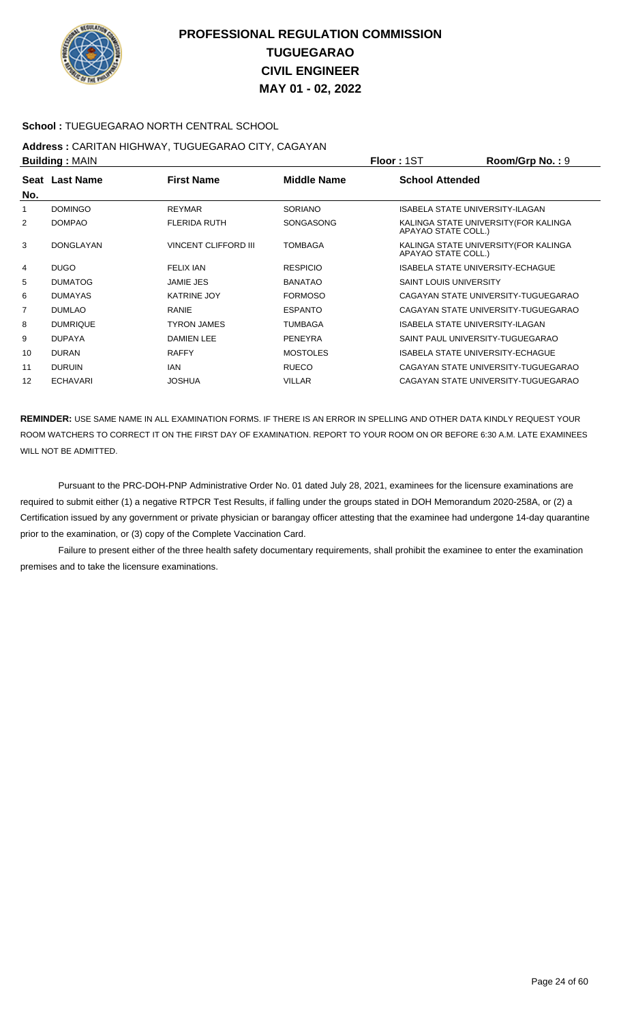

### **School :** TUEGUEGARAO NORTH CENTRAL SCHOOL

# **Address :** CARITAN HIGHWAY, TUGUEGARAO CITY, CAGAYAN

| <b>Building: MAIN</b> |                  |                             |                    | <b>Floor: 1ST</b>             | Room/Grp No.: 9                         |
|-----------------------|------------------|-----------------------------|--------------------|-------------------------------|-----------------------------------------|
| No.                   | Seat Last Name   | <b>First Name</b>           | <b>Middle Name</b> | <b>School Attended</b>        |                                         |
|                       | <b>DOMINGO</b>   | <b>REYMAR</b>               | <b>SORIANO</b>     |                               | ISABELA STATE UNIVERSITY-ILAGAN         |
| 2                     | <b>DOMPAO</b>    | <b>FLERIDA RUTH</b>         | <b>SONGASONG</b>   | APAYAO STATE COLL.)           | KALINGA STATE UNIVERSITY (FOR KALINGA   |
| 3                     | <b>DONGLAYAN</b> | <b>VINCENT CLIFFORD III</b> | <b>TOMBAGA</b>     | APAYAO STATE COLL.)           | KALINGA STATE UNIVERSITY(FOR KALINGA    |
| 4                     | <b>DUGO</b>      | <b>FELIX IAN</b>            | <b>RESPICIO</b>    |                               | <b>ISABELA STATE UNIVERSITY-ECHAGUE</b> |
| 5                     | <b>DUMATOG</b>   | <b>JAMIE JES</b>            | <b>BANATAO</b>     | <b>SAINT LOUIS UNIVERSITY</b> |                                         |
| 6                     | <b>DUMAYAS</b>   | <b>KATRINE JOY</b>          | <b>FORMOSO</b>     |                               | CAGAYAN STATE UNIVERSITY-TUGUEGARAO     |
| $\overline{7}$        | <b>DUMLAO</b>    | <b>RANIE</b>                | <b>ESPANTO</b>     |                               | CAGAYAN STATE UNIVERSITY-TUGUEGARAO     |
| 8                     | <b>DUMRIQUE</b>  | <b>TYRON JAMES</b>          | <b>TUMBAGA</b>     |                               | <b>ISABELA STATE UNIVERSITY-ILAGAN</b>  |
| 9                     | <b>DUPAYA</b>    | <b>DAMIEN LEE</b>           | <b>PENEYRA</b>     |                               | SAINT PAUL UNIVERSITY-TUGUEGARAO        |
| 10                    | <b>DURAN</b>     | <b>RAFFY</b>                | <b>MOSTOLES</b>    |                               | ISABELA STATE UNIVERSITY-ECHAGUE        |
| 11                    | <b>DURUIN</b>    | IAN                         | <b>RUECO</b>       |                               | CAGAYAN STATE UNIVERSITY-TUGUEGARAO     |
| 12                    | <b>ECHAVARI</b>  | <b>JOSHUA</b>               | <b>VILLAR</b>      |                               | CAGAYAN STATE UNIVERSITY-TUGUEGARAO     |

**REMINDER:** USE SAME NAME IN ALL EXAMINATION FORMS. IF THERE IS AN ERROR IN SPELLING AND OTHER DATA KINDLY REQUEST YOUR ROOM WATCHERS TO CORRECT IT ON THE FIRST DAY OF EXAMINATION. REPORT TO YOUR ROOM ON OR BEFORE 6:30 A.M. LATE EXAMINEES WILL NOT BE ADMITTED.

 Pursuant to the PRC-DOH-PNP Administrative Order No. 01 dated July 28, 2021, examinees for the licensure examinations are required to submit either (1) a negative RTPCR Test Results, if falling under the groups stated in DOH Memorandum 2020-258A, or (2) a Certification issued by any government or private physician or barangay officer attesting that the examinee had undergone 14-day quarantine prior to the examination, or (3) copy of the Complete Vaccination Card.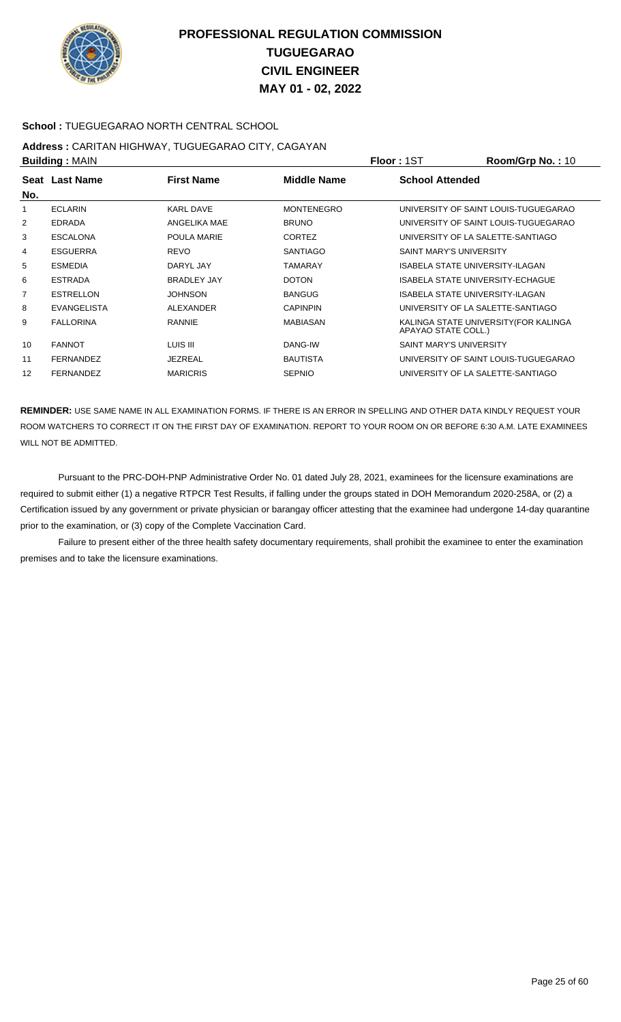

### **School :** TUEGUEGARAO NORTH CENTRAL SCHOOL

#### **Address :** CARITAN HIGHWAY, TUGUEGARAO CITY, CAGAYAN **Building :** MAIN **Floor :** 1ST **Room/Grp No. :** 10

| <b>DUILUILLY</b> ULAIN |                    |                    | 1 IUU 1 1 U 1     |                                                              |
|------------------------|--------------------|--------------------|-------------------|--------------------------------------------------------------|
| No.                    | Seat Last Name     | <b>First Name</b>  | Middle Name       | <b>School Attended</b>                                       |
|                        |                    |                    |                   |                                                              |
|                        | <b>ECLARIN</b>     | <b>KARL DAVE</b>   | <b>MONTENEGRO</b> | UNIVERSITY OF SAINT LOUIS-TUGUEGARAO                         |
| 2                      | <b>EDRADA</b>      | ANGELIKA MAE       | <b>BRUNO</b>      | UNIVERSITY OF SAINT LOUIS-TUGUEGARAO                         |
| 3                      | <b>ESCALONA</b>    | POULA MARIE        | <b>CORTEZ</b>     | UNIVERSITY OF LA SALETTE-SANTIAGO                            |
| 4                      | <b>ESGUERRA</b>    | <b>REVO</b>        | <b>SANTIAGO</b>   | SAINT MARY'S UNIVERSITY                                      |
| 5                      | <b>ESMEDIA</b>     | DARYL JAY          | <b>TAMARAY</b>    | ISABELA STATE UNIVERSITY-ILAGAN                              |
| 6                      | <b>ESTRADA</b>     | <b>BRADLEY JAY</b> | <b>DOTON</b>      | ISABELA STATE UNIVERSITY-ECHAGUE                             |
| $\overline{7}$         | <b>ESTRELLON</b>   | <b>JOHNSON</b>     | <b>BANGUG</b>     | ISABELA STATE UNIVERSITY-ILAGAN                              |
| 8                      | <b>EVANGELISTA</b> | ALEXANDER          | <b>CAPINPIN</b>   | UNIVERSITY OF LA SALETTE-SANTIAGO                            |
| 9                      | <b>FALLORINA</b>   | <b>RANNIE</b>      | <b>MABIASAN</b>   | KALINGA STATE UNIVERSITY (FOR KALINGA<br>APAYAO STATE COLL.) |
| 10                     | <b>FANNOT</b>      | LUIS III           | DANG-IW           | SAINT MARY'S UNIVERSITY                                      |
| 11                     | <b>FERNANDEZ</b>   | <b>JEZREAL</b>     | <b>BAUTISTA</b>   | UNIVERSITY OF SAINT LOUIS-TUGUEGARAO                         |
| 12                     | <b>FERNANDEZ</b>   | <b>MARICRIS</b>    | <b>SEPNIO</b>     | UNIVERSITY OF LA SALETTE-SANTIAGO                            |

**REMINDER:** USE SAME NAME IN ALL EXAMINATION FORMS. IF THERE IS AN ERROR IN SPELLING AND OTHER DATA KINDLY REQUEST YOUR ROOM WATCHERS TO CORRECT IT ON THE FIRST DAY OF EXAMINATION. REPORT TO YOUR ROOM ON OR BEFORE 6:30 A.M. LATE EXAMINEES WILL NOT BE ADMITTED.

 Pursuant to the PRC-DOH-PNP Administrative Order No. 01 dated July 28, 2021, examinees for the licensure examinations are required to submit either (1) a negative RTPCR Test Results, if falling under the groups stated in DOH Memorandum 2020-258A, or (2) a Certification issued by any government or private physician or barangay officer attesting that the examinee had undergone 14-day quarantine prior to the examination, or (3) copy of the Complete Vaccination Card.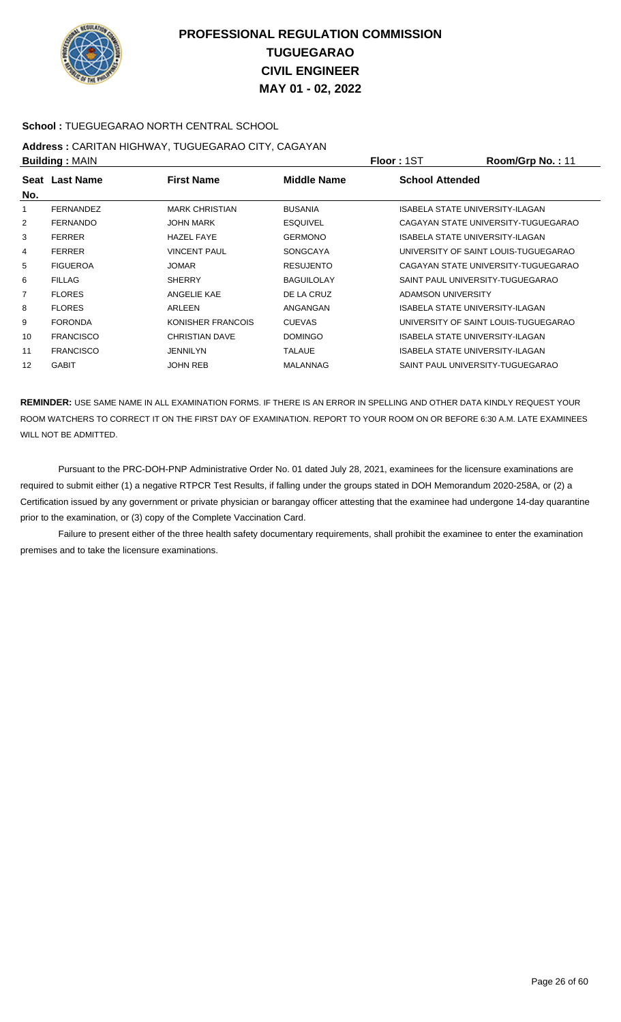

### **School :** TUEGUEGARAO NORTH CENTRAL SCHOOL

# **Address :** CARITAN HIGHWAY, TUGUEGARAO CITY, CAGAYAN

| <b>Building: MAIN</b> |                  |                       |                   | <b>Floor: 1ST</b>                | Room/Grp No.: 11                     |
|-----------------------|------------------|-----------------------|-------------------|----------------------------------|--------------------------------------|
| No.                   | Seat Last Name   | <b>First Name</b>     | Middle Name       | <b>School Attended</b>           |                                      |
|                       | <b>FERNANDEZ</b> | <b>MARK CHRISTIAN</b> | <b>BUSANIA</b>    | ISABELA STATE UNIVERSITY-ILAGAN  |                                      |
| $\overline{2}$        | <b>FERNANDO</b>  | <b>JOHN MARK</b>      | <b>ESQUIVEL</b>   |                                  | CAGAYAN STATE UNIVERSITY-TUGUEGARAO  |
| 3                     | <b>FERRER</b>    | <b>HAZEL FAYE</b>     | <b>GERMONO</b>    | ISABELA STATE UNIVERSITY-ILAGAN  |                                      |
| 4                     | <b>FERRER</b>    | <b>VINCENT PAUL</b>   | <b>SONGCAYA</b>   |                                  | UNIVERSITY OF SAINT LOUIS-TUGUEGARAO |
| 5                     | <b>FIGUEROA</b>  | <b>JOMAR</b>          | <b>RESUJENTO</b>  |                                  | CAGAYAN STATE UNIVERSITY-TUGUEGARAO  |
| 6                     | <b>FILLAG</b>    | <b>SHERRY</b>         | <b>BAGUILOLAY</b> | SAINT PAUL UNIVERSITY-TUGUEGARAO |                                      |
| $\overline{7}$        | <b>FLORES</b>    | ANGELIE KAE           | DE LA CRUZ        | ADAMSON UNIVERSITY               |                                      |
| 8                     | <b>FLORES</b>    | ARLEEN                | ANGANGAN          | ISABELA STATE UNIVERSITY-ILAGAN  |                                      |
| 9                     | <b>FORONDA</b>   | KONISHER FRANCOIS     | <b>CUEVAS</b>     |                                  | UNIVERSITY OF SAINT LOUIS-TUGUEGARAO |
| 10                    | <b>FRANCISCO</b> | <b>CHRISTIAN DAVE</b> | <b>DOMINGO</b>    | ISABELA STATE UNIVERSITY-ILAGAN  |                                      |
| 11                    | <b>FRANCISCO</b> | <b>JENNILYN</b>       | <b>TALAUE</b>     | ISABELA STATE UNIVERSITY-ILAGAN  |                                      |
| 12                    | <b>GABIT</b>     | <b>JOHN REB</b>       | MALANNAG          | SAINT PAUL UNIVERSITY-TUGUEGARAO |                                      |

**REMINDER:** USE SAME NAME IN ALL EXAMINATION FORMS. IF THERE IS AN ERROR IN SPELLING AND OTHER DATA KINDLY REQUEST YOUR ROOM WATCHERS TO CORRECT IT ON THE FIRST DAY OF EXAMINATION. REPORT TO YOUR ROOM ON OR BEFORE 6:30 A.M. LATE EXAMINEES WILL NOT BE ADMITTED.

 Pursuant to the PRC-DOH-PNP Administrative Order No. 01 dated July 28, 2021, examinees for the licensure examinations are required to submit either (1) a negative RTPCR Test Results, if falling under the groups stated in DOH Memorandum 2020-258A, or (2) a Certification issued by any government or private physician or barangay officer attesting that the examinee had undergone 14-day quarantine prior to the examination, or (3) copy of the Complete Vaccination Card.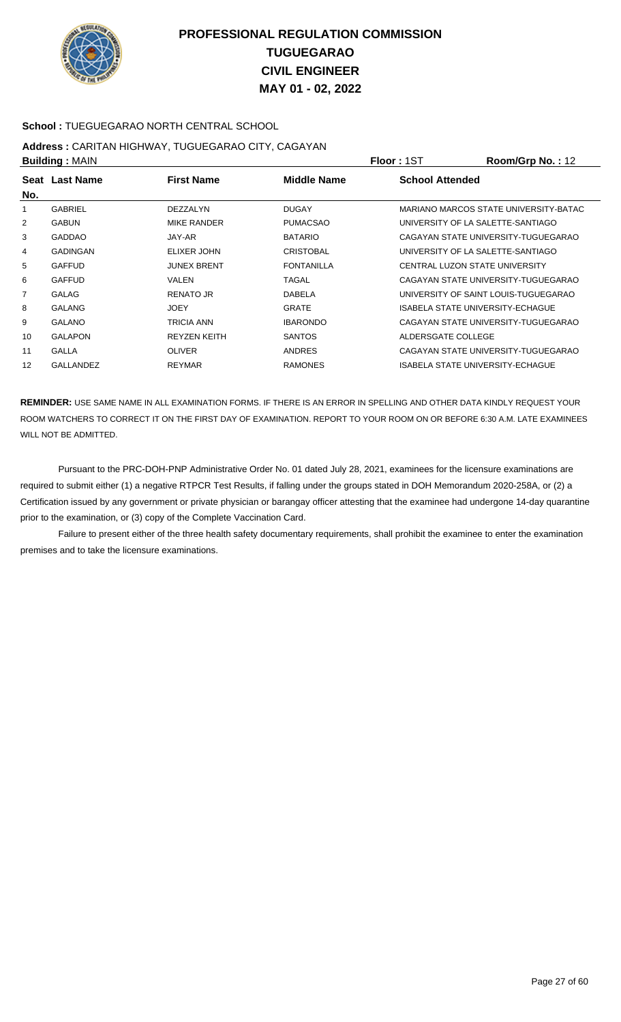

### **School :** TUEGUEGARAO NORTH CENTRAL SCHOOL

# **Address :** CARITAN HIGHWAY, TUGUEGARAO CITY, CAGAYAN

| <b>Building: MAIN</b> |                 |                     |                    | <b>Floor: 1ST</b>      | Room/Grp No.: 12                             |
|-----------------------|-----------------|---------------------|--------------------|------------------------|----------------------------------------------|
| No.                   | Seat Last Name  | <b>First Name</b>   | <b>Middle Name</b> | <b>School Attended</b> |                                              |
|                       | <b>GABRIEL</b>  | <b>DEZZALYN</b>     | <b>DUGAY</b>       |                        | <b>MARIANO MARCOS STATE UNIVERSITY-BATAC</b> |
| 2                     | <b>GABUN</b>    | <b>MIKE RANDER</b>  | <b>PUMACSAO</b>    |                        | UNIVERSITY OF LA SALETTE-SANTIAGO            |
| 3                     | <b>GADDAO</b>   | JAY-AR              | <b>BATARIO</b>     |                        | CAGAYAN STATE UNIVERSITY-TUGUEGARAO          |
| 4                     | <b>GADINGAN</b> | ELIXER JOHN         | <b>CRISTOBAL</b>   |                        | UNIVERSITY OF LA SALETTE-SANTIAGO            |
| 5                     | <b>GAFFUD</b>   | <b>JUNEX BRENT</b>  | <b>FONTANILLA</b>  |                        | CENTRAL LUZON STATE UNIVERSITY               |
| 6                     | <b>GAFFUD</b>   | VALEN               | TAGAL              |                        | CAGAYAN STATE UNIVERSITY-TUGUEGARAO          |
| $\overline{7}$        | <b>GALAG</b>    | <b>RENATO JR</b>    | <b>DABELA</b>      |                        | UNIVERSITY OF SAINT LOUIS-TUGUEGARAO         |
| 8                     | <b>GALANG</b>   | <b>JOEY</b>         | <b>GRATE</b>       |                        | ISABELA STATE UNIVERSITY-ECHAGUE             |
| 9                     | <b>GALANO</b>   | TRICIA ANN          | <b>IBARONDO</b>    |                        | CAGAYAN STATE UNIVERSITY-TUGUEGARAO          |
| 10                    | <b>GALAPON</b>  | <b>REYZEN KEITH</b> | <b>SANTOS</b>      | ALDERSGATE COLLEGE     |                                              |
| 11                    | <b>GALLA</b>    | <b>OLIVER</b>       | <b>ANDRES</b>      |                        | CAGAYAN STATE UNIVERSITY-TUGUEGARAO          |
| 12                    | GALLANDEZ       | <b>REYMAR</b>       | <b>RAMONES</b>     |                        | ISABELA STATE UNIVERSITY-ECHAGUE             |

**REMINDER:** USE SAME NAME IN ALL EXAMINATION FORMS. IF THERE IS AN ERROR IN SPELLING AND OTHER DATA KINDLY REQUEST YOUR ROOM WATCHERS TO CORRECT IT ON THE FIRST DAY OF EXAMINATION. REPORT TO YOUR ROOM ON OR BEFORE 6:30 A.M. LATE EXAMINEES WILL NOT BE ADMITTED.

 Pursuant to the PRC-DOH-PNP Administrative Order No. 01 dated July 28, 2021, examinees for the licensure examinations are required to submit either (1) a negative RTPCR Test Results, if falling under the groups stated in DOH Memorandum 2020-258A, or (2) a Certification issued by any government or private physician or barangay officer attesting that the examinee had undergone 14-day quarantine prior to the examination, or (3) copy of the Complete Vaccination Card.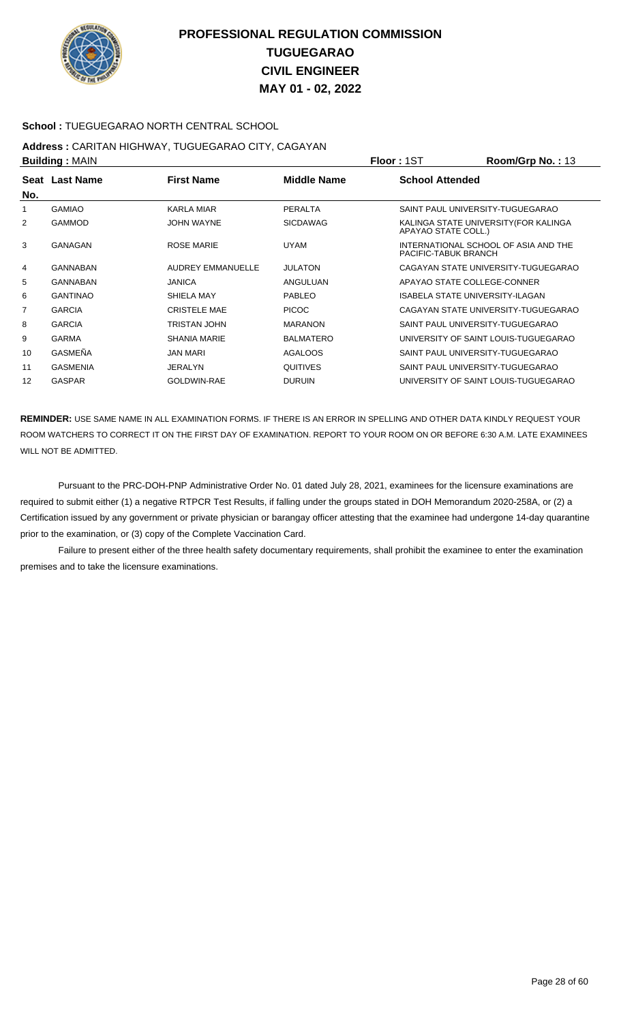

### **School :** TUEGUEGARAO NORTH CENTRAL SCHOOL

# **Address :** CARITAN HIGHWAY, TUGUEGARAO CITY, CAGAYAN

| <b>Building: MAIN</b> |                 |                     |                    | <b>Floor: 1ST</b>      | Room/Grp No.: 13                       |
|-----------------------|-----------------|---------------------|--------------------|------------------------|----------------------------------------|
|                       | Seat Last Name  | <b>First Name</b>   | <b>Middle Name</b> | <b>School Attended</b> |                                        |
| No.                   |                 |                     |                    |                        |                                        |
|                       | <b>GAMIAO</b>   | KARLA MIAR          | <b>PERALTA</b>     |                        | SAINT PAUL UNIVERSITY-TUGUEGARAO       |
| 2                     | <b>GAMMOD</b>   | <b>JOHN WAYNE</b>   | <b>SICDAWAG</b>    | APAYAO STATE COLL.)    | KALINGA STATE UNIVERSITY (FOR KALINGA  |
| 3                     | GANAGAN         | <b>ROSE MARIE</b>   | <b>UYAM</b>        | PACIFIC-TABUK BRANCH   | INTERNATIONAL SCHOOL OF ASIA AND THE   |
| $\overline{4}$        | GANNABAN        | AUDREY EMMANUELLE   | <b>JULATON</b>     |                        | CAGAYAN STATE UNIVERSITY-TUGUEGARAO    |
| 5                     | GANNABAN        | <b>JANICA</b>       | ANGULUAN           |                        | APAYAO STATE COLLEGE-CONNER            |
| 6                     | <b>GANTINAO</b> | SHIELA MAY          | <b>PABLEO</b>      |                        | <b>ISABELA STATE UNIVERSITY-ILAGAN</b> |
| 7                     | <b>GARCIA</b>   | <b>CRISTELE MAE</b> | PICOC              |                        | CAGAYAN STATE UNIVERSITY-TUGUEGARAO    |
| 8                     | <b>GARCIA</b>   | <b>TRISTAN JOHN</b> | <b>MARANON</b>     |                        | SAINT PAUL UNIVERSITY-TUGUEGARAO       |
| 9                     | <b>GARMA</b>    | <b>SHANIA MARIE</b> | <b>BALMATERO</b>   |                        | UNIVERSITY OF SAINT LOUIS-TUGUEGARAO   |
| 10                    | GASMEÑA         | <b>JAN MARI</b>     | <b>AGALOOS</b>     |                        | SAINT PAUL UNIVERSITY-TUGUEGARAO       |
| 11                    | <b>GASMENIA</b> | <b>JERALYN</b>      | <b>QUITIVES</b>    |                        | SAINT PAUL UNIVERSITY-TUGUEGARAO       |
| 12                    | <b>GASPAR</b>   | GOLDWIN-RAE         | <b>DURUIN</b>      |                        | UNIVERSITY OF SAINT LOUIS-TUGUEGARAO   |
|                       |                 |                     |                    |                        |                                        |

**REMINDER:** USE SAME NAME IN ALL EXAMINATION FORMS. IF THERE IS AN ERROR IN SPELLING AND OTHER DATA KINDLY REQUEST YOUR ROOM WATCHERS TO CORRECT IT ON THE FIRST DAY OF EXAMINATION. REPORT TO YOUR ROOM ON OR BEFORE 6:30 A.M. LATE EXAMINEES WILL NOT BE ADMITTED.

 Pursuant to the PRC-DOH-PNP Administrative Order No. 01 dated July 28, 2021, examinees for the licensure examinations are required to submit either (1) a negative RTPCR Test Results, if falling under the groups stated in DOH Memorandum 2020-258A, or (2) a Certification issued by any government or private physician or barangay officer attesting that the examinee had undergone 14-day quarantine prior to the examination, or (3) copy of the Complete Vaccination Card.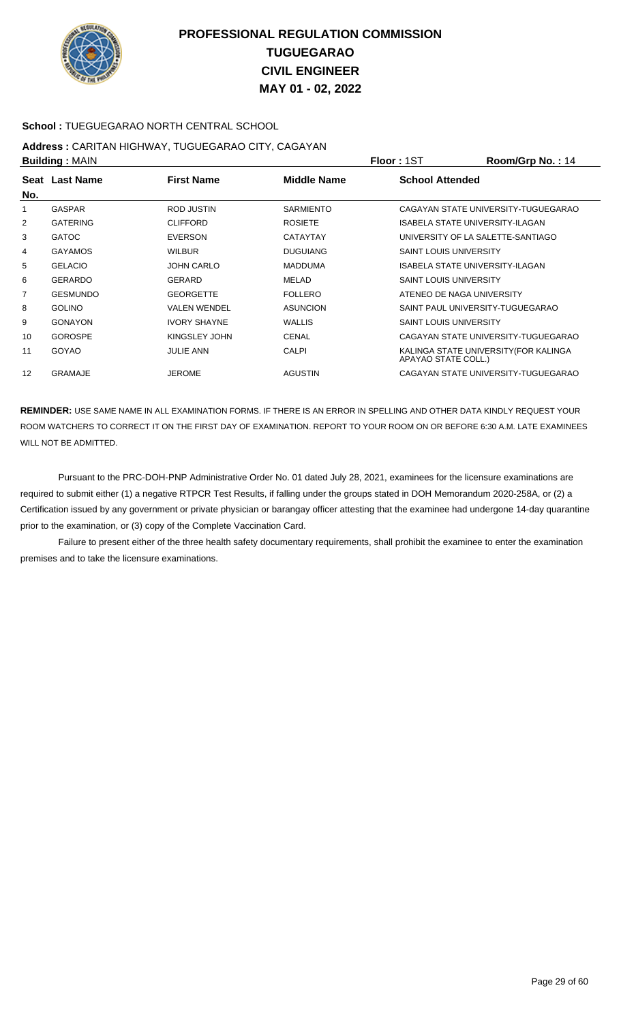

### **School :** TUEGUEGARAO NORTH CENTRAL SCHOOL

# **Address :** CARITAN HIGHWAY, TUGUEGARAO CITY, CAGAYAN

| <b>Building: MAIN</b> |                 |                     |                  | <b>Floor: 1ST</b>             | Room/Grp No.: 14                       |
|-----------------------|-----------------|---------------------|------------------|-------------------------------|----------------------------------------|
|                       | Seat Last Name  | <b>First Name</b>   | Middle Name      | <b>School Attended</b>        |                                        |
| No.                   |                 |                     |                  |                               |                                        |
| 1                     | <b>GASPAR</b>   | ROD JUSTIN          | <b>SARMIENTO</b> |                               | CAGAYAN STATE UNIVERSITY-TUGUEGARAO    |
| 2                     | <b>GATERING</b> | <b>CLIFFORD</b>     | <b>ROSIETE</b>   |                               | <b>ISABELA STATE UNIVERSITY-ILAGAN</b> |
| 3                     | <b>GATOC</b>    | <b>EVERSON</b>      | <b>CATAYTAY</b>  |                               | UNIVERSITY OF LA SALETTE-SANTIAGO      |
| 4                     | <b>GAYAMOS</b>  | <b>WILBUR</b>       | <b>DUGUIANG</b>  | <b>SAINT LOUIS UNIVERSITY</b> |                                        |
| 5                     | <b>GELACIO</b>  | <b>JOHN CARLO</b>   | <b>MADDUMA</b>   |                               | ISABELA STATE UNIVERSITY-ILAGAN        |
| 6                     | <b>GERARDO</b>  | <b>GERARD</b>       | MELAD            | <b>SAINT LOUIS UNIVERSITY</b> |                                        |
| 7                     | <b>GESMUNDO</b> | <b>GEORGETTE</b>    | <b>FOLLERO</b>   |                               | ATENEO DE NAGA UNIVERSITY              |
| 8                     | <b>GOLINO</b>   | <b>VALEN WENDEL</b> | <b>ASUNCION</b>  |                               | SAINT PAUL UNIVERSITY-TUGUEGARAO       |
| 9                     | <b>GONAYON</b>  | <b>IVORY SHAYNE</b> | <b>WALLIS</b>    | <b>SAINT LOUIS UNIVERSITY</b> |                                        |
| 10                    | <b>GOROSPE</b>  | KINGSLEY JOHN       | <b>CENAL</b>     |                               | CAGAYAN STATE UNIVERSITY-TUGUEGARAO    |
| 11                    | <b>GOYAO</b>    | <b>JULIE ANN</b>    | <b>CALPI</b>     | APAYAO STATE COLL.)           | KALINGA STATE UNIVERSITY (FOR KALINGA  |
| 12                    | GRAMAJE         | <b>JEROME</b>       | <b>AGUSTIN</b>   |                               | CAGAYAN STATE UNIVERSITY-TUGUEGARAO    |

**REMINDER:** USE SAME NAME IN ALL EXAMINATION FORMS. IF THERE IS AN ERROR IN SPELLING AND OTHER DATA KINDLY REQUEST YOUR ROOM WATCHERS TO CORRECT IT ON THE FIRST DAY OF EXAMINATION. REPORT TO YOUR ROOM ON OR BEFORE 6:30 A.M. LATE EXAMINEES WILL NOT BE ADMITTED.

 Pursuant to the PRC-DOH-PNP Administrative Order No. 01 dated July 28, 2021, examinees for the licensure examinations are required to submit either (1) a negative RTPCR Test Results, if falling under the groups stated in DOH Memorandum 2020-258A, or (2) a Certification issued by any government or private physician or barangay officer attesting that the examinee had undergone 14-day quarantine prior to the examination, or (3) copy of the Complete Vaccination Card.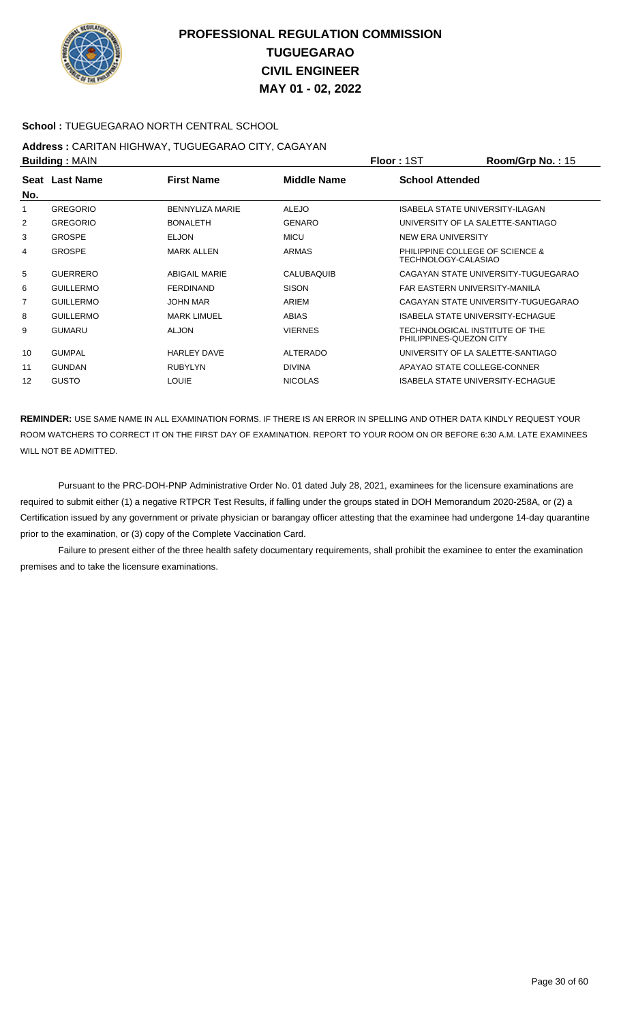

### **School :** TUEGUEGARAO NORTH CENTRAL SCHOOL

# **Address :** CARITAN HIGHWAY, TUGUEGARAO CITY, CAGAYAN

| <b>Building: MAIN</b> |                  |                        |                    | Floor: 1ST              | Room/Grp No.: 15                    |
|-----------------------|------------------|------------------------|--------------------|-------------------------|-------------------------------------|
|                       | Seat Last Name   | <b>First Name</b>      | <b>Middle Name</b> | <b>School Attended</b>  |                                     |
| No.                   |                  |                        |                    |                         |                                     |
| 1                     | <b>GREGORIO</b>  | <b>BENNYLIZA MARIE</b> | <b>ALEJO</b>       |                         | ISABELA STATE UNIVERSITY-ILAGAN     |
| $\overline{2}$        | <b>GREGORIO</b>  | <b>BONALETH</b>        | <b>GENARO</b>      |                         | UNIVERSITY OF LA SALETTE-SANTIAGO   |
| 3                     | <b>GROSPE</b>    | <b>ELJON</b>           | <b>MICU</b>        | NEW ERA UNIVERSITY      |                                     |
| 4                     | <b>GROSPE</b>    | <b>MARK ALLEN</b>      | <b>ARMAS</b>       | TECHNOLOGY-CALASIAO     | PHILIPPINE COLLEGE OF SCIENCE &     |
| 5                     | <b>GUERRERO</b>  | <b>ABIGAIL MARIE</b>   | CALUBAQUIB         |                         | CAGAYAN STATE UNIVERSITY-TUGUEGARAO |
| 6                     | <b>GUILLERMO</b> | <b>FERDINAND</b>       | <b>SISON</b>       |                         | FAR EASTERN UNIVERSITY-MANILA       |
| $\overline{7}$        | <b>GUILLERMO</b> | <b>JOHN MAR</b>        | ARIEM              |                         | CAGAYAN STATE UNIVERSITY-TUGUEGARAO |
| 8                     | <b>GUILLERMO</b> | <b>MARK LIMUEL</b>     | <b>ABIAS</b>       |                         | ISABELA STATE UNIVERSITY-ECHAGUE    |
| 9                     | <b>GUMARU</b>    | <b>ALJON</b>           | <b>VIERNES</b>     | PHILIPPINES-QUEZON CITY | TECHNOLOGICAL INSTITUTE OF THE      |
| 10                    | <b>GUMPAL</b>    | <b>HARLEY DAVE</b>     | ALTERADO           |                         | UNIVERSITY OF LA SALETTE-SANTIAGO   |
| 11                    | <b>GUNDAN</b>    | <b>RUBYLYN</b>         | <b>DIVINA</b>      |                         | APAYAO STATE COLLEGE-CONNER         |
| 12                    | <b>GUSTO</b>     | <b>LOUIE</b>           | <b>NICOLAS</b>     |                         | ISABELA STATE UNIVERSITY-ECHAGUE    |
|                       |                  |                        |                    |                         |                                     |

**REMINDER:** USE SAME NAME IN ALL EXAMINATION FORMS. IF THERE IS AN ERROR IN SPELLING AND OTHER DATA KINDLY REQUEST YOUR ROOM WATCHERS TO CORRECT IT ON THE FIRST DAY OF EXAMINATION. REPORT TO YOUR ROOM ON OR BEFORE 6:30 A.M. LATE EXAMINEES WILL NOT BE ADMITTED.

 Pursuant to the PRC-DOH-PNP Administrative Order No. 01 dated July 28, 2021, examinees for the licensure examinations are required to submit either (1) a negative RTPCR Test Results, if falling under the groups stated in DOH Memorandum 2020-258A, or (2) a Certification issued by any government or private physician or barangay officer attesting that the examinee had undergone 14-day quarantine prior to the examination, or (3) copy of the Complete Vaccination Card.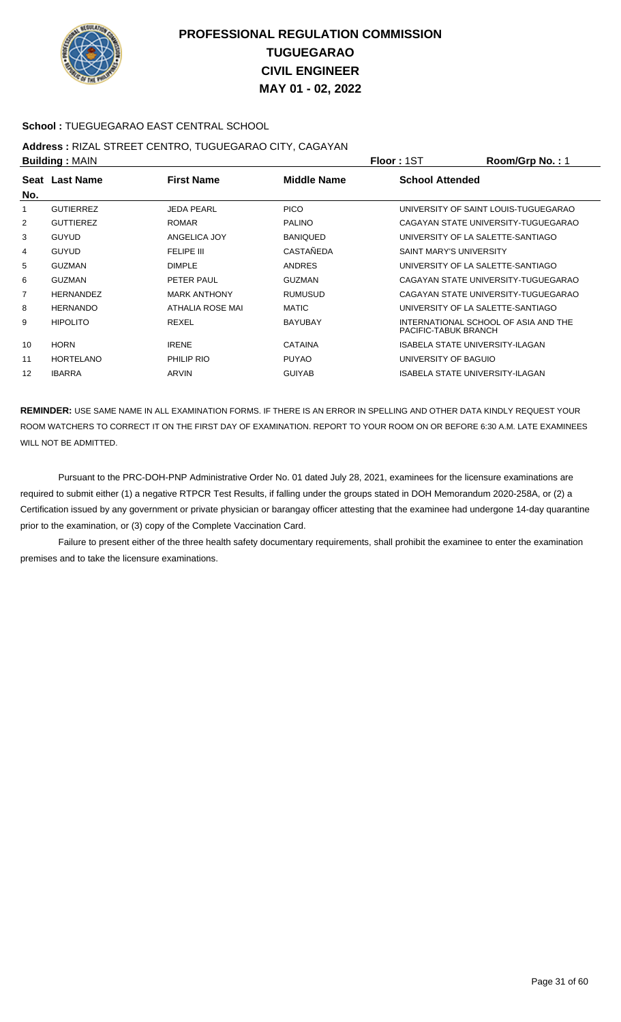

### **School :** TUEGUEGARAO EAST CENTRAL SCHOOL

## **Address :** RIZAL STREET CENTRO, TUGUEGARAO CITY, CAGAYAN

| <b>Building: MAIN</b> |                  |                     | Floor: 1ST      | Room/Grp No.: 1         |                                      |
|-----------------------|------------------|---------------------|-----------------|-------------------------|--------------------------------------|
|                       | Seat Last Name   | <b>First Name</b>   | Middle Name     | <b>School Attended</b>  |                                      |
| No.                   |                  |                     |                 |                         |                                      |
| 1                     | <b>GUTIERREZ</b> | <b>JEDA PEARL</b>   | <b>PICO</b>     |                         | UNIVERSITY OF SAINT LOUIS-TUGUEGARAO |
| 2                     | <b>GUTTIEREZ</b> | <b>ROMAR</b>        | <b>PALINO</b>   |                         | CAGAYAN STATE UNIVERSITY-TUGUEGARAO  |
| 3                     | <b>GUYUD</b>     | ANGELICA JOY        | <b>BANIQUED</b> |                         | UNIVERSITY OF LA SALETTE-SANTIAGO    |
| 4                     | <b>GUYUD</b>     | FELIPE III          | CASTAÑEDA       | SAINT MARY'S UNIVERSITY |                                      |
| 5                     | <b>GUZMAN</b>    | <b>DIMPLE</b>       | <b>ANDRES</b>   |                         | UNIVERSITY OF LA SALETTE-SANTIAGO    |
| 6                     | <b>GUZMAN</b>    | PETER PAUL          | <b>GUZMAN</b>   |                         | CAGAYAN STATE UNIVERSITY-TUGUEGARAO  |
| $\overline{7}$        | <b>HERNANDEZ</b> | <b>MARK ANTHONY</b> | RUMUSUD         |                         | CAGAYAN STATE UNIVERSITY-TUGUEGARAO  |
| 8                     | <b>HERNANDO</b>  | ATHALIA ROSE MAI    | <b>MATIC</b>    |                         | UNIVERSITY OF LA SALETTE-SANTIAGO    |
| 9                     | <b>HIPOLITO</b>  | REXEL               | <b>BAYUBAY</b>  | PACIFIC-TABUK BRANCH    | INTERNATIONAL SCHOOL OF ASIA AND THE |
| 10                    | <b>HORN</b>      | <b>IRENE</b>        | <b>CATAINA</b>  |                         | ISABELA STATE UNIVERSITY-ILAGAN      |
| 11                    | <b>HORTELANO</b> | PHILIP RIO          | <b>PUYAO</b>    | UNIVERSITY OF BAGUIO    |                                      |
| 12                    | <b>IBARRA</b>    | ARVIN               | <b>GUIYAB</b>   |                         | ISABELA STATE UNIVERSITY-ILAGAN      |

**REMINDER:** USE SAME NAME IN ALL EXAMINATION FORMS. IF THERE IS AN ERROR IN SPELLING AND OTHER DATA KINDLY REQUEST YOUR ROOM WATCHERS TO CORRECT IT ON THE FIRST DAY OF EXAMINATION. REPORT TO YOUR ROOM ON OR BEFORE 6:30 A.M. LATE EXAMINEES WILL NOT BE ADMITTED.

 Pursuant to the PRC-DOH-PNP Administrative Order No. 01 dated July 28, 2021, examinees for the licensure examinations are required to submit either (1) a negative RTPCR Test Results, if falling under the groups stated in DOH Memorandum 2020-258A, or (2) a Certification issued by any government or private physician or barangay officer attesting that the examinee had undergone 14-day quarantine prior to the examination, or (3) copy of the Complete Vaccination Card.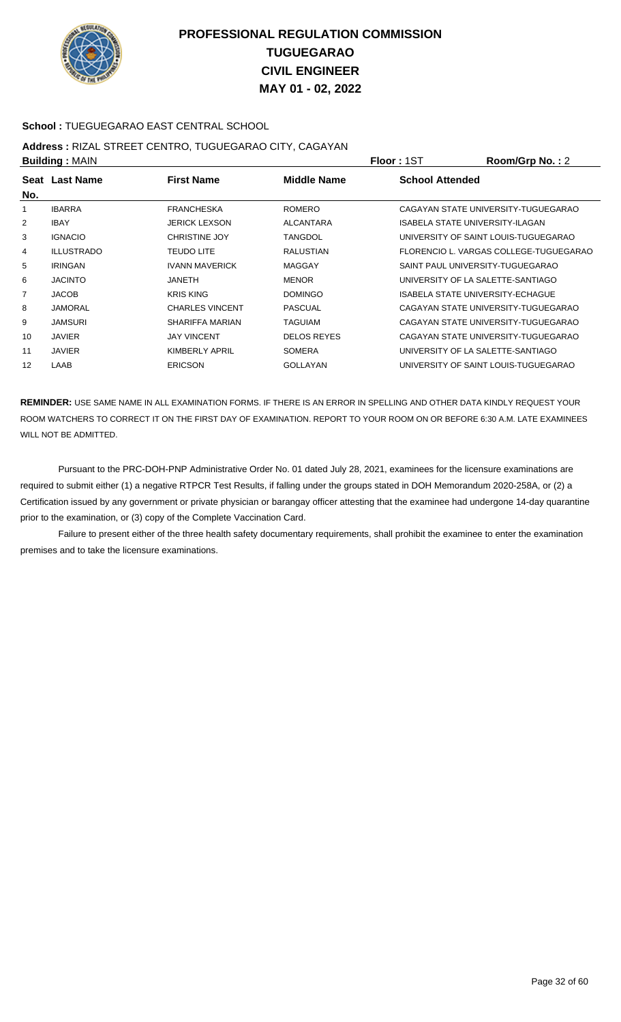

### **School :** TUEGUEGARAO EAST CENTRAL SCHOOL

## **Address :** RIZAL STREET CENTRO, TUGUEGARAO CITY, CAGAYAN

| <b>Building: MAIN</b> |                   |                        |                    | <b>Floor: 1ST</b>      | Room/Grp No.: 2                        |
|-----------------------|-------------------|------------------------|--------------------|------------------------|----------------------------------------|
| No.                   | Seat Last Name    | <b>First Name</b>      | <b>Middle Name</b> | <b>School Attended</b> |                                        |
|                       | <b>IBARRA</b>     | <b>FRANCHESKA</b>      | <b>ROMERO</b>      |                        | CAGAYAN STATE UNIVERSITY-TUGUEGARAO    |
| 2                     | <b>IBAY</b>       | <b>JERICK LEXSON</b>   | <b>ALCANTARA</b>   |                        | <b>ISABELA STATE UNIVERSITY-ILAGAN</b> |
| 3                     | <b>IGNACIO</b>    | <b>CHRISTINE JOY</b>   | <b>TANGDOL</b>     |                        | UNIVERSITY OF SAINT LOUIS-TUGUEGARAO   |
| 4                     | <b>ILLUSTRADO</b> | <b>TEUDO LITE</b>      | <b>RALUSTIAN</b>   |                        | FLORENCIO L. VARGAS COLLEGE-TUGUEGARAO |
| 5                     | <b>IRINGAN</b>    | <b>IVANN MAVERICK</b>  | <b>MAGGAY</b>      |                        | SAINT PAUL UNIVERSITY-TUGUEGARAO       |
| 6                     | <b>JACINTO</b>    | <b>JANETH</b>          | <b>MENOR</b>       |                        | UNIVERSITY OF LA SALETTE-SANTIAGO      |
| $\overline{7}$        | <b>JACOB</b>      | <b>KRIS KING</b>       | <b>DOMINGO</b>     |                        | ISABELA STATE UNIVERSITY-ECHAGUE       |
| 8                     | <b>JAMORAL</b>    | <b>CHARLES VINCENT</b> | <b>PASCUAL</b>     |                        | CAGAYAN STATE UNIVERSITY-TUGUEGARAO    |
| 9                     | <b>JAMSURI</b>    | SHARIFFA MARIAN        | <b>TAGUIAM</b>     |                        | CAGAYAN STATE UNIVERSITY-TUGUEGARAO    |
| 10                    | <b>JAVIER</b>     | <b>JAY VINCENT</b>     | <b>DELOS REYES</b> |                        | CAGAYAN STATE UNIVERSITY-TUGUEGARAO    |
| 11                    | <b>JAVIER</b>     | KIMBERLY APRIL         | <b>SOMERA</b>      |                        | UNIVERSITY OF LA SALETTE-SANTIAGO      |
| 12                    | LAAB              | <b>ERICSON</b>         | <b>GOLLAYAN</b>    |                        | UNIVERSITY OF SAINT LOUIS-TUGUEGARAO   |

**REMINDER:** USE SAME NAME IN ALL EXAMINATION FORMS. IF THERE IS AN ERROR IN SPELLING AND OTHER DATA KINDLY REQUEST YOUR ROOM WATCHERS TO CORRECT IT ON THE FIRST DAY OF EXAMINATION. REPORT TO YOUR ROOM ON OR BEFORE 6:30 A.M. LATE EXAMINEES WILL NOT BE ADMITTED.

 Pursuant to the PRC-DOH-PNP Administrative Order No. 01 dated July 28, 2021, examinees for the licensure examinations are required to submit either (1) a negative RTPCR Test Results, if falling under the groups stated in DOH Memorandum 2020-258A, or (2) a Certification issued by any government or private physician or barangay officer attesting that the examinee had undergone 14-day quarantine prior to the examination, or (3) copy of the Complete Vaccination Card.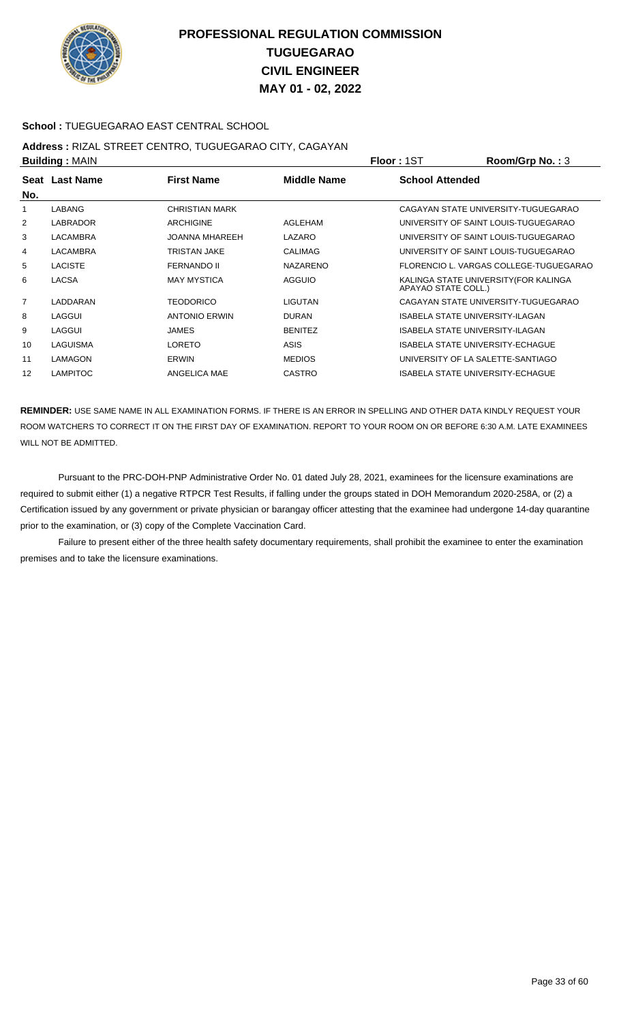

### **School :** TUEGUEGARAO EAST CENTRAL SCHOOL

## **Address :** RIZAL STREET CENTRO, TUGUEGARAO CITY, CAGAYAN

| <b>Building: MAIN</b> |                 |                       |                    | <b>Floor: 1ST</b>                       | Room/Grp No.: 3                        |
|-----------------------|-----------------|-----------------------|--------------------|-----------------------------------------|----------------------------------------|
| No.                   | Seat Last Name  | <b>First Name</b>     | <b>Middle Name</b> | <b>School Attended</b>                  |                                        |
| 1                     | <b>LABANG</b>   | <b>CHRISTIAN MARK</b> |                    |                                         | CAGAYAN STATE UNIVERSITY-TUGUEGARAO    |
| 2                     | <b>LABRADOR</b> | <b>ARCHIGINE</b>      | AGLEHAM            |                                         | UNIVERSITY OF SAINT LOUIS-TUGUEGARAO   |
| 3                     | <b>LACAMBRA</b> | <b>JOANNA MHAREEH</b> | LAZARO             |                                         | UNIVERSITY OF SAINT LOUIS-TUGUEGARAO   |
| 4                     | <b>LACAMBRA</b> | <b>TRISTAN JAKE</b>   | <b>CALIMAG</b>     |                                         | UNIVERSITY OF SAINT LOUIS-TUGUEGARAO   |
| 5                     | <b>LACISTE</b>  | <b>FERNANDO II</b>    | <b>NAZARENO</b>    |                                         | FLORENCIO L. VARGAS COLLEGE-TUGUEGARAO |
| 6                     | LACSA           | <b>MAY MYSTICA</b>    | <b>AGGUIO</b>      | APAYAO STATE COLL.)                     | KALINGA STATE UNIVERSITY (FOR KALINGA  |
| $\overline{7}$        | LADDARAN        | TEODORICO             | <b>LIGUTAN</b>     |                                         | CAGAYAN STATE UNIVERSITY-TUGUEGARAO    |
| 8                     | LAGGUI          | <b>ANTONIO ERWIN</b>  | <b>DURAN</b>       | ISABELA STATE UNIVERSITY-ILAGAN         |                                        |
| 9                     | LAGGUI          | <b>JAMES</b>          | <b>BENITEZ</b>     | ISABELA STATE UNIVERSITY-ILAGAN         |                                        |
| 10                    | LAGUISMA        | <b>LORETO</b>         | ASIS               | ISABELA STATE UNIVERSITY-ECHAGUE        |                                        |
| 11                    | LAMAGON         | ERWIN                 | <b>MEDIOS</b>      | UNIVERSITY OF LA SALETTE-SANTIAGO       |                                        |
| 12                    | <b>LAMPITOC</b> | ANGELICA MAE          | <b>CASTRO</b>      | <b>ISABELA STATE UNIVERSITY-ECHAGUE</b> |                                        |
|                       |                 |                       |                    |                                         |                                        |

**REMINDER:** USE SAME NAME IN ALL EXAMINATION FORMS. IF THERE IS AN ERROR IN SPELLING AND OTHER DATA KINDLY REQUEST YOUR ROOM WATCHERS TO CORRECT IT ON THE FIRST DAY OF EXAMINATION. REPORT TO YOUR ROOM ON OR BEFORE 6:30 A.M. LATE EXAMINEES WILL NOT BE ADMITTED.

 Pursuant to the PRC-DOH-PNP Administrative Order No. 01 dated July 28, 2021, examinees for the licensure examinations are required to submit either (1) a negative RTPCR Test Results, if falling under the groups stated in DOH Memorandum 2020-258A, or (2) a Certification issued by any government or private physician or barangay officer attesting that the examinee had undergone 14-day quarantine prior to the examination, or (3) copy of the Complete Vaccination Card.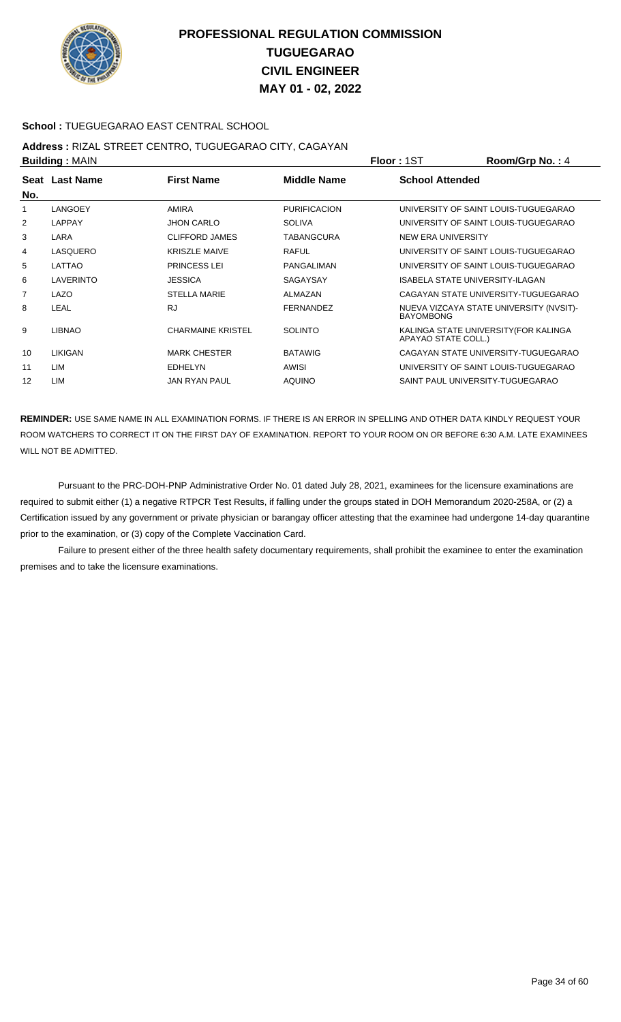

### **School :** TUEGUEGARAO EAST CENTRAL SCHOOL

## **Address :** RIZAL STREET CENTRO, TUGUEGARAO CITY, CAGAYAN

| <b>Building: MAIN</b> |                |                          |                     | <b>Floor: 1ST</b>         | Room/Grp No.: 4                         |
|-----------------------|----------------|--------------------------|---------------------|---------------------------|-----------------------------------------|
|                       | Seat Last Name | <b>First Name</b>        | <b>Middle Name</b>  | <b>School Attended</b>    |                                         |
| No.                   |                |                          |                     |                           |                                         |
| 1                     | LANGOEY        | <b>AMIRA</b>             | <b>PURIFICACION</b> |                           | UNIVERSITY OF SAINT LOUIS-TUGUEGARAO    |
| 2                     | <b>LAPPAY</b>  | <b>JHON CARLO</b>        | <b>SOLIVA</b>       |                           | UNIVERSITY OF SAINT LOUIS-TUGUEGARAO    |
| 3                     | LARA           | CLIFFORD JAMES           | <b>TABANGCURA</b>   | <b>NEW ERA UNIVERSITY</b> |                                         |
| 4                     | LASQUERO       | <b>KRISZLE MAIVE</b>     | <b>RAFUL</b>        |                           | UNIVERSITY OF SAINT LOUIS-TUGUEGARAO    |
| 5                     | LATTAO         | <b>PRINCESS LEI</b>      | <b>PANGALIMAN</b>   |                           | UNIVERSITY OF SAINT LOUIS-TUGUEGARAO    |
| 6                     | LAVERINTO      | <b>JESSICA</b>           | SAGAYSAY            |                           | ISABELA STATE UNIVERSITY-ILAGAN         |
| 7                     | LAZO           | <b>STELLA MARIE</b>      | ALMAZAN             |                           | CAGAYAN STATE UNIVERSITY-TUGUEGARAO     |
| 8                     | LEAL           | <b>RJ</b>                | <b>FERNANDEZ</b>    | <b>BAYOMBONG</b>          | NUEVA VIZCAYA STATE UNIVERSITY (NVSIT)- |
| 9                     | <b>LIBNAO</b>  | <b>CHARMAINE KRISTEL</b> | <b>SOLINTO</b>      | APAYAO STATE COLL.)       | KALINGA STATE UNIVERSITY (FOR KALINGA   |
| 10                    | LIKIGAN        | <b>MARK CHESTER</b>      | <b>BATAWIG</b>      |                           | CAGAYAN STATE UNIVERSITY-TUGUEGARAO     |
| 11                    | LIM            | <b>EDHELYN</b>           | <b>AWISI</b>        |                           | UNIVERSITY OF SAINT LOUIS-TUGUEGARAO    |
| 12                    | LIM            | <b>JAN RYAN PAUL</b>     | <b>AQUINO</b>       |                           | SAINT PAUL UNIVERSITY-TUGUEGARAO        |
|                       |                |                          |                     |                           |                                         |

**REMINDER:** USE SAME NAME IN ALL EXAMINATION FORMS. IF THERE IS AN ERROR IN SPELLING AND OTHER DATA KINDLY REQUEST YOUR ROOM WATCHERS TO CORRECT IT ON THE FIRST DAY OF EXAMINATION. REPORT TO YOUR ROOM ON OR BEFORE 6:30 A.M. LATE EXAMINEES WILL NOT BE ADMITTED.

 Pursuant to the PRC-DOH-PNP Administrative Order No. 01 dated July 28, 2021, examinees for the licensure examinations are required to submit either (1) a negative RTPCR Test Results, if falling under the groups stated in DOH Memorandum 2020-258A, or (2) a Certification issued by any government or private physician or barangay officer attesting that the examinee had undergone 14-day quarantine prior to the examination, or (3) copy of the Complete Vaccination Card.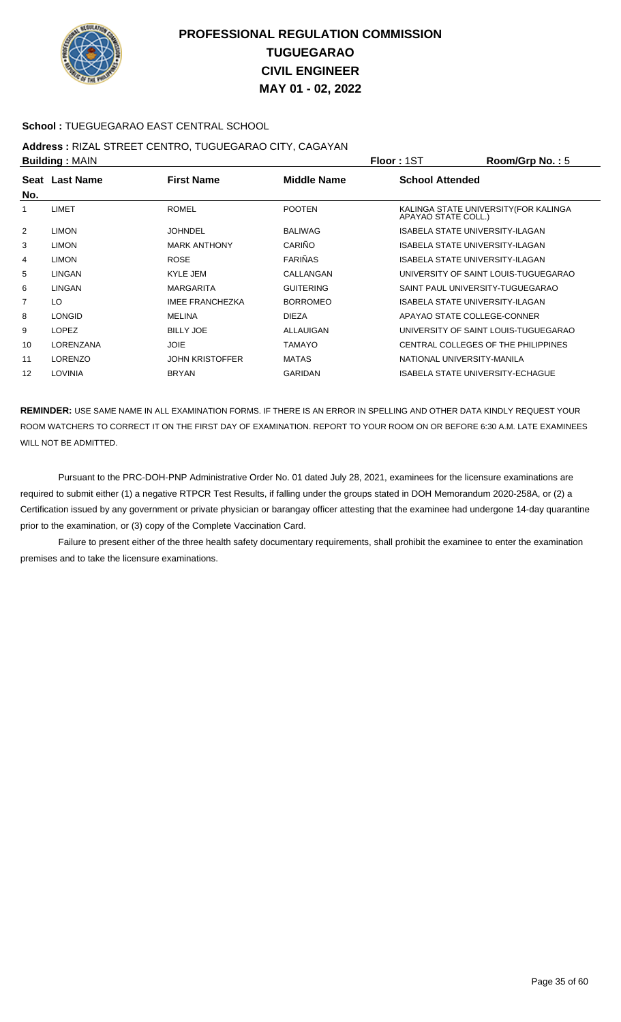

### **School :** TUEGUEGARAO EAST CENTRAL SCHOOL

## **Address :** RIZAL STREET CENTRO, TUGUEGARAO CITY, CAGAYAN

| <b>Building: MAIN</b> |                                                           |                        | <b>Floor: 1ST</b> | Room/Grp No.: 5        |                                        |  |
|-----------------------|-----------------------------------------------------------|------------------------|-------------------|------------------------|----------------------------------------|--|
|                       | <b>Middle Name</b><br><b>First Name</b><br>Seat Last Name |                        |                   | <b>School Attended</b> |                                        |  |
| No.                   |                                                           |                        |                   |                        |                                        |  |
|                       | LIMET                                                     | <b>ROMEL</b>           | <b>POOTEN</b>     | APAYAO STATE COLL.)    | KALINGA STATE UNIVERSITY (FOR KALINGA  |  |
| 2                     | <b>LIMON</b>                                              | <b>JOHNDEL</b>         | <b>BALIWAG</b>    |                        | <b>ISABELA STATE UNIVERSITY-ILAGAN</b> |  |
| 3                     | <b>LIMON</b>                                              | <b>MARK ANTHONY</b>    | CARIÑO            |                        | ISABELA STATE UNIVERSITY-ILAGAN        |  |
| 4                     | <b>LIMON</b>                                              | <b>ROSE</b>            | <b>FARIÑAS</b>    |                        | ISABELA STATE UNIVERSITY-ILAGAN        |  |
| 5                     | <b>LINGAN</b>                                             | KYLE JEM               | CALLANGAN         |                        | UNIVERSITY OF SAINT LOUIS-TUGUEGARAO   |  |
| 6                     | <b>LINGAN</b>                                             | <b>MARGARITA</b>       | <b>GUITERING</b>  |                        | SAINT PAUL UNIVERSITY-TUGUEGARAO       |  |
| 7                     | LO                                                        | <b>IMEE FRANCHEZKA</b> | <b>BORROMEO</b>   |                        | ISABELA STATE UNIVERSITY-ILAGAN        |  |
| 8                     | <b>LONGID</b>                                             | <b>MELINA</b>          | <b>DIEZA</b>      |                        | APAYAO STATE COLLEGE-CONNER            |  |
| 9                     | <b>LOPEZ</b>                                              | <b>BILLY JOE</b>       | ALLAUIGAN         |                        | UNIVERSITY OF SAINT LOUIS-TUGUEGARAO   |  |
| 10                    | LORENZANA                                                 | <b>JOIE</b>            | <b>TAMAYO</b>     |                        | CENTRAL COLLEGES OF THE PHILIPPINES    |  |
| 11                    | <b>LORENZO</b>                                            | <b>JOHN KRISTOFFER</b> | <b>MATAS</b>      |                        | NATIONAL UNIVERSITY-MANILA             |  |
| 12                    | LOVINIA                                                   | <b>BRYAN</b>           | <b>GARIDAN</b>    |                        | ISABELA STATE UNIVERSITY-ECHAGUE       |  |

**REMINDER:** USE SAME NAME IN ALL EXAMINATION FORMS. IF THERE IS AN ERROR IN SPELLING AND OTHER DATA KINDLY REQUEST YOUR ROOM WATCHERS TO CORRECT IT ON THE FIRST DAY OF EXAMINATION. REPORT TO YOUR ROOM ON OR BEFORE 6:30 A.M. LATE EXAMINEES WILL NOT BE ADMITTED.

 Pursuant to the PRC-DOH-PNP Administrative Order No. 01 dated July 28, 2021, examinees for the licensure examinations are required to submit either (1) a negative RTPCR Test Results, if falling under the groups stated in DOH Memorandum 2020-258A, or (2) a Certification issued by any government or private physician or barangay officer attesting that the examinee had undergone 14-day quarantine prior to the examination, or (3) copy of the Complete Vaccination Card.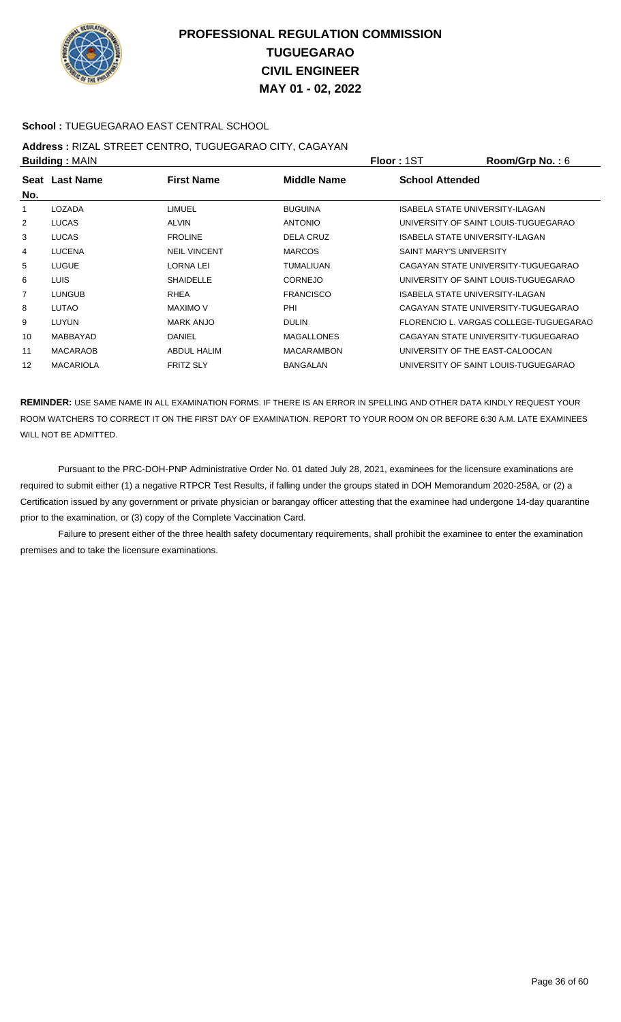

### **School :** TUEGUEGARAO EAST CENTRAL SCHOOL

## **Address :** RIZAL STREET CENTRO, TUGUEGARAO CITY, CAGAYAN

|                  |                                         |                   |                                 | Room/Grp No.: 6                        |
|------------------|-----------------------------------------|-------------------|---------------------------------|----------------------------------------|
|                  | <b>First Name</b>                       | Middle Name       | <b>School Attended</b>          |                                        |
| LOZADA           | LIMUEL                                  | <b>BUGUINA</b>    | ISABELA STATE UNIVERSITY-ILAGAN |                                        |
| <b>LUCAS</b>     | <b>ALVIN</b>                            | <b>ANTONIO</b>    |                                 | UNIVERSITY OF SAINT LOUIS-TUGUEGARAO   |
| <b>LUCAS</b>     | <b>FROLINE</b>                          | <b>DELA CRUZ</b>  | ISABELA STATE UNIVERSITY-ILAGAN |                                        |
| <b>LUCENA</b>    | <b>NEIL VINCENT</b>                     | <b>MARCOS</b>     | <b>SAINT MARY'S UNIVERSITY</b>  |                                        |
| <b>LUGUE</b>     | <b>LORNA LEI</b>                        | <b>TUMALIUAN</b>  |                                 | CAGAYAN STATE UNIVERSITY-TUGUEGARAO    |
| <b>LUIS</b>      | <b>SHAIDELLE</b>                        | <b>CORNEJO</b>    |                                 | UNIVERSITY OF SAINT LOUIS-TUGUEGARAO   |
| <b>LUNGUB</b>    | <b>RHEA</b>                             | <b>FRANCISCO</b>  | ISABELA STATE UNIVERSITY-ILAGAN |                                        |
| LUTAO            | MAXIMO V                                | PHI               |                                 | CAGAYAN STATE UNIVERSITY-TUGUEGARAO    |
| LUYUN            | <b>MARK ANJO</b>                        | <b>DULIN</b>      |                                 | FLORENCIO L. VARGAS COLLEGE-TUGUEGARAO |
| MABBAYAD         | <b>DANIEL</b>                           | <b>MAGALLONES</b> |                                 | CAGAYAN STATE UNIVERSITY-TUGUEGARAO    |
| <b>MACARAOB</b>  | <b>ABDUL HALIM</b>                      | <b>MACARAMBON</b> | UNIVERSITY OF THE EAST-CALOOCAN |                                        |
| <b>MACARIOLA</b> | <b>FRITZ SLY</b>                        | <b>BANGALAN</b>   |                                 | UNIVERSITY OF SAINT LOUIS-TUGUEGARAO   |
|                  | <b>Building: MAIN</b><br>Seat Last Name |                   |                                 | <b>Floor: 1ST</b>                      |

**REMINDER:** USE SAME NAME IN ALL EXAMINATION FORMS. IF THERE IS AN ERROR IN SPELLING AND OTHER DATA KINDLY REQUEST YOUR ROOM WATCHERS TO CORRECT IT ON THE FIRST DAY OF EXAMINATION. REPORT TO YOUR ROOM ON OR BEFORE 6:30 A.M. LATE EXAMINEES WILL NOT BE ADMITTED.

 Pursuant to the PRC-DOH-PNP Administrative Order No. 01 dated July 28, 2021, examinees for the licensure examinations are required to submit either (1) a negative RTPCR Test Results, if falling under the groups stated in DOH Memorandum 2020-258A, or (2) a Certification issued by any government or private physician or barangay officer attesting that the examinee had undergone 14-day quarantine prior to the examination, or (3) copy of the Complete Vaccination Card.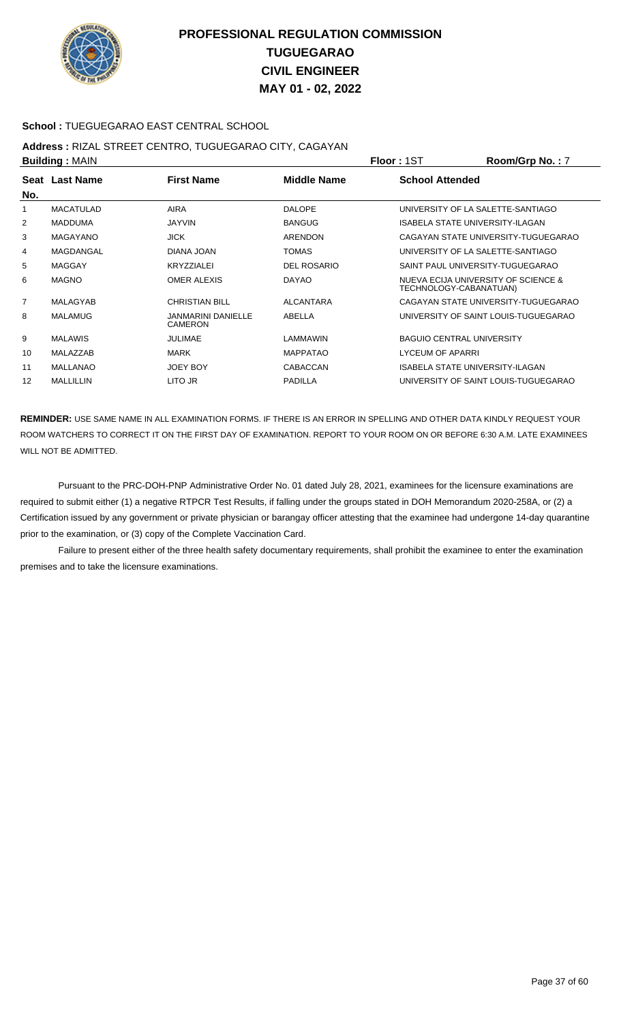

### **School :** TUEGUEGARAO EAST CENTRAL SCHOOL

## **Address :** RIZAL STREET CENTRO, TUGUEGARAO CITY, CAGAYAN

| <b>Building: MAIN</b> |                  |                                      | <b>Floor: 1ST</b>  | Room/Grp No.: 7        |                                                               |
|-----------------------|------------------|--------------------------------------|--------------------|------------------------|---------------------------------------------------------------|
|                       | Seat Last Name   | <b>First Name</b>                    | <b>Middle Name</b> | <b>School Attended</b> |                                                               |
| No.                   |                  |                                      |                    |                        |                                                               |
| 1                     | <b>MACATULAD</b> | <b>AIRA</b>                          | <b>DALOPE</b>      |                        | UNIVERSITY OF LA SALETTE-SANTIAGO                             |
| 2                     | <b>MADDUMA</b>   | <b>JAYVIN</b>                        | <b>BANGUG</b>      |                        | ISABELA STATE UNIVERSITY-ILAGAN                               |
| 3                     | <b>MAGAYANO</b>  | <b>JICK</b>                          | <b>ARENDON</b>     |                        | CAGAYAN STATE UNIVERSITY-TUGUEGARAO                           |
| 4                     | MAGDANGAL        | DIANA JOAN                           | <b>TOMAS</b>       |                        | UNIVERSITY OF LA SALETTE-SANTIAGO                             |
| 5                     | <b>MAGGAY</b>    | <b>KRYZZIALEI</b>                    | <b>DEL ROSARIO</b> |                        | SAINT PAUL UNIVERSITY-TUGUEGARAO                              |
| 6                     | <b>MAGNO</b>     | <b>OMER ALEXIS</b>                   | <b>DAYAO</b>       |                        | NUEVA ECIJA UNIVERSITY OF SCIENCE &<br>TECHNOLOGY-CABANATUAN) |
| $\overline{7}$        | MALAGYAB         | <b>CHRISTIAN BILL</b>                | <b>ALCANTARA</b>   |                        | CAGAYAN STATE UNIVERSITY-TUGUEGARAO                           |
| 8                     | <b>MALAMUG</b>   | JANMARINI DANIELLE<br><b>CAMERON</b> | ABELLA             |                        | UNIVERSITY OF SAINT LOUIS-TUGUEGARAO                          |
| 9                     | <b>MALAWIS</b>   | <b>JULIMAE</b>                       | LAMMAWIN           |                        | <b>BAGUIO CENTRAL UNIVERSITY</b>                              |
| 10                    | MALAZZAB         | <b>MARK</b>                          | <b>MAPPATAO</b>    | LYCEUM OF APARRI       |                                                               |
| 11                    | <b>MALLANAO</b>  | <b>JOEY BOY</b>                      | <b>CABACCAN</b>    |                        | ISABELA STATE UNIVERSITY-ILAGAN                               |
| 12                    | <b>MALLILLIN</b> | LITO JR                              | <b>PADILLA</b>     |                        | UNIVERSITY OF SAINT LOUIS-TUGUEGARAO                          |

**REMINDER:** USE SAME NAME IN ALL EXAMINATION FORMS. IF THERE IS AN ERROR IN SPELLING AND OTHER DATA KINDLY REQUEST YOUR ROOM WATCHERS TO CORRECT IT ON THE FIRST DAY OF EXAMINATION. REPORT TO YOUR ROOM ON OR BEFORE 6:30 A.M. LATE EXAMINEES WILL NOT BE ADMITTED.

 Pursuant to the PRC-DOH-PNP Administrative Order No. 01 dated July 28, 2021, examinees for the licensure examinations are required to submit either (1) a negative RTPCR Test Results, if falling under the groups stated in DOH Memorandum 2020-258A, or (2) a Certification issued by any government or private physician or barangay officer attesting that the examinee had undergone 14-day quarantine prior to the examination, or (3) copy of the Complete Vaccination Card.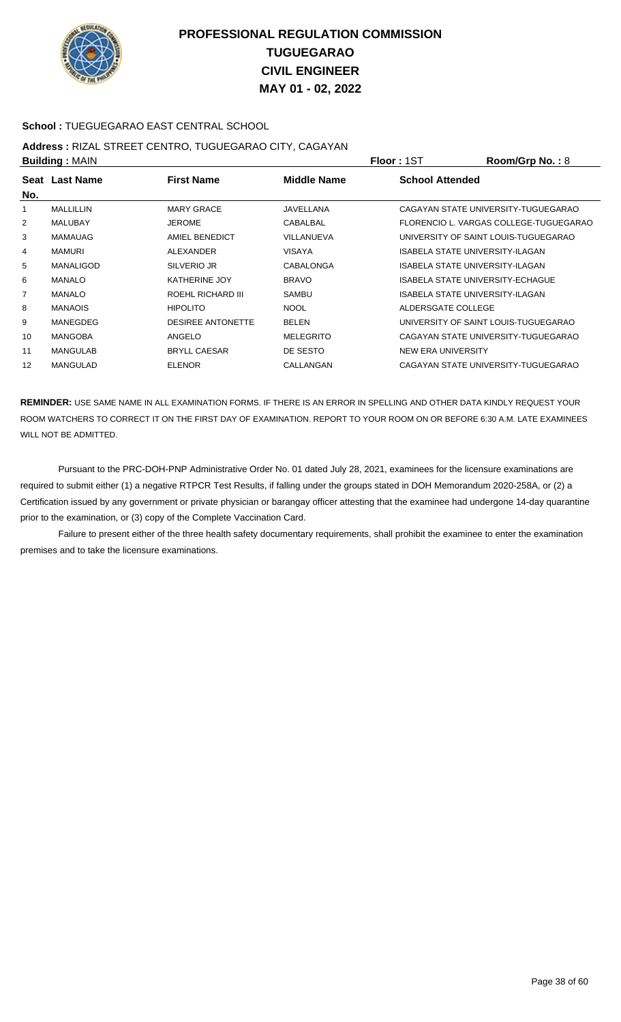

### **School :** TUEGUEGARAO EAST CENTRAL SCHOOL

## **Address :** RIZAL STREET CENTRO, TUGUEGARAO CITY, CAGAYAN

| <b>Building: MAIN</b> |                  |                          |                  | <b>Floor: 1ST</b>                       | Room/Grp No.: 8                        |
|-----------------------|------------------|--------------------------|------------------|-----------------------------------------|----------------------------------------|
| No.                   | Seat Last Name   | <b>First Name</b>        | Middle Name      | <b>School Attended</b>                  |                                        |
| 1                     | MALLILLIN        | <b>MARY GRACE</b>        | <b>JAVELLANA</b> |                                         | CAGAYAN STATE UNIVERSITY-TUGUEGARAO    |
| $\overline{2}$        | <b>MALUBAY</b>   | <b>JEROME</b>            | CABALBAL         |                                         | FLORENCIO L. VARGAS COLLEGE-TUGUEGARAO |
| 3                     | <b>MAMAUAG</b>   | AMIEL BENEDICT           | VILLANUEVA       |                                         | UNIVERSITY OF SAINT LOUIS-TUGUEGARAO   |
| 4                     | <b>MAMURI</b>    | ALEXANDER                | <b>VISAYA</b>    | ISABELA STATE UNIVERSITY-ILAGAN         |                                        |
| 5                     | <b>MANALIGOD</b> | SILVERIO JR              | <b>CABALONGA</b> | ISABELA STATE UNIVERSITY-ILAGAN         |                                        |
| 6                     | <b>MANALO</b>    | <b>KATHERINE JOY</b>     | <b>BRAVO</b>     | <b>ISABELA STATE UNIVERSITY-ECHAGUE</b> |                                        |
| 7                     | <b>MANALO</b>    | ROEHL RICHARD III        | <b>SAMBU</b>     | <b>ISABELA STATE UNIVERSITY-ILAGAN</b>  |                                        |
| 8                     | <b>MANAOIS</b>   | <b>HIPOLITO</b>          | <b>NOOL</b>      | ALDERSGATE COLLEGE                      |                                        |
| 9                     | MANEGDEG         | <b>DESIREE ANTONETTE</b> | <b>BELEN</b>     |                                         | UNIVERSITY OF SAINT LOUIS-TUGUEGARAO   |
| 10                    | <b>MANGOBA</b>   | ANGELO                   | <b>MELEGRITO</b> |                                         | CAGAYAN STATE UNIVERSITY-TUGUEGARAO    |
| 11                    | MANGULAB         | <b>BRYLL CAESAR</b>      | DE SESTO         | NEW ERA UNIVERSITY                      |                                        |
| 12                    | <b>MANGULAD</b>  | <b>ELENOR</b>            | CALLANGAN        |                                         | CAGAYAN STATE UNIVERSITY-TUGUEGARAO    |
|                       |                  |                          |                  |                                         |                                        |

**REMINDER:** USE SAME NAME IN ALL EXAMINATION FORMS. IF THERE IS AN ERROR IN SPELLING AND OTHER DATA KINDLY REQUEST YOUR ROOM WATCHERS TO CORRECT IT ON THE FIRST DAY OF EXAMINATION. REPORT TO YOUR ROOM ON OR BEFORE 6:30 A.M. LATE EXAMINEES WILL NOT BE ADMITTED.

 Pursuant to the PRC-DOH-PNP Administrative Order No. 01 dated July 28, 2021, examinees for the licensure examinations are required to submit either (1) a negative RTPCR Test Results, if falling under the groups stated in DOH Memorandum 2020-258A, or (2) a Certification issued by any government or private physician or barangay officer attesting that the examinee had undergone 14-day quarantine prior to the examination, or (3) copy of the Complete Vaccination Card.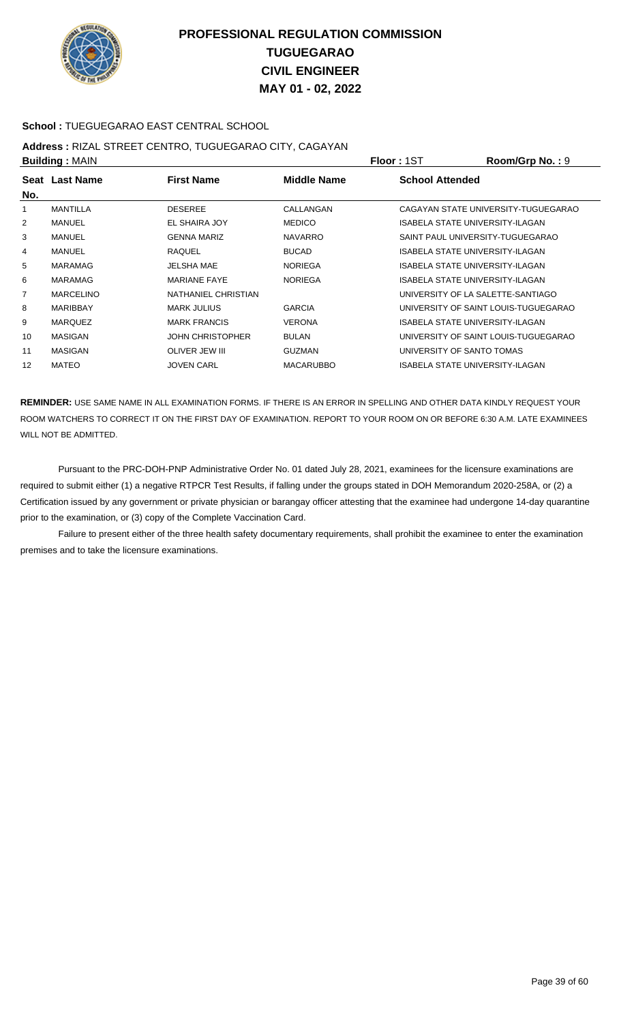

### **School :** TUEGUEGARAO EAST CENTRAL SCHOOL

## **Address :** RIZAL STREET CENTRO, TUGUEGARAO CITY, CAGAYAN

| <b>Building: MAIN</b> |                  |                         |                  | <b>Floor: 1ST</b>                      | Room/Grp No.: 9                      |
|-----------------------|------------------|-------------------------|------------------|----------------------------------------|--------------------------------------|
| No.                   | Seat Last Name   | <b>First Name</b>       | Middle Name      | <b>School Attended</b>                 |                                      |
|                       | <b>MANTILLA</b>  | <b>DESEREE</b>          | CALLANGAN        |                                        | CAGAYAN STATE UNIVERSITY-TUGUEGARAO  |
| $\overline{2}$        | MANUEL           | EL SHAIRA JOY           | <b>MEDICO</b>    | <b>ISABELA STATE UNIVERSITY-ILAGAN</b> |                                      |
| 3                     | MANUEL           | <b>GENNA MARIZ</b>      | <b>NAVARRO</b>   | SAINT PAUL UNIVERSITY-TUGUEGARAO       |                                      |
| 4                     | <b>MANUEL</b>    | <b>RAQUEL</b>           | <b>BUCAD</b>     | <b>ISABELA STATE UNIVERSITY-ILAGAN</b> |                                      |
| 5                     | <b>MARAMAG</b>   | <b>JELSHA MAE</b>       | <b>NORIEGA</b>   | ISABELA STATE UNIVERSITY-ILAGAN        |                                      |
| 6                     | <b>MARAMAG</b>   | <b>MARIANE FAYE</b>     | <b>NORIEGA</b>   | ISABELA STATE UNIVERSITY-ILAGAN        |                                      |
| $\overline{7}$        | <b>MARCELINO</b> | NATHANIEL CHRISTIAN     |                  | UNIVERSITY OF LA SALETTE-SANTIAGO      |                                      |
| 8                     | <b>MARIBBAY</b>  | <b>MARK JULIUS</b>      | <b>GARCIA</b>    |                                        | UNIVERSITY OF SAINT LOUIS-TUGUEGARAO |
| 9                     | <b>MARQUEZ</b>   | <b>MARK FRANCIS</b>     | <b>VERONA</b>    | ISABELA STATE UNIVERSITY-ILAGAN        |                                      |
| 10                    | MASIGAN          | <b>JOHN CHRISTOPHER</b> | <b>BULAN</b>     |                                        | UNIVERSITY OF SAINT LOUIS-TUGUEGARAO |
| 11                    | <b>MASIGAN</b>   | <b>OLIVER JEW III</b>   | <b>GUZMAN</b>    | UNIVERSITY OF SANTO TOMAS              |                                      |
| 12                    | MATEO            | <b>JOVEN CARL</b>       | <b>MACARUBBO</b> | ISABELA STATE UNIVERSITY-ILAGAN        |                                      |

**REMINDER:** USE SAME NAME IN ALL EXAMINATION FORMS. IF THERE IS AN ERROR IN SPELLING AND OTHER DATA KINDLY REQUEST YOUR ROOM WATCHERS TO CORRECT IT ON THE FIRST DAY OF EXAMINATION. REPORT TO YOUR ROOM ON OR BEFORE 6:30 A.M. LATE EXAMINEES WILL NOT BE ADMITTED.

 Pursuant to the PRC-DOH-PNP Administrative Order No. 01 dated July 28, 2021, examinees for the licensure examinations are required to submit either (1) a negative RTPCR Test Results, if falling under the groups stated in DOH Memorandum 2020-258A, or (2) a Certification issued by any government or private physician or barangay officer attesting that the examinee had undergone 14-day quarantine prior to the examination, or (3) copy of the Complete Vaccination Card.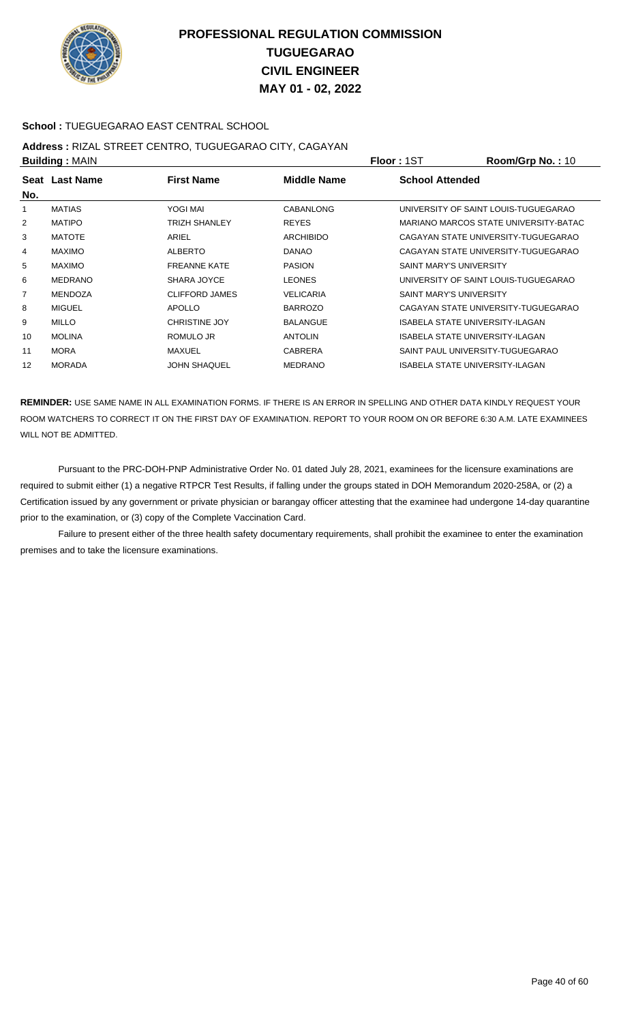

### **School :** TUEGUEGARAO EAST CENTRAL SCHOOL

## **Address :** RIZAL STREET CENTRO, TUGUEGARAO CITY, CAGAYAN

| <b>Building: MAIN</b> |                |                      |                  | <b>Floor: 1ST</b>                | Room/Grp No.: 10                      |
|-----------------------|----------------|----------------------|------------------|----------------------------------|---------------------------------------|
| No.                   | Seat Last Name | <b>First Name</b>    | Middle Name      | <b>School Attended</b>           |                                       |
| 1                     | <b>MATIAS</b>  | YOGI MAI             | <b>CABANLONG</b> |                                  | UNIVERSITY OF SAINT LOUIS-TUGUEGARAO  |
| 2                     | <b>MATIPO</b>  | <b>TRIZH SHANLEY</b> | <b>REYES</b>     |                                  | MARIANO MARCOS STATE UNIVERSITY-BATAC |
| 3                     | <b>MATOTE</b>  | ARIEL                | <b>ARCHIBIDO</b> |                                  | CAGAYAN STATE UNIVERSITY-TUGUEGARAO   |
| 4                     | <b>MAXIMO</b>  | <b>ALBERTO</b>       | <b>DANAO</b>     |                                  | CAGAYAN STATE UNIVERSITY-TUGUEGARAO   |
| 5                     | <b>MAXIMO</b>  | <b>FREANNE KATE</b>  | <b>PASION</b>    | <b>SAINT MARY'S UNIVERSITY</b>   |                                       |
| 6                     | <b>MEDRANO</b> | SHARA JOYCE          | <b>LEONES</b>    |                                  | UNIVERSITY OF SAINT LOUIS-TUGUEGARAO  |
| $\overline{7}$        | <b>MENDOZA</b> | CLIFFORD JAMES       | <b>VELICARIA</b> | <b>SAINT MARY'S UNIVERSITY</b>   |                                       |
| 8                     | <b>MIGUEL</b>  | APOLLO               | <b>BARROZO</b>   |                                  | CAGAYAN STATE UNIVERSITY-TUGUEGARAO   |
| 9                     | <b>MILLO</b>   | <b>CHRISTINE JOY</b> | <b>BALANGUE</b>  | ISABELA STATE UNIVERSITY-ILAGAN  |                                       |
| 10                    | <b>MOLINA</b>  | ROMULO JR            | <b>ANTOLIN</b>   | ISABELA STATE UNIVERSITY-ILAGAN  |                                       |
| 11                    | <b>MORA</b>    | MAXUEL               | <b>CABRERA</b>   | SAINT PAUL UNIVERSITY-TUGUEGARAO |                                       |
| 12                    | <b>MORADA</b>  | <b>JOHN SHAQUEL</b>  | <b>MEDRANO</b>   | ISABELA STATE UNIVERSITY-ILAGAN  |                                       |
|                       |                |                      |                  |                                  |                                       |

**REMINDER:** USE SAME NAME IN ALL EXAMINATION FORMS. IF THERE IS AN ERROR IN SPELLING AND OTHER DATA KINDLY REQUEST YOUR ROOM WATCHERS TO CORRECT IT ON THE FIRST DAY OF EXAMINATION. REPORT TO YOUR ROOM ON OR BEFORE 6:30 A.M. LATE EXAMINEES WILL NOT BE ADMITTED.

 Pursuant to the PRC-DOH-PNP Administrative Order No. 01 dated July 28, 2021, examinees for the licensure examinations are required to submit either (1) a negative RTPCR Test Results, if falling under the groups stated in DOH Memorandum 2020-258A, or (2) a Certification issued by any government or private physician or barangay officer attesting that the examinee had undergone 14-day quarantine prior to the examination, or (3) copy of the Complete Vaccination Card.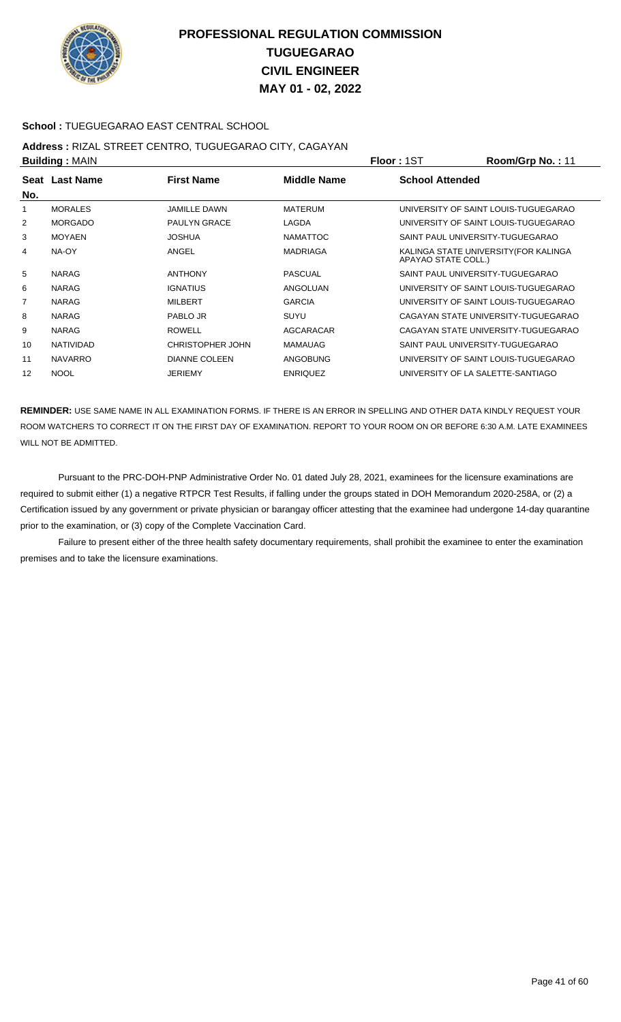

### **School :** TUEGUEGARAO EAST CENTRAL SCHOOL

## **Address :** RIZAL STREET CENTRO, TUGUEGARAO CITY, CAGAYAN

| <b>Building: MAIN</b> |                  |                      |                 | <b>Floor: 1ST</b>                 | Room/Grp No.: 11                      |
|-----------------------|------------------|----------------------|-----------------|-----------------------------------|---------------------------------------|
|                       | Seat Last Name   | <b>First Name</b>    | Middle Name     | <b>School Attended</b>            |                                       |
| No.                   |                  |                      |                 |                                   |                                       |
|                       | <b>MORALES</b>   | <b>JAMILLE DAWN</b>  | <b>MATERUM</b>  |                                   | UNIVERSITY OF SAINT LOUIS-TUGUEGARAO  |
| 2                     | <b>MORGADO</b>   | <b>PAULYN GRACE</b>  | LAGDA           |                                   | UNIVERSITY OF SAINT LOUIS-TUGUEGARAO  |
| 3                     | <b>MOYAEN</b>    | <b>JOSHUA</b>        | <b>NAMATTOC</b> | SAINT PAUL UNIVERSITY-TUGUEGARAO  |                                       |
| 4                     | NA-OY            | ANGEL                | <b>MADRIAGA</b> | APAYAO STATE COLL.)               | KALINGA STATE UNIVERSITY (FOR KALINGA |
| 5                     | <b>NARAG</b>     | <b>ANTHONY</b>       | <b>PASCUAL</b>  | SAINT PAUL UNIVERSITY-TUGUEGARAO  |                                       |
| 6                     | <b>NARAG</b>     | <b>IGNATIUS</b>      | ANGOLUAN        |                                   | UNIVERSITY OF SAINT LOUIS-TUGUEGARAO  |
| 7                     | <b>NARAG</b>     | <b>MILBERT</b>       | <b>GARCIA</b>   |                                   | UNIVERSITY OF SAINT LOUIS-TUGUEGARAO  |
| 8                     | <b>NARAG</b>     | PABLO JR             | SUYU            |                                   | CAGAYAN STATE UNIVERSITY-TUGUEGARAO   |
| 9                     | <b>NARAG</b>     | <b>ROWELL</b>        | AGCARACAR       |                                   | CAGAYAN STATE UNIVERSITY-TUGUEGARAO   |
| 10                    | <b>NATIVIDAD</b> | CHRISTOPHER JOHN     | <b>MAMAUAG</b>  | SAINT PAUL UNIVERSITY-TUGUEGARAO  |                                       |
| 11                    | <b>NAVARRO</b>   | <b>DIANNE COLEEN</b> | <b>ANGOBUNG</b> |                                   | UNIVERSITY OF SAINT LOUIS-TUGUEGARAO  |
| 12                    | <b>NOOL</b>      | <b>JERIEMY</b>       | <b>ENRIQUEZ</b> | UNIVERSITY OF LA SALETTE-SANTIAGO |                                       |

**REMINDER:** USE SAME NAME IN ALL EXAMINATION FORMS. IF THERE IS AN ERROR IN SPELLING AND OTHER DATA KINDLY REQUEST YOUR ROOM WATCHERS TO CORRECT IT ON THE FIRST DAY OF EXAMINATION. REPORT TO YOUR ROOM ON OR BEFORE 6:30 A.M. LATE EXAMINEES WILL NOT BE ADMITTED.

 Pursuant to the PRC-DOH-PNP Administrative Order No. 01 dated July 28, 2021, examinees for the licensure examinations are required to submit either (1) a negative RTPCR Test Results, if falling under the groups stated in DOH Memorandum 2020-258A, or (2) a Certification issued by any government or private physician or barangay officer attesting that the examinee had undergone 14-day quarantine prior to the examination, or (3) copy of the Complete Vaccination Card.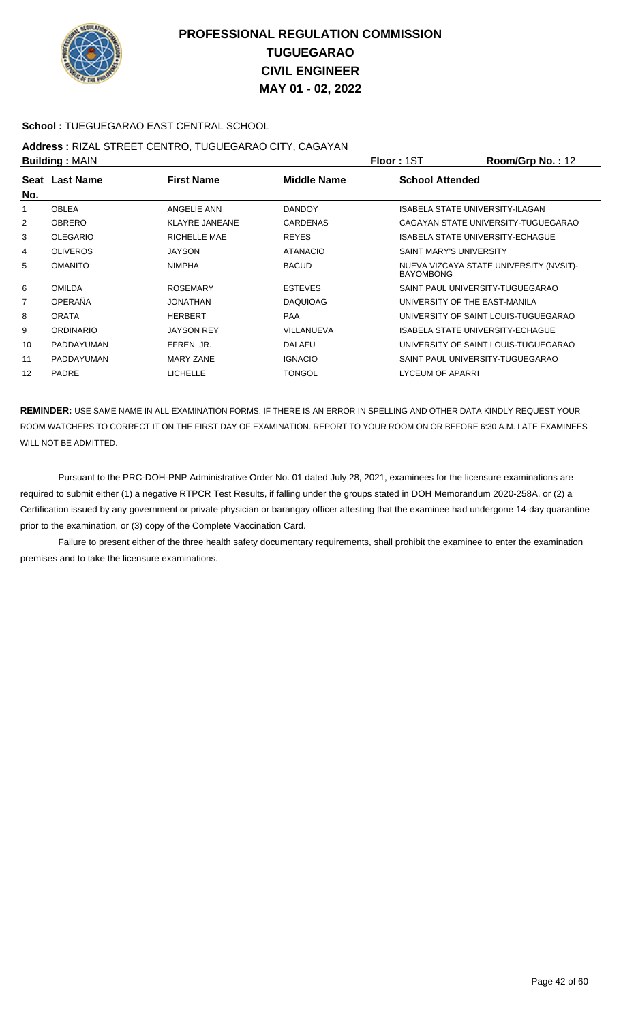

### **School :** TUEGUEGARAO EAST CENTRAL SCHOOL

## **Address :** RIZAL STREET CENTRO, TUGUEGARAO CITY, CAGAYAN

| <b>Building: MAIN</b> |                   |                       |                 | <b>Floor: 1ST</b>       | Room/Grp No.: 12                        |
|-----------------------|-------------------|-----------------------|-----------------|-------------------------|-----------------------------------------|
|                       | Seat Last Name    | <b>First Name</b>     | Middle Name     | <b>School Attended</b>  |                                         |
| No.                   |                   |                       |                 |                         |                                         |
|                       | <b>OBLEA</b>      | ANGELIE ANN           | <b>DANDOY</b>   |                         | ISABELA STATE UNIVERSITY-ILAGAN         |
| 2                     | <b>OBRERO</b>     | <b>KLAYRE JANEANE</b> | <b>CARDENAS</b> |                         | CAGAYAN STATE UNIVERSITY-TUGUEGARAO     |
| 3                     | <b>OLEGARIO</b>   | RICHELLE MAE          | <b>REYES</b>    |                         | <b>ISABELA STATE UNIVERSITY-ECHAGUE</b> |
| 4                     | <b>OLIVEROS</b>   | <b>JAYSON</b>         | <b>ATANACIO</b> | SAINT MARY'S UNIVERSITY |                                         |
| 5                     | <b>OMANITO</b>    | <b>NIMPHA</b>         | <b>BACUD</b>    | <b>BAYOMBONG</b>        | NUEVA VIZCAYA STATE UNIVERSITY (NVSIT)- |
| 6                     | <b>OMILDA</b>     | <b>ROSEMARY</b>       | <b>ESTEVES</b>  |                         | SAINT PAUL UNIVERSITY-TUGUEGARAO        |
| $\overline{7}$        | OPERAÑA           | JONATHAN              | <b>DAQUIOAG</b> |                         | UNIVERSITY OF THE EAST-MANILA           |
| 8                     | <b>ORATA</b>      | <b>HERBERT</b>        | <b>PAA</b>      |                         | UNIVERSITY OF SAINT LOUIS-TUGUEGARAO    |
| 9                     | <b>ORDINARIO</b>  | <b>JAYSON REY</b>     | VILLANUEVA      |                         | <b>ISABELA STATE UNIVERSITY-ECHAGUE</b> |
| 10                    | <b>PADDAYUMAN</b> | EFREN, JR.            | <b>DALAFU</b>   |                         | UNIVERSITY OF SAINT LOUIS-TUGUEGARAO    |
| 11                    | <b>PADDAYUMAN</b> | <b>MARY ZANE</b>      | <b>IGNACIO</b>  |                         | SAINT PAUL UNIVERSITY-TUGUEGARAO        |
| 12                    | <b>PADRE</b>      | <b>LICHELLE</b>       | <b>TONGOL</b>   | LYCEUM OF APARRI        |                                         |

**REMINDER:** USE SAME NAME IN ALL EXAMINATION FORMS. IF THERE IS AN ERROR IN SPELLING AND OTHER DATA KINDLY REQUEST YOUR ROOM WATCHERS TO CORRECT IT ON THE FIRST DAY OF EXAMINATION. REPORT TO YOUR ROOM ON OR BEFORE 6:30 A.M. LATE EXAMINEES WILL NOT BE ADMITTED.

 Pursuant to the PRC-DOH-PNP Administrative Order No. 01 dated July 28, 2021, examinees for the licensure examinations are required to submit either (1) a negative RTPCR Test Results, if falling under the groups stated in DOH Memorandum 2020-258A, or (2) a Certification issued by any government or private physician or barangay officer attesting that the examinee had undergone 14-day quarantine prior to the examination, or (3) copy of the Complete Vaccination Card.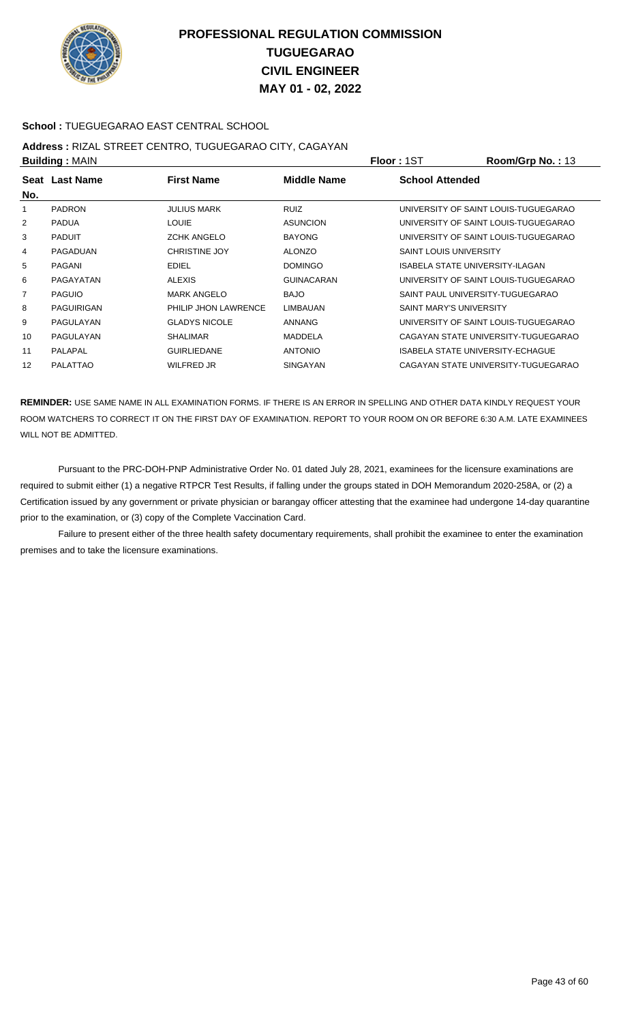

### **School :** TUEGUEGARAO EAST CENTRAL SCHOOL

## **Address :** RIZAL STREET CENTRO, TUGUEGARAO CITY, CAGAYAN

| <b>Building: MAIN</b> |                   |                      |                   | <b>Floor: 1ST</b>                | Room/Grp No.: 13                     |
|-----------------------|-------------------|----------------------|-------------------|----------------------------------|--------------------------------------|
| No.                   | Seat Last Name    | <b>First Name</b>    | Middle Name       | <b>School Attended</b>           |                                      |
|                       | <b>PADRON</b>     | <b>JULIUS MARK</b>   | <b>RUIZ</b>       |                                  | UNIVERSITY OF SAINT LOUIS-TUGUEGARAO |
| 2                     | <b>PADUA</b>      | <b>LOUIE</b>         | <b>ASUNCION</b>   |                                  | UNIVERSITY OF SAINT LOUIS-TUGUEGARAO |
| 3                     | <b>PADUIT</b>     | <b>ZCHK ANGELO</b>   | <b>BAYONG</b>     |                                  | UNIVERSITY OF SAINT LOUIS-TUGUEGARAO |
| 4                     | PAGADUAN          | <b>CHRISTINE JOY</b> | <b>ALONZO</b>     | <b>SAINT LOUIS UNIVERSITY</b>    |                                      |
| 5                     | <b>PAGANI</b>     | <b>EDIEL</b>         | <b>DOMINGO</b>    | ISABELA STATE UNIVERSITY-ILAGAN  |                                      |
| 6                     | PAGAYATAN         | <b>ALEXIS</b>        | <b>GUINACARAN</b> |                                  | UNIVERSITY OF SAINT LOUIS-TUGUEGARAO |
| $\overline{7}$        | <b>PAGUIO</b>     | <b>MARK ANGELO</b>   | <b>BAJO</b>       | SAINT PAUL UNIVERSITY-TUGUEGARAO |                                      |
| 8                     | <b>PAGUIRIGAN</b> | PHILIP JHON LAWRENCE | <b>LIMBAUAN</b>   | <b>SAINT MARY'S UNIVERSITY</b>   |                                      |
| 9                     | PAGULAYAN         | <b>GLADYS NICOLE</b> | ANNANG            |                                  | UNIVERSITY OF SAINT LOUIS-TUGUEGARAO |
| 10                    | PAGULAYAN         | <b>SHALIMAR</b>      | <b>MADDELA</b>    |                                  | CAGAYAN STATE UNIVERSITY-TUGUEGARAO  |
| 11                    | PALAPAL           | <b>GUIRLIEDANE</b>   | <b>ANTONIO</b>    | ISABELA STATE UNIVERSITY-ECHAGUE |                                      |
| 12                    | <b>PALATTAO</b>   | <b>WILFRED JR</b>    | <b>SINGAYAN</b>   |                                  | CAGAYAN STATE UNIVERSITY-TUGUEGARAO  |

**REMINDER:** USE SAME NAME IN ALL EXAMINATION FORMS. IF THERE IS AN ERROR IN SPELLING AND OTHER DATA KINDLY REQUEST YOUR ROOM WATCHERS TO CORRECT IT ON THE FIRST DAY OF EXAMINATION. REPORT TO YOUR ROOM ON OR BEFORE 6:30 A.M. LATE EXAMINEES WILL NOT BE ADMITTED.

 Pursuant to the PRC-DOH-PNP Administrative Order No. 01 dated July 28, 2021, examinees for the licensure examinations are required to submit either (1) a negative RTPCR Test Results, if falling under the groups stated in DOH Memorandum 2020-258A, or (2) a Certification issued by any government or private physician or barangay officer attesting that the examinee had undergone 14-day quarantine prior to the examination, or (3) copy of the Complete Vaccination Card.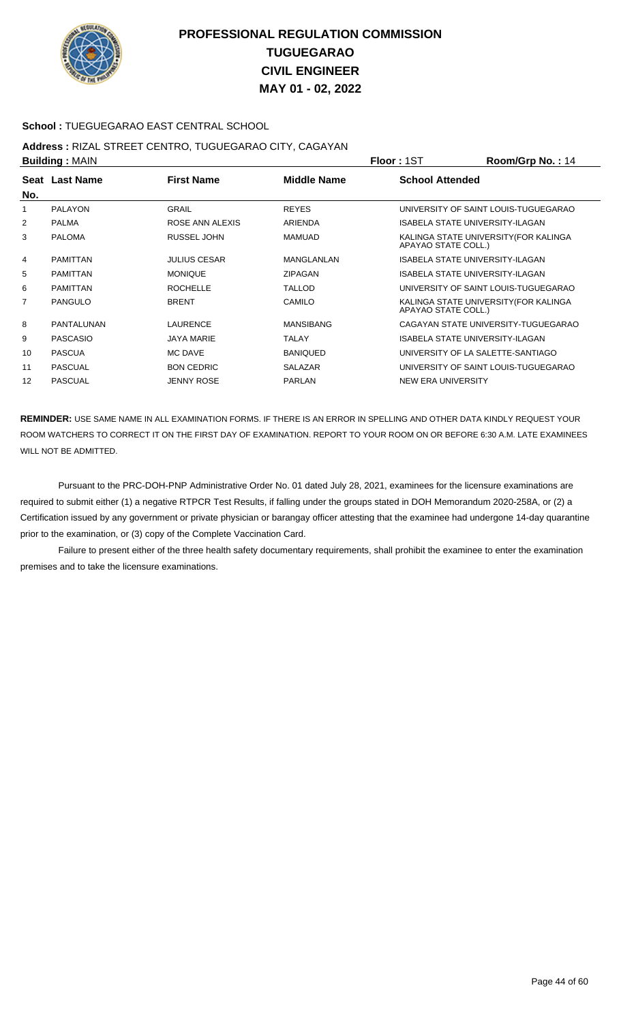

### **School :** TUEGUEGARAO EAST CENTRAL SCHOOL

## **Address :** RIZAL STREET CENTRO, TUGUEGARAO CITY, CAGAYAN

| <b>Building: MAIN</b> |                     |                  |                                                              | Room/Grp No.: 14                     |
|-----------------------|---------------------|------------------|--------------------------------------------------------------|--------------------------------------|
| Seat Last Name        | <b>First Name</b>   | Middle Name      | <b>School Attended</b>                                       |                                      |
|                       |                     |                  |                                                              |                                      |
| <b>PALAYON</b>        | <b>GRAIL</b>        | <b>REYES</b>     |                                                              | UNIVERSITY OF SAINT LOUIS-TUGUEGARAO |
| <b>PALMA</b>          | ROSE ANN ALEXIS     | ARIENDA          | <b>ISABELA STATE UNIVERSITY-ILAGAN</b>                       |                                      |
| <b>PALOMA</b>         | <b>RUSSEL JOHN</b>  | <b>MAMUAD</b>    | KALINGA STATE UNIVERSITY (FOR KALINGA<br>APAYAO STATE COLL.) |                                      |
| PAMITTAN              | <b>JULIUS CESAR</b> | MANGLANLAN       | <b>ISABELA STATE UNIVERSITY-ILAGAN</b>                       |                                      |
| <b>PAMITTAN</b>       | <b>MONIQUE</b>      | <b>ZIPAGAN</b>   | ISABELA STATE UNIVERSITY-ILAGAN                              |                                      |
| <b>PAMITTAN</b>       | <b>ROCHELLE</b>     | <b>TALLOD</b>    |                                                              | UNIVERSITY OF SAINT LOUIS-TUGUEGARAO |
| <b>PANGULO</b>        | <b>BRENT</b>        | CAMILO           | KALINGA STATE UNIVERSITY (FOR KALINGA<br>APAYAO STATE COLL.) |                                      |
| PANTALUNAN            | <b>LAURENCE</b>     | <b>MANSIBANG</b> |                                                              | CAGAYAN STATE UNIVERSITY-TUGUEGARAO  |
| <b>PASCASIO</b>       | <b>JAYA MARIE</b>   | <b>TALAY</b>     | <b>ISABELA STATE UNIVERSITY-ILAGAN</b>                       |                                      |
| <b>PASCUA</b>         | MC DAVE             | <b>BANIQUED</b>  | UNIVERSITY OF LA SALETTE-SANTIAGO                            |                                      |
| <b>PASCUAL</b>        | <b>BON CEDRIC</b>   | <b>SALAZAR</b>   |                                                              | UNIVERSITY OF SAINT LOUIS-TUGUEGARAO |
| <b>PASCUAL</b>        | <b>JENNY ROSE</b>   | <b>PARLAN</b>    | NEW ERA UNIVERSITY                                           |                                      |
|                       |                     |                  |                                                              | <b>Floor: 1ST</b>                    |

**REMINDER:** USE SAME NAME IN ALL EXAMINATION FORMS. IF THERE IS AN ERROR IN SPELLING AND OTHER DATA KINDLY REQUEST YOUR ROOM WATCHERS TO CORRECT IT ON THE FIRST DAY OF EXAMINATION. REPORT TO YOUR ROOM ON OR BEFORE 6:30 A.M. LATE EXAMINEES WILL NOT BE ADMITTED.

 Pursuant to the PRC-DOH-PNP Administrative Order No. 01 dated July 28, 2021, examinees for the licensure examinations are required to submit either (1) a negative RTPCR Test Results, if falling under the groups stated in DOH Memorandum 2020-258A, or (2) a Certification issued by any government or private physician or barangay officer attesting that the examinee had undergone 14-day quarantine prior to the examination, or (3) copy of the Complete Vaccination Card.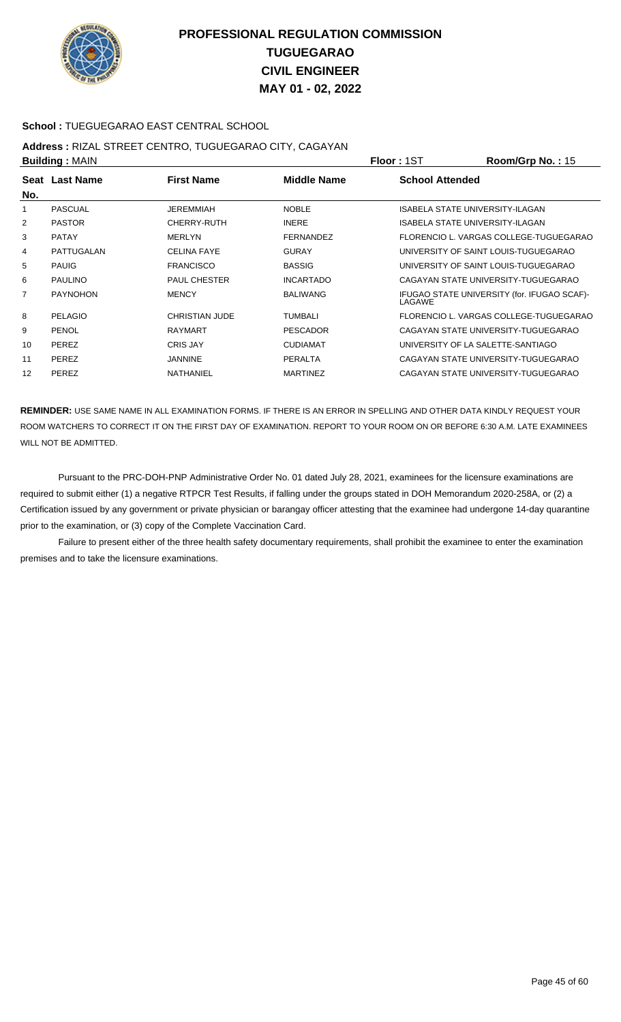

### **School :** TUEGUEGARAO EAST CENTRAL SCHOOL

## **Address :** RIZAL STREET CENTRO, TUGUEGARAO CITY, CAGAYAN

| <b>Building: MAIN</b> |                 |                       |                  | <b>Floor: 1ST</b>                      | Room/Grp No.: 15                            |
|-----------------------|-----------------|-----------------------|------------------|----------------------------------------|---------------------------------------------|
| No.                   | Seat Last Name  | <b>First Name</b>     | Middle Name      | <b>School Attended</b>                 |                                             |
| 1                     | <b>PASCUAL</b>  | <b>JEREMMIAH</b>      | <b>NOBLE</b>     | <b>ISABELA STATE UNIVERSITY-ILAGAN</b> |                                             |
| 2                     | <b>PASTOR</b>   | <b>CHERRY-RUTH</b>    | <b>INERE</b>     | <b>ISABELA STATE UNIVERSITY-ILAGAN</b> |                                             |
| 3                     | <b>PATAY</b>    | <b>MERLYN</b>         | <b>FERNANDEZ</b> |                                        | FLORENCIO L. VARGAS COLLEGE-TUGUEGARAO      |
| 4                     | PATTUGALAN      | <b>CELINA FAYE</b>    | <b>GURAY</b>     |                                        | UNIVERSITY OF SAINT LOUIS-TUGUEGARAO        |
| 5                     | <b>PAUIG</b>    | <b>FRANCISCO</b>      | <b>BASSIG</b>    |                                        | UNIVERSITY OF SAINT LOUIS-TUGUEGARAO        |
| 6                     | <b>PAULINO</b>  | <b>PAUL CHESTER</b>   | <b>INCARTADO</b> |                                        | CAGAYAN STATE UNIVERSITY-TUGUEGARAO         |
| 7                     | <b>PAYNOHON</b> | <b>MENCY</b>          | <b>BALIWANG</b>  | LAGAWE                                 | IFUGAO STATE UNIVERSITY (for. IFUGAO SCAF)- |
| 8                     | <b>PELAGIO</b>  | <b>CHRISTIAN JUDE</b> | <b>TUMBALI</b>   |                                        | FLORENCIO L. VARGAS COLLEGE-TUGUEGARAO      |
| 9                     | <b>PENOL</b>    | <b>RAYMART</b>        | <b>PESCADOR</b>  |                                        | CAGAYAN STATE UNIVERSITY-TUGUEGARAO         |
| 10                    | <b>PEREZ</b>    | <b>CRIS JAY</b>       | <b>CUDIAMAT</b>  | UNIVERSITY OF LA SALETTE-SANTIAGO      |                                             |
| 11                    | PEREZ           | <b>JANNINE</b>        | <b>PERALTA</b>   |                                        | CAGAYAN STATE UNIVERSITY-TUGUEGARAO         |
| 12                    | PEREZ           | NATHANIEL             | <b>MARTINEZ</b>  |                                        | CAGAYAN STATE UNIVERSITY-TUGUEGARAO         |

**REMINDER:** USE SAME NAME IN ALL EXAMINATION FORMS. IF THERE IS AN ERROR IN SPELLING AND OTHER DATA KINDLY REQUEST YOUR ROOM WATCHERS TO CORRECT IT ON THE FIRST DAY OF EXAMINATION. REPORT TO YOUR ROOM ON OR BEFORE 6:30 A.M. LATE EXAMINEES WILL NOT BE ADMITTED.

 Pursuant to the PRC-DOH-PNP Administrative Order No. 01 dated July 28, 2021, examinees for the licensure examinations are required to submit either (1) a negative RTPCR Test Results, if falling under the groups stated in DOH Memorandum 2020-258A, or (2) a Certification issued by any government or private physician or barangay officer attesting that the examinee had undergone 14-day quarantine prior to the examination, or (3) copy of the Complete Vaccination Card.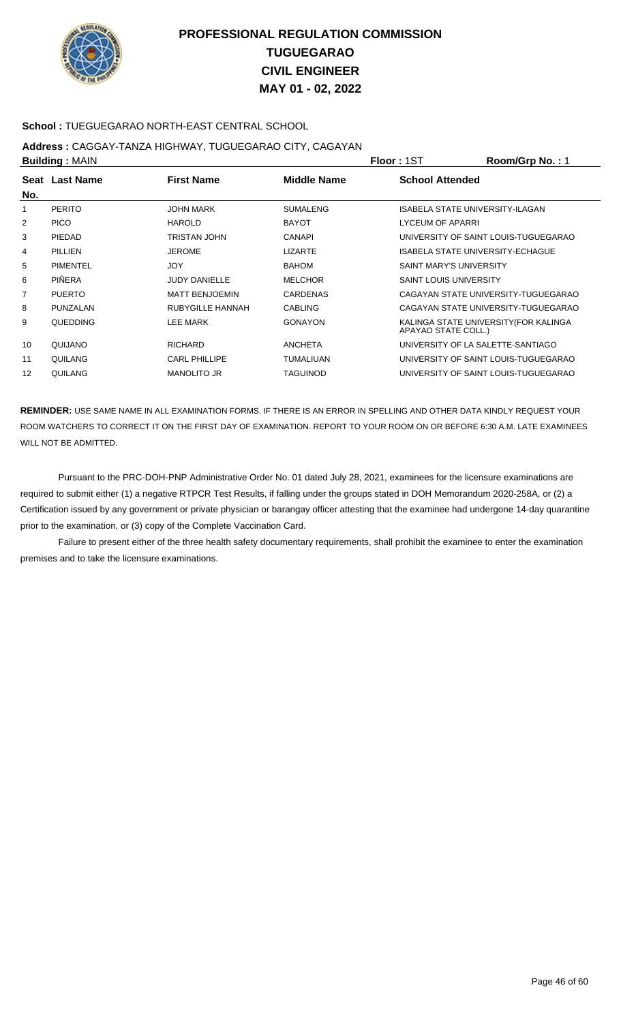

### **School :** TUEGUEGARAO NORTH-EAST CENTRAL SCHOOL

## **Address :** CAGGAY-TANZA HIGHWAY, TUGUEGARAO CITY, CAGAYAN

| <b>Building: MAIN</b> |                |                       |                  | <b>Floor: 1ST</b>              | Room/Grp No.: 1                         |
|-----------------------|----------------|-----------------------|------------------|--------------------------------|-----------------------------------------|
|                       | Seat Last Name | <b>First Name</b>     | Middle Name      | <b>School Attended</b>         |                                         |
| No.                   |                |                       |                  |                                |                                         |
|                       | <b>PERITO</b>  | JOHN MARK             | <b>SUMALENG</b>  |                                | <b>ISABELA STATE UNIVERSITY-ILAGAN</b>  |
| 2                     | <b>PICO</b>    | <b>HAROLD</b>         | <b>BAYOT</b>     | LYCEUM OF APARRI               |                                         |
| 3                     | PIEDAD         | <b>TRISTAN JOHN</b>   | <b>CANAPI</b>    |                                | UNIVERSITY OF SAINT LOUIS-TUGUEGARAO    |
| 4                     | PILLIEN        | <b>JEROME</b>         | <b>LIZARTE</b>   |                                | <b>ISABELA STATE UNIVERSITY-ECHAGUE</b> |
| 5                     | PIMENTEL       | <b>JOY</b>            | <b>BAHOM</b>     | <b>SAINT MARY'S UNIVERSITY</b> |                                         |
| 6                     | PIÑERA         | <b>JUDY DANIELLE</b>  | <b>MELCHOR</b>   | <b>SAINT LOUIS UNIVERSITY</b>  |                                         |
| 7                     | <b>PUERTO</b>  | <b>MATT BENJOEMIN</b> | <b>CARDENAS</b>  |                                | CAGAYAN STATE UNIVERSITY-TUGUEGARAO     |
| 8                     | PUNZALAN       | RUBYGILLE HANNAH      | <b>CABLING</b>   |                                | CAGAYAN STATE UNIVERSITY-TUGUEGARAO     |
| 9                     | QUEDDING       | <b>LEE MARK</b>       | <b>GONAYON</b>   | APAYAO STATE COLL.)            | KALINGA STATE UNIVERSITY (FOR KALINGA   |
| 10                    | QUIJANO        | <b>RICHARD</b>        | <b>ANCHETA</b>   |                                | UNIVERSITY OF LA SALETTE-SANTIAGO       |
| 11                    | QUILANG        | <b>CARL PHILLIPE</b>  | <b>TUMALIUAN</b> |                                | UNIVERSITY OF SAINT LOUIS-TUGUEGARAO    |
| 12                    | QUILANG        | <b>MANOLITO JR</b>    | TAGUINOD         |                                | UNIVERSITY OF SAINT LOUIS-TUGUEGARAO    |

**REMINDER:** USE SAME NAME IN ALL EXAMINATION FORMS. IF THERE IS AN ERROR IN SPELLING AND OTHER DATA KINDLY REQUEST YOUR ROOM WATCHERS TO CORRECT IT ON THE FIRST DAY OF EXAMINATION. REPORT TO YOUR ROOM ON OR BEFORE 6:30 A.M. LATE EXAMINEES WILL NOT BE ADMITTED.

 Pursuant to the PRC-DOH-PNP Administrative Order No. 01 dated July 28, 2021, examinees for the licensure examinations are required to submit either (1) a negative RTPCR Test Results, if falling under the groups stated in DOH Memorandum 2020-258A, or (2) a Certification issued by any government or private physician or barangay officer attesting that the examinee had undergone 14-day quarantine prior to the examination, or (3) copy of the Complete Vaccination Card.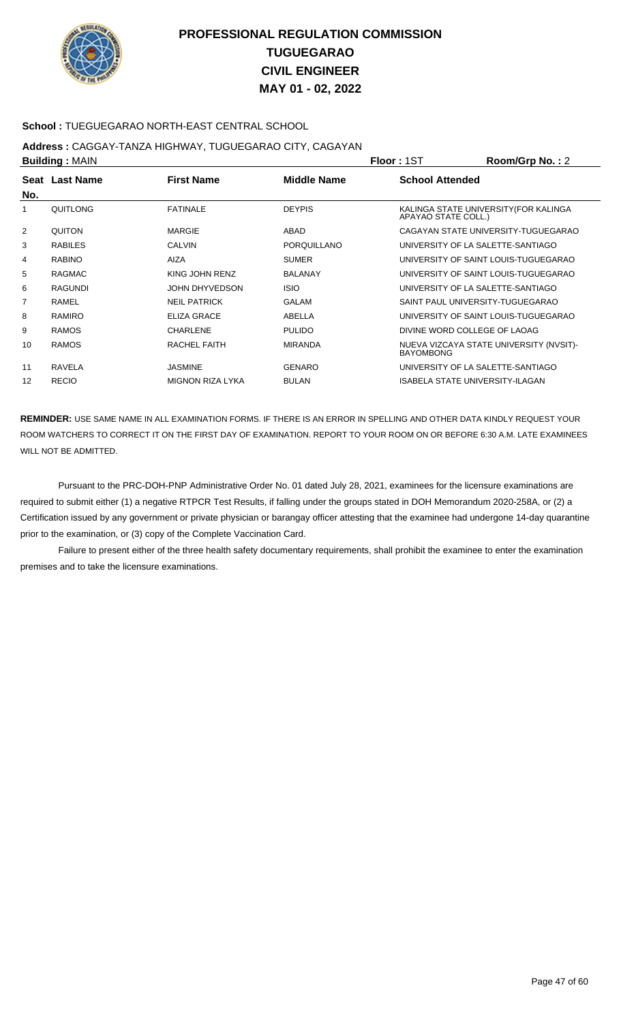

### **School :** TUEGUEGARAO NORTH-EAST CENTRAL SCHOOL

## **Address :** CAGGAY-TANZA HIGHWAY, TUGUEGARAO CITY, CAGAYAN

| <b>Building: MAIN</b> |                |                         |                    | <b>Floor: 1ST</b>                      | Room/Grp No.: 2                         |
|-----------------------|----------------|-------------------------|--------------------|----------------------------------------|-----------------------------------------|
| No.                   | Seat Last Name | <b>First Name</b>       | Middle Name        | <b>School Attended</b>                 |                                         |
|                       | QUITLONG       | <b>FATINALE</b>         | <b>DEYPIS</b>      | APAYAO STATE COLL.)                    | KALINGA STATE UNIVERSITY (FOR KALINGA   |
| 2                     | <b>QUITON</b>  | <b>MARGIE</b>           | ABAD               |                                        | CAGAYAN STATE UNIVERSITY-TUGUEGARAO     |
| 3                     | <b>RABILES</b> | <b>CALVIN</b>           | <b>PORQUILLANO</b> | UNIVERSITY OF LA SALETTE-SANTIAGO      |                                         |
| 4                     | <b>RABINO</b>  | <b>AIZA</b>             | <b>SUMER</b>       |                                        | UNIVERSITY OF SAINT LOUIS-TUGUEGARAO    |
| 5                     | <b>RAGMAC</b>  | KING JOHN RENZ          | <b>BALANAY</b>     |                                        | UNIVERSITY OF SAINT LOUIS-TUGUEGARAO    |
| 6                     | <b>RAGUNDI</b> | JOHN DHYVEDSON          | <b>ISIO</b>        | UNIVERSITY OF LA SALETTE-SANTIAGO      |                                         |
| 7                     | RAMEL          | <b>NEIL PATRICK</b>     | <b>GALAM</b>       | SAINT PAUL UNIVERSITY-TUGUEGARAO       |                                         |
| 8                     | RAMIRO         | <b>ELIZA GRACE</b>      | ABELLA             |                                        | UNIVERSITY OF SAINT LOUIS-TUGUEGARAO    |
| 9                     | <b>RAMOS</b>   | <b>CHARLENE</b>         | <b>PULIDO</b>      | DIVINE WORD COLLEGE OF LAOAG           |                                         |
| 10                    | <b>RAMOS</b>   | RACHEL FAITH            | <b>MIRANDA</b>     | <b>BAYOMBONG</b>                       | NUEVA VIZCAYA STATE UNIVERSITY (NVSIT)- |
| 11                    | RAVELA         | <b>JASMINE</b>          | <b>GENARO</b>      | UNIVERSITY OF LA SALETTE-SANTIAGO      |                                         |
| 12                    | <b>RECIO</b>   | <b>MIGNON RIZA LYKA</b> | <b>BULAN</b>       | <b>ISABELA STATE UNIVERSITY-ILAGAN</b> |                                         |

**REMINDER:** USE SAME NAME IN ALL EXAMINATION FORMS. IF THERE IS AN ERROR IN SPELLING AND OTHER DATA KINDLY REQUEST YOUR ROOM WATCHERS TO CORRECT IT ON THE FIRST DAY OF EXAMINATION. REPORT TO YOUR ROOM ON OR BEFORE 6:30 A.M. LATE EXAMINEES WILL NOT BE ADMITTED.

 Pursuant to the PRC-DOH-PNP Administrative Order No. 01 dated July 28, 2021, examinees for the licensure examinations are required to submit either (1) a negative RTPCR Test Results, if falling under the groups stated in DOH Memorandum 2020-258A, or (2) a Certification issued by any government or private physician or barangay officer attesting that the examinee had undergone 14-day quarantine prior to the examination, or (3) copy of the Complete Vaccination Card.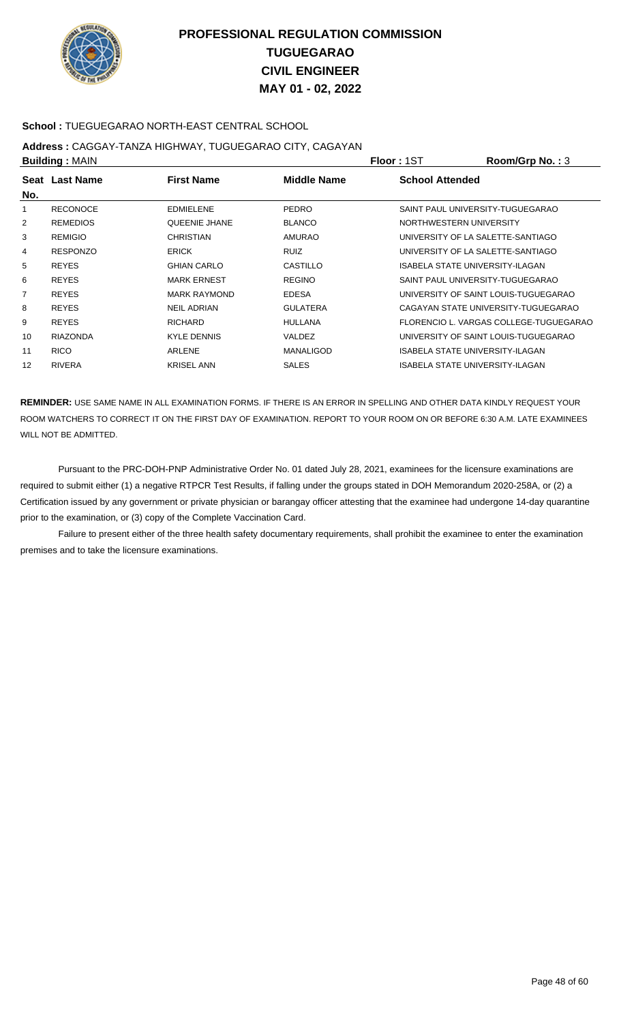

### **School :** TUEGUEGARAO NORTH-EAST CENTRAL SCHOOL

## **Address :** CAGGAY-TANZA HIGHWAY, TUGUEGARAO CITY, CAGAYAN

| <b>Building: MAIN</b> |                 |                      |                    | <b>Floor: 1ST</b>                 | Room/Grp No.: 3                        |
|-----------------------|-----------------|----------------------|--------------------|-----------------------------------|----------------------------------------|
| No.                   | Seat Last Name  | <b>First Name</b>    | <b>Middle Name</b> | <b>School Attended</b>            |                                        |
| 1                     | <b>RECONOCE</b> | <b>EDMIELENE</b>     | <b>PEDRO</b>       | SAINT PAUL UNIVERSITY-TUGUEGARAO  |                                        |
| 2                     | <b>REMEDIOS</b> | <b>QUEENIE JHANE</b> | <b>BLANCO</b>      | NORTHWESTERN UNIVERSITY           |                                        |
| 3                     | <b>REMIGIO</b>  | <b>CHRISTIAN</b>     | <b>AMURAO</b>      | UNIVERSITY OF LA SALETTE-SANTIAGO |                                        |
| 4                     | <b>RESPONZO</b> | <b>ERICK</b>         | <b>RUIZ</b>        | UNIVERSITY OF LA SALETTE-SANTIAGO |                                        |
| 5                     | <b>REYES</b>    | <b>GHIAN CARLO</b>   | <b>CASTILLO</b>    | ISABELA STATE UNIVERSITY-ILAGAN   |                                        |
| 6                     | <b>REYES</b>    | <b>MARK ERNEST</b>   | <b>REGINO</b>      | SAINT PAUL UNIVERSITY-TUGUEGARAO  |                                        |
| 7                     | <b>REYES</b>    | <b>MARK RAYMOND</b>  | <b>EDESA</b>       |                                   | UNIVERSITY OF SAINT LOUIS-TUGUEGARAO   |
| 8                     | <b>REYES</b>    | <b>NEIL ADRIAN</b>   | <b>GULATERA</b>    |                                   | CAGAYAN STATE UNIVERSITY-TUGUEGARAO    |
| 9                     | <b>REYES</b>    | <b>RICHARD</b>       | <b>HULLANA</b>     |                                   | FLORENCIO L. VARGAS COLLEGE-TUGUEGARAO |
| 10                    | <b>RIAZONDA</b> | <b>KYLE DENNIS</b>   | VALDEZ             |                                   | UNIVERSITY OF SAINT LOUIS-TUGUEGARAO   |
| 11                    | <b>RICO</b>     | ARLENE               | <b>MANALIGOD</b>   | ISABELA STATE UNIVERSITY-ILAGAN   |                                        |
| 12                    | <b>RIVERA</b>   | <b>KRISEL ANN</b>    | <b>SALES</b>       | ISABELA STATE UNIVERSITY-ILAGAN   |                                        |
|                       |                 |                      |                    |                                   |                                        |

**REMINDER:** USE SAME NAME IN ALL EXAMINATION FORMS. IF THERE IS AN ERROR IN SPELLING AND OTHER DATA KINDLY REQUEST YOUR ROOM WATCHERS TO CORRECT IT ON THE FIRST DAY OF EXAMINATION. REPORT TO YOUR ROOM ON OR BEFORE 6:30 A.M. LATE EXAMINEES WILL NOT BE ADMITTED.

 Pursuant to the PRC-DOH-PNP Administrative Order No. 01 dated July 28, 2021, examinees for the licensure examinations are required to submit either (1) a negative RTPCR Test Results, if falling under the groups stated in DOH Memorandum 2020-258A, or (2) a Certification issued by any government or private physician or barangay officer attesting that the examinee had undergone 14-day quarantine prior to the examination, or (3) copy of the Complete Vaccination Card.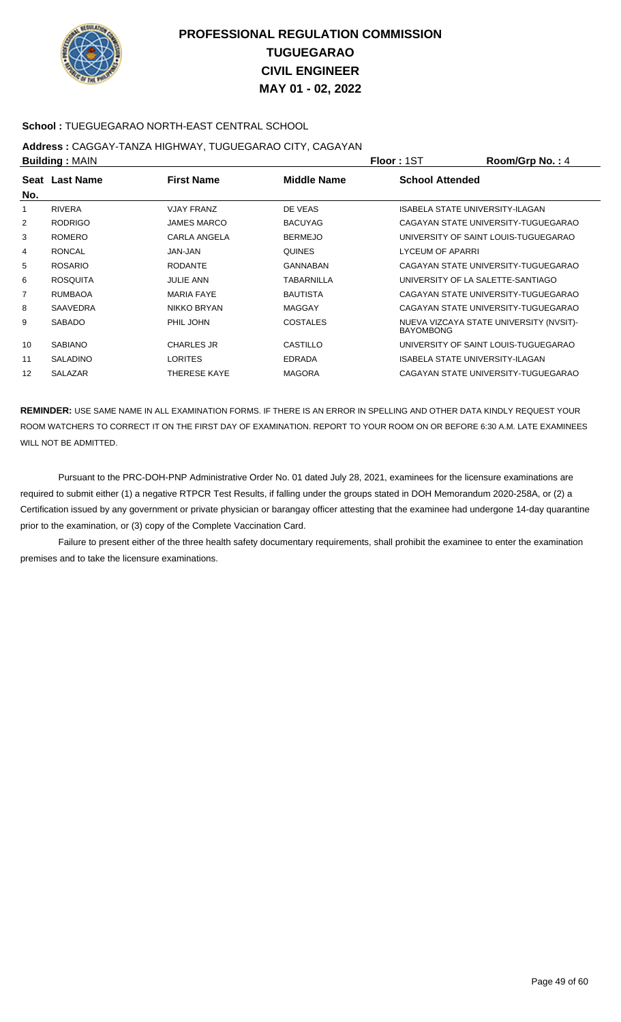

### **School :** TUEGUEGARAO NORTH-EAST CENTRAL SCHOOL

## **Address :** CAGGAY-TANZA HIGHWAY, TUGUEGARAO CITY, CAGAYAN

| <b>Building: MAIN</b> |                 | <b>Floor: 1ST</b>   | Room/Grp No.: 4   |                        |                                         |
|-----------------------|-----------------|---------------------|-------------------|------------------------|-----------------------------------------|
|                       | Seat Last Name  | <b>First Name</b>   | Middle Name       | <b>School Attended</b> |                                         |
| No.                   |                 |                     |                   |                        |                                         |
| 1                     | <b>RIVERA</b>   | <b>VJAY FRANZ</b>   | DE VEAS           |                        | <b>ISABELA STATE UNIVERSITY-ILAGAN</b>  |
| 2                     | <b>RODRIGO</b>  | <b>JAMES MARCO</b>  | <b>BACUYAG</b>    |                        | CAGAYAN STATE UNIVERSITY-TUGUEGARAO     |
| 3                     | <b>ROMERO</b>   | CARLA ANGELA        | <b>BERMEJO</b>    |                        | UNIVERSITY OF SAINT LOUIS-TUGUEGARAO    |
| 4                     | <b>RONCAL</b>   | JAN-JAN             | <b>QUINES</b>     | LYCEUM OF APARRI       |                                         |
| 5                     | <b>ROSARIO</b>  | <b>RODANTE</b>      | GANNABAN          |                        | CAGAYAN STATE UNIVERSITY-TUGUEGARAO     |
| 6                     | <b>ROSQUITA</b> | <b>JULIE ANN</b>    | <b>TABARNILLA</b> |                        | UNIVERSITY OF LA SALETTE-SANTIAGO       |
| 7                     | <b>RUMBAOA</b>  | <b>MARIA FAYE</b>   | <b>BAUTISTA</b>   |                        | CAGAYAN STATE UNIVERSITY-TUGUEGARAO     |
| 8                     | <b>SAAVEDRA</b> | <b>NIKKO BRYAN</b>  | <b>MAGGAY</b>     |                        | CAGAYAN STATE UNIVERSITY-TUGUEGARAO     |
| 9                     | <b>SABADO</b>   | PHIL JOHN           | <b>COSTALES</b>   | <b>BAYOMBONG</b>       | NUEVA VIZCAYA STATE UNIVERSITY (NVSIT)- |
| 10                    | <b>SABIANO</b>  | <b>CHARLES JR</b>   | CASTILLO          |                        | UNIVERSITY OF SAINT LOUIS-TUGUEGARAO    |
| 11                    | <b>SALADINO</b> | <b>LORITES</b>      | <b>EDRADA</b>     |                        | ISABELA STATE UNIVERSITY-ILAGAN         |
| 12                    | <b>SALAZAR</b>  | <b>THERESE KAYE</b> | <b>MAGORA</b>     |                        | CAGAYAN STATE UNIVERSITY-TUGUEGARAO     |

**REMINDER:** USE SAME NAME IN ALL EXAMINATION FORMS. IF THERE IS AN ERROR IN SPELLING AND OTHER DATA KINDLY REQUEST YOUR ROOM WATCHERS TO CORRECT IT ON THE FIRST DAY OF EXAMINATION. REPORT TO YOUR ROOM ON OR BEFORE 6:30 A.M. LATE EXAMINEES WILL NOT BE ADMITTED.

 Pursuant to the PRC-DOH-PNP Administrative Order No. 01 dated July 28, 2021, examinees for the licensure examinations are required to submit either (1) a negative RTPCR Test Results, if falling under the groups stated in DOH Memorandum 2020-258A, or (2) a Certification issued by any government or private physician or barangay officer attesting that the examinee had undergone 14-day quarantine prior to the examination, or (3) copy of the Complete Vaccination Card.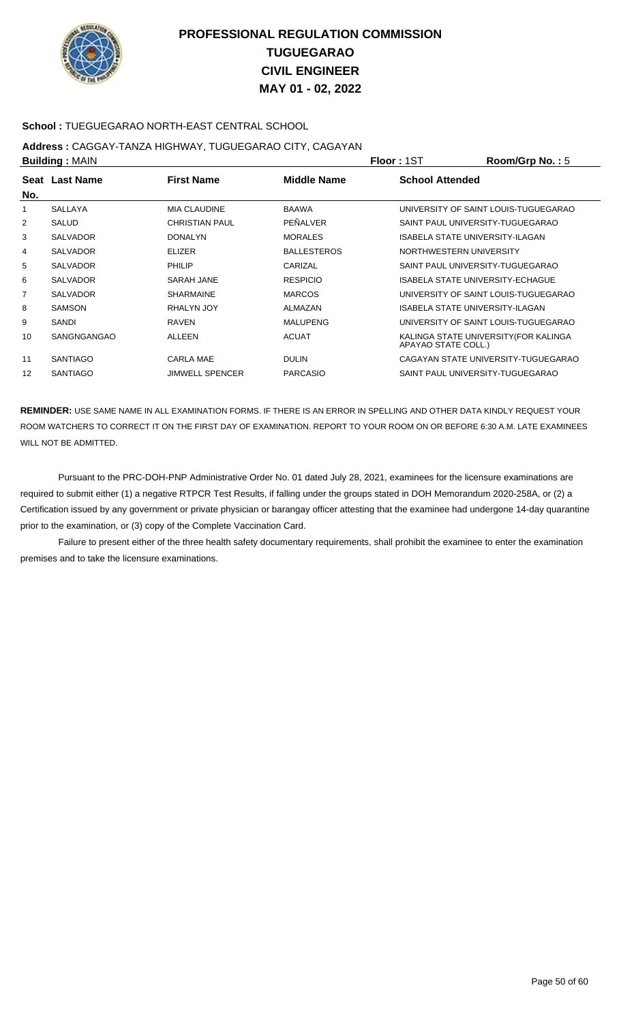

### **School :** TUEGUEGARAO NORTH-EAST CENTRAL SCHOOL

## **Address :** CAGGAY-TANZA HIGHWAY, TUGUEGARAO CITY, CAGAYAN

| <b>Building: MAIN</b> |                 |                        |                    | <b>Floor: 1ST</b>      | Room/Grp No.: 5                       |
|-----------------------|-----------------|------------------------|--------------------|------------------------|---------------------------------------|
|                       | Seat Last Name  | <b>First Name</b>      | <b>Middle Name</b> | <b>School Attended</b> |                                       |
| No.                   |                 |                        |                    |                        |                                       |
| 1                     | <b>SALLAYA</b>  | <b>MIA CLAUDINE</b>    | <b>BAAWA</b>       |                        | UNIVERSITY OF SAINT LOUIS-TUGUEGARAO  |
| 2                     | <b>SALUD</b>    | <b>CHRISTIAN PAUL</b>  | PEÑALVER           |                        | SAINT PAUL UNIVERSITY-TUGUEGARAO      |
| 3                     | <b>SALVADOR</b> | <b>DONALYN</b>         | <b>MORALES</b>     |                        | ISABELA STATE UNIVERSITY-ILAGAN       |
| 4                     | <b>SALVADOR</b> | <b>ELIZER</b>          | <b>BALLESTEROS</b> |                        | NORTHWESTERN UNIVERSITY               |
| 5                     | <b>SALVADOR</b> | PHILIP                 | CARIZAL            |                        | SAINT PAUL UNIVERSITY-TUGUEGARAO      |
| 6                     | <b>SALVADOR</b> | SARAH JANE             | <b>RESPICIO</b>    |                        | ISABELA STATE UNIVERSITY-ECHAGUE      |
| $\overline{7}$        | <b>SALVADOR</b> | <b>SHARMAINE</b>       | <b>MARCOS</b>      |                        | UNIVERSITY OF SAINT LOUIS-TUGUEGARAO  |
| 8                     | <b>SAMSON</b>   | RHALYN JOY             | ALMAZAN            |                        | ISABELA STATE UNIVERSITY-ILAGAN       |
| 9                     | SANDI           | <b>RAVEN</b>           | <b>MALUPENG</b>    |                        | UNIVERSITY OF SAINT LOUIS-TUGUEGARAO  |
| 10                    | SANGNGANGAO     | <b>ALLEEN</b>          | <b>ACUAT</b>       | APAYAO STATE COLL.)    | KALINGA STATE UNIVERSITY (FOR KALINGA |
| 11                    | <b>SANTIAGO</b> | CARLA MAE              | <b>DULIN</b>       |                        | CAGAYAN STATE UNIVERSITY-TUGUEGARAO   |
| 12                    | <b>SANTIAGO</b> | <b>JIMWELL SPENCER</b> | <b>PARCASIO</b>    |                        | SAINT PAUL UNIVERSITY-TUGUEGARAO      |

**REMINDER:** USE SAME NAME IN ALL EXAMINATION FORMS. IF THERE IS AN ERROR IN SPELLING AND OTHER DATA KINDLY REQUEST YOUR ROOM WATCHERS TO CORRECT IT ON THE FIRST DAY OF EXAMINATION. REPORT TO YOUR ROOM ON OR BEFORE 6:30 A.M. LATE EXAMINEES WILL NOT BE ADMITTED.

 Pursuant to the PRC-DOH-PNP Administrative Order No. 01 dated July 28, 2021, examinees for the licensure examinations are required to submit either (1) a negative RTPCR Test Results, if falling under the groups stated in DOH Memorandum 2020-258A, or (2) a Certification issued by any government or private physician or barangay officer attesting that the examinee had undergone 14-day quarantine prior to the examination, or (3) copy of the Complete Vaccination Card.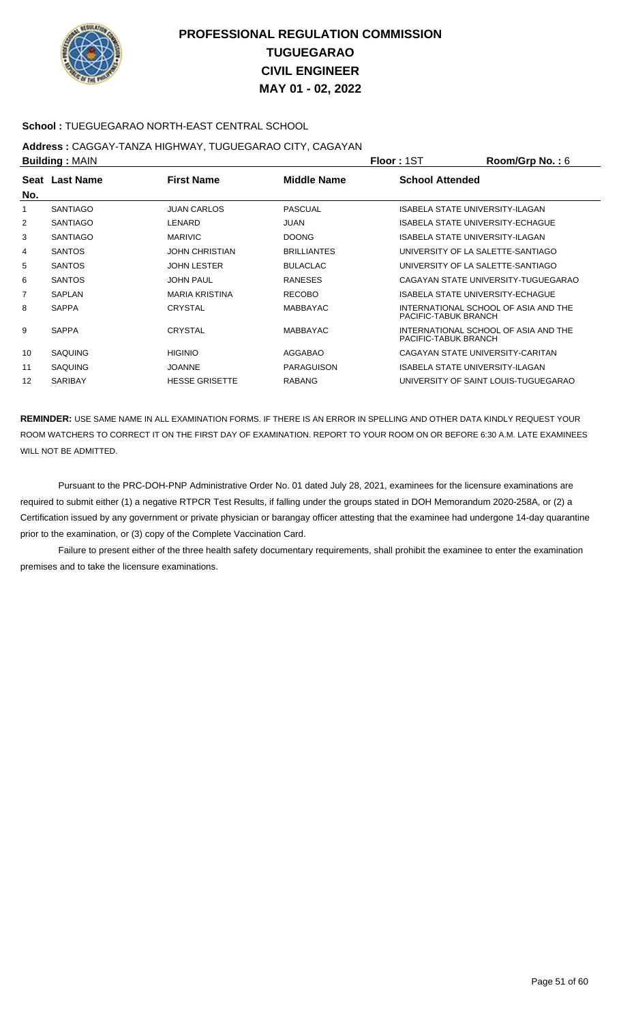

### **School :** TUEGUEGARAO NORTH-EAST CENTRAL SCHOOL

## **Address :** CAGGAY-TANZA HIGHWAY, TUGUEGARAO CITY, CAGAYAN

| <b>Building: MAIN</b> |                       | <b>Floor: 1ST</b>  | Room/Grp No.: $6$      |                                         |
|-----------------------|-----------------------|--------------------|------------------------|-----------------------------------------|
| Seat Last Name        | <b>First Name</b>     | <b>Middle Name</b> | <b>School Attended</b> |                                         |
|                       |                       |                    |                        |                                         |
| <b>SANTIAGO</b>       | <b>JUAN CARLOS</b>    | <b>PASCUAL</b>     |                        | ISABELA STATE UNIVERSITY-ILAGAN         |
| <b>SANTIAGO</b>       | LENARD                | JUAN               |                        | <b>ISABELA STATE UNIVERSITY-ECHAGUE</b> |
| <b>SANTIAGO</b>       | <b>MARIVIC</b>        | <b>DOONG</b>       |                        | ISABELA STATE UNIVERSITY-ILAGAN         |
| <b>SANTOS</b>         | <b>JOHN CHRISTIAN</b> | <b>BRILLIANTES</b> |                        | UNIVERSITY OF LA SALETTE-SANTIAGO       |
| <b>SANTOS</b>         | <b>JOHN LESTER</b>    | <b>BULACLAC</b>    |                        | UNIVERSITY OF LA SALETTE-SANTIAGO       |
| <b>SANTOS</b>         | <b>JOHN PAUL</b>      | <b>RANESES</b>     |                        | CAGAYAN STATE UNIVERSITY-TUGUEGARAO     |
| SAPLAN                | <b>MARIA KRISTINA</b> | <b>RECOBO</b>      |                        | <b>ISABELA STATE UNIVERSITY-ECHAGUE</b> |
| <b>SAPPA</b>          | CRYSTAL               | <b>MABBAYAC</b>    | PACIFIC-TABUK BRANCH   | INTERNATIONAL SCHOOL OF ASIA AND THE    |
| <b>SAPPA</b>          | <b>CRYSTAL</b>        | <b>MABBAYAC</b>    | PACIFIC-TABUK BRANCH   | INTERNATIONAL SCHOOL OF ASIA AND THE    |
| <b>SAQUING</b>        | <b>HIGINIO</b>        | AGGABAO            |                        | CAGAYAN STATE UNIVERSITY-CARITAN        |
| <b>SAQUING</b>        | <b>JOANNE</b>         | <b>PARAGUISON</b>  |                        | ISABELA STATE UNIVERSITY-ILAGAN         |
| <b>SARIBAY</b>        | <b>HESSE GRISETTE</b> | <b>RABANG</b>      |                        | UNIVERSITY OF SAINT LOUIS-TUGUEGARAO    |
|                       |                       |                    |                        |                                         |

**REMINDER:** USE SAME NAME IN ALL EXAMINATION FORMS. IF THERE IS AN ERROR IN SPELLING AND OTHER DATA KINDLY REQUEST YOUR ROOM WATCHERS TO CORRECT IT ON THE FIRST DAY OF EXAMINATION. REPORT TO YOUR ROOM ON OR BEFORE 6:30 A.M. LATE EXAMINEES WILL NOT BE ADMITTED.

 Pursuant to the PRC-DOH-PNP Administrative Order No. 01 dated July 28, 2021, examinees for the licensure examinations are required to submit either (1) a negative RTPCR Test Results, if falling under the groups stated in DOH Memorandum 2020-258A, or (2) a Certification issued by any government or private physician or barangay officer attesting that the examinee had undergone 14-day quarantine prior to the examination, or (3) copy of the Complete Vaccination Card.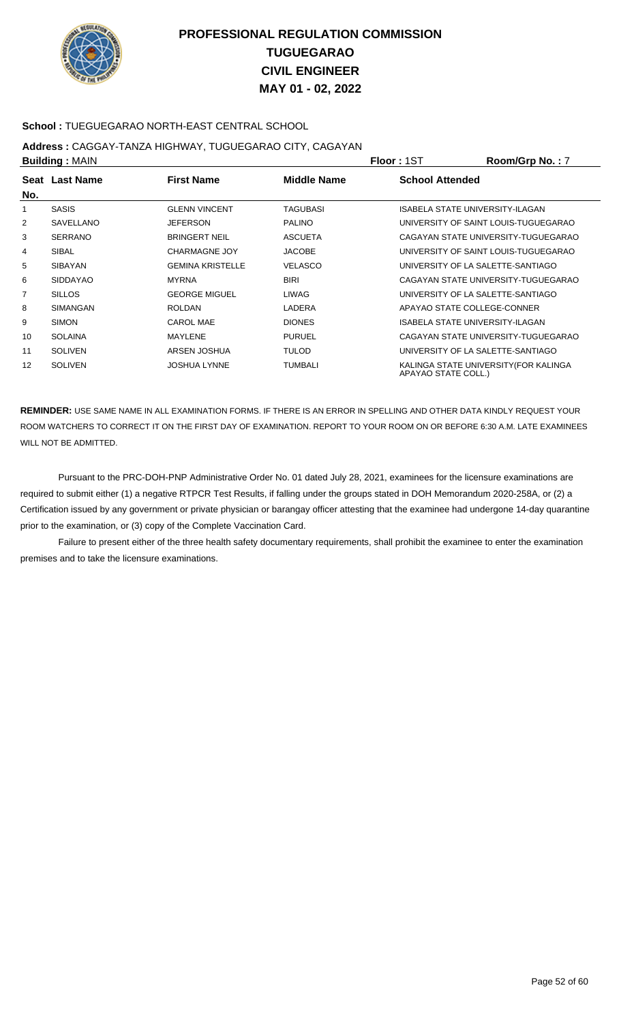

### **School :** TUEGUEGARAO NORTH-EAST CENTRAL SCHOOL

## **Address :** CAGGAY-TANZA HIGHWAY, TUGUEGARAO CITY, CAGAYAN

| <b>Building: MAIN</b> |                 |                         |                 | <b>Floor: 1ST</b>      | Room/Grp No.: 7                       |
|-----------------------|-----------------|-------------------------|-----------------|------------------------|---------------------------------------|
| No.                   | Seat Last Name  | <b>First Name</b>       | Middle Name     | <b>School Attended</b> |                                       |
| 1                     | <b>SASIS</b>    | <b>GLENN VINCENT</b>    | <b>TAGUBASI</b> |                        | ISABELA STATE UNIVERSITY-ILAGAN       |
| 2                     | SAVELLANO       | <b>JEFERSON</b>         | <b>PALINO</b>   |                        | UNIVERSITY OF SAINT LOUIS-TUGUEGARAO  |
| 3                     | <b>SERRANO</b>  | <b>BRINGERT NEIL</b>    | <b>ASCUETA</b>  |                        | CAGAYAN STATE UNIVERSITY-TUGUEGARAO   |
| 4                     | <b>SIBAL</b>    | <b>CHARMAGNE JOY</b>    | <b>JACOBE</b>   |                        | UNIVERSITY OF SAINT LOUIS-TUGUEGARAO  |
| 5                     | <b>SIBAYAN</b>  | <b>GEMINA KRISTELLE</b> | <b>VELASCO</b>  |                        | UNIVERSITY OF LA SALETTE-SANTIAGO     |
| 6                     | <b>SIDDAYAO</b> | <b>MYRNA</b>            | <b>BIRI</b>     |                        | CAGAYAN STATE UNIVERSITY-TUGUEGARAO   |
| 7                     | <b>SILLOS</b>   | <b>GEORGE MIGUEL</b>    | LIWAG           |                        | UNIVERSITY OF LA SALETTE-SANTIAGO     |
| 8                     | <b>SIMANGAN</b> | <b>ROLDAN</b>           | LADERA          |                        | APAYAO STATE COLLEGE-CONNER           |
| 9                     | <b>SIMON</b>    | <b>CAROL MAE</b>        | <b>DIONES</b>   |                        | ISABELA STATE UNIVERSITY-ILAGAN       |
| 10                    | <b>SOLAINA</b>  | MAYLENE                 | <b>PURUEL</b>   |                        | CAGAYAN STATE UNIVERSITY-TUGUEGARAO   |
| 11                    | <b>SOLIVEN</b>  | ARSEN JOSHUA            | <b>TULOD</b>    |                        | UNIVERSITY OF LA SALETTE-SANTIAGO     |
| 12                    | <b>SOLIVEN</b>  | <b>JOSHUA LYNNE</b>     | <b>TUMBALI</b>  | APAYAO STATE COLL.)    | KALINGA STATE UNIVERSITY (FOR KALINGA |

**REMINDER:** USE SAME NAME IN ALL EXAMINATION FORMS. IF THERE IS AN ERROR IN SPELLING AND OTHER DATA KINDLY REQUEST YOUR ROOM WATCHERS TO CORRECT IT ON THE FIRST DAY OF EXAMINATION. REPORT TO YOUR ROOM ON OR BEFORE 6:30 A.M. LATE EXAMINEES WILL NOT BE ADMITTED.

 Pursuant to the PRC-DOH-PNP Administrative Order No. 01 dated July 28, 2021, examinees for the licensure examinations are required to submit either (1) a negative RTPCR Test Results, if falling under the groups stated in DOH Memorandum 2020-258A, or (2) a Certification issued by any government or private physician or barangay officer attesting that the examinee had undergone 14-day quarantine prior to the examination, or (3) copy of the Complete Vaccination Card.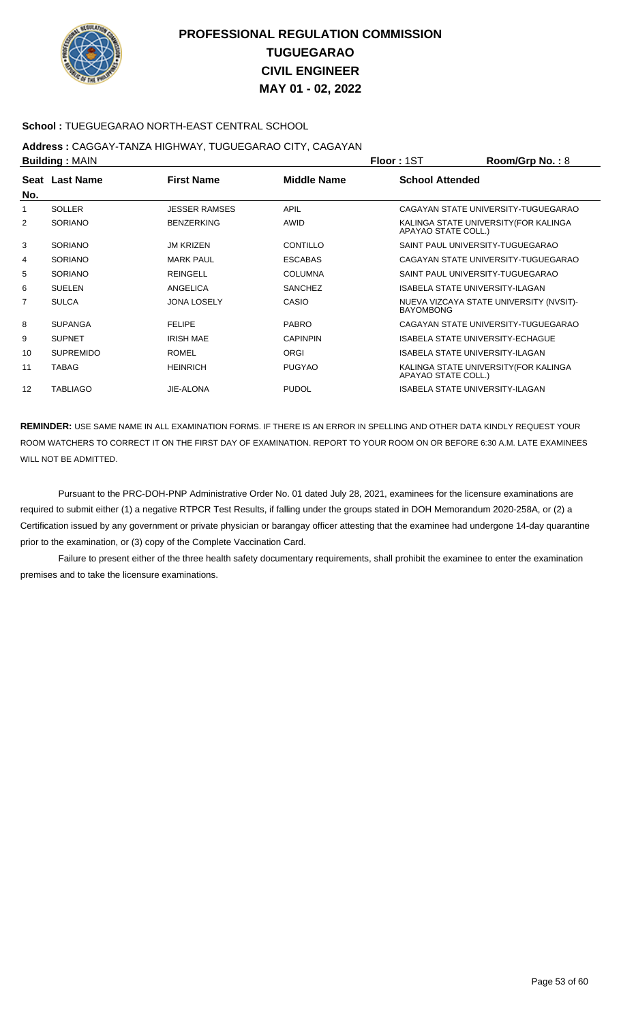

### **School :** TUEGUEGARAO NORTH-EAST CENTRAL SCHOOL

## **Address :** CAGGAY-TANZA HIGHWAY, TUGUEGARAO CITY, CAGAYAN

| Room/Grp No.: 8                         |
|-----------------------------------------|
|                                         |
| CAGAYAN STATE UNIVERSITY-TUGUEGARAO     |
| KALINGA STATE UNIVERSITY (FOR KALINGA   |
| SAINT PAUL UNIVERSITY-TUGUEGARAO        |
| CAGAYAN STATE UNIVERSITY-TUGUEGARAO     |
| SAINT PAUL UNIVERSITY-TUGUEGARAO        |
| <b>ISABELA STATE UNIVERSITY-ILAGAN</b>  |
| NUEVA VIZCAYA STATE UNIVERSITY (NVSIT)- |
| CAGAYAN STATE UNIVERSITY-TUGUEGARAO     |
| <b>ISABELA STATE UNIVERSITY-ECHAGUE</b> |
| <b>ISABELA STATE UNIVERSITY-ILAGAN</b>  |
| KALINGA STATE UNIVERSITY (FOR KALINGA   |
| <b>ISABELA STATE UNIVERSITY-ILAGAN</b>  |
|                                         |

**REMINDER:** USE SAME NAME IN ALL EXAMINATION FORMS. IF THERE IS AN ERROR IN SPELLING AND OTHER DATA KINDLY REQUEST YOUR ROOM WATCHERS TO CORRECT IT ON THE FIRST DAY OF EXAMINATION. REPORT TO YOUR ROOM ON OR BEFORE 6:30 A.M. LATE EXAMINEES WILL NOT BE ADMITTED.

 Pursuant to the PRC-DOH-PNP Administrative Order No. 01 dated July 28, 2021, examinees for the licensure examinations are required to submit either (1) a negative RTPCR Test Results, if falling under the groups stated in DOH Memorandum 2020-258A, or (2) a Certification issued by any government or private physician or barangay officer attesting that the examinee had undergone 14-day quarantine prior to the examination, or (3) copy of the Complete Vaccination Card.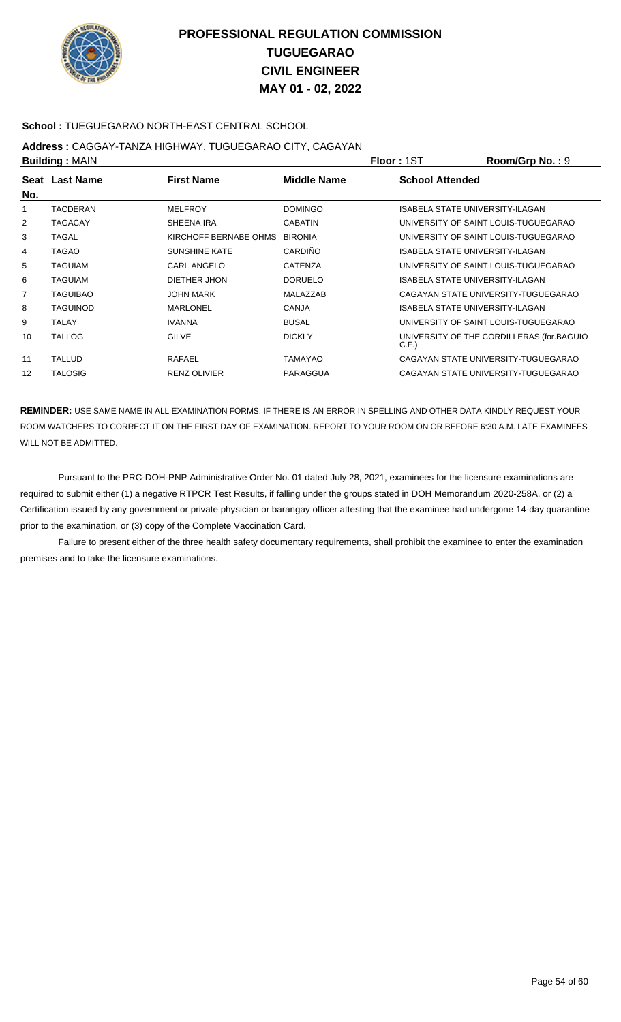

### **School :** TUEGUEGARAO NORTH-EAST CENTRAL SCHOOL

## **Address :** CAGGAY-TANZA HIGHWAY, TUGUEGARAO CITY, CAGAYAN

| <b>Building: MAIN</b> |                 |                       | <b>Floor: 1ST</b> | Room/Grp No.: 9        |                                           |
|-----------------------|-----------------|-----------------------|-------------------|------------------------|-------------------------------------------|
| No.                   | Seat Last Name  | <b>First Name</b>     | Middle Name       | <b>School Attended</b> |                                           |
| 1                     | TACDERAN        | <b>MELFROY</b>        | <b>DOMINGO</b>    |                        | ISABELA STATE UNIVERSITY-ILAGAN           |
| 2                     | <b>TAGACAY</b>  | SHEENA IRA            | <b>CABATIN</b>    |                        | UNIVERSITY OF SAINT LOUIS-TUGUEGARAO      |
| 3                     | TAGAL           | KIRCHOFF BERNABE OHMS | <b>BIRONIA</b>    |                        | UNIVERSITY OF SAINT LOUIS-TUGUEGARAO      |
| 4                     | TAGAO           | <b>SUNSHINE KATE</b>  | <b>CARDIÑO</b>    |                        | ISABELA STATE UNIVERSITY-ILAGAN           |
| 5                     | <b>TAGUIAM</b>  | CARL ANGELO           | <b>CATENZA</b>    |                        | UNIVERSITY OF SAINT LOUIS-TUGUEGARAO      |
| 6                     | <b>TAGUIAM</b>  | DIETHER JHON          | <b>DORUELO</b>    |                        | ISABELA STATE UNIVERSITY-ILAGAN           |
| 7                     | TAGUIBAO        | <b>JOHN MARK</b>      | MALAZZAB          |                        | CAGAYAN STATE UNIVERSITY-TUGUEGARAO       |
| 8                     | <b>TAGUINOD</b> | <b>MARLONEL</b>       | <b>CANJA</b>      |                        | ISABELA STATE UNIVERSITY-ILAGAN           |
| 9                     | <b>TALAY</b>    | <b>IVANNA</b>         | <b>BUSAL</b>      |                        | UNIVERSITY OF SAINT LOUIS-TUGUEGARAO      |
| 10                    | <b>TALLOG</b>   | <b>GILVE</b>          | <b>DICKLY</b>     | C.F.                   | UNIVERSITY OF THE CORDILLERAS (for BAGUIO |
| 11                    | <b>TALLUD</b>   | RAFAEL                | <b>TAMAYAO</b>    |                        | CAGAYAN STATE UNIVERSITY-TUGUEGARAO       |
| 12                    | <b>TALOSIG</b>  | <b>RENZ OLIVIER</b>   | PARAGGUA          |                        | CAGAYAN STATE UNIVERSITY-TUGUEGARAO       |

**REMINDER:** USE SAME NAME IN ALL EXAMINATION FORMS. IF THERE IS AN ERROR IN SPELLING AND OTHER DATA KINDLY REQUEST YOUR ROOM WATCHERS TO CORRECT IT ON THE FIRST DAY OF EXAMINATION. REPORT TO YOUR ROOM ON OR BEFORE 6:30 A.M. LATE EXAMINEES WILL NOT BE ADMITTED.

 Pursuant to the PRC-DOH-PNP Administrative Order No. 01 dated July 28, 2021, examinees for the licensure examinations are required to submit either (1) a negative RTPCR Test Results, if falling under the groups stated in DOH Memorandum 2020-258A, or (2) a Certification issued by any government or private physician or barangay officer attesting that the examinee had undergone 14-day quarantine prior to the examination, or (3) copy of the Complete Vaccination Card.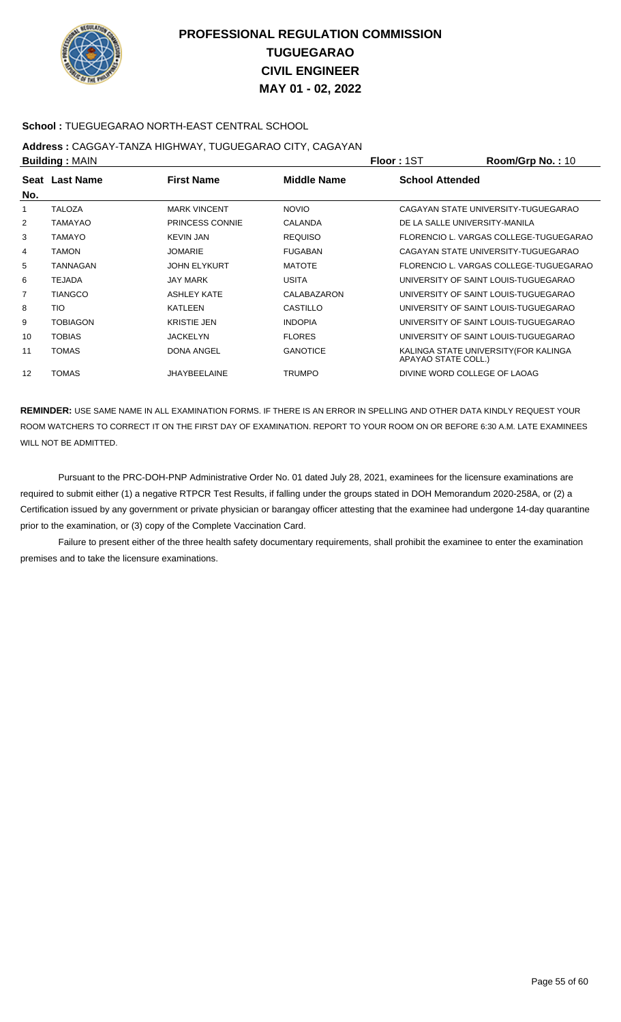

### **School :** TUEGUEGARAO NORTH-EAST CENTRAL SCHOOL

## **Address :** CAGGAY-TANZA HIGHWAY, TUGUEGARAO CITY, CAGAYAN

| <b>Building: MAIN</b> |                 |                     |                 | <b>Floor: 1ST</b>             | Room/Grp No.: 10                       |
|-----------------------|-----------------|---------------------|-----------------|-------------------------------|----------------------------------------|
| No.                   | Seat Last Name  | <b>First Name</b>   | Middle Name     | <b>School Attended</b>        |                                        |
| 1                     | <b>TALOZA</b>   | <b>MARK VINCENT</b> | <b>NOVIO</b>    |                               | CAGAYAN STATE UNIVERSITY-TUGUEGARAO    |
| 2                     | TAMAYAO         | PRINCESS CONNIE     | CALANDA         | DE LA SALLE UNIVERSITY-MANILA |                                        |
| 3                     | <b>TAMAYO</b>   | <b>KEVIN JAN</b>    | <b>REQUISO</b>  |                               | FLORENCIO L. VARGAS COLLEGE-TUGUEGARAO |
| 4                     | <b>TAMON</b>    | <b>JOMARIE</b>      | <b>FUGABAN</b>  |                               | CAGAYAN STATE UNIVERSITY-TUGUEGARAO    |
| 5                     | TANNAGAN        | <b>JOHN ELYKURT</b> | <b>MATOTE</b>   |                               | FLORENCIO L. VARGAS COLLEGE-TUGUEGARAO |
| 6                     | TEJADA          | <b>JAY MARK</b>     | <b>USITA</b>    |                               | UNIVERSITY OF SAINT LOUIS-TUGUEGARAO   |
| 7                     | <b>TIANGCO</b>  | ASHLEY KATE         | CALABAZARON     |                               | UNIVERSITY OF SAINT LOUIS-TUGUEGARAO   |
| 8                     | TIO             | <b>KATLEEN</b>      | CASTILLO        |                               | UNIVERSITY OF SAINT LOUIS-TUGUEGARAO   |
| 9                     | <b>TOBIAGON</b> | <b>KRISTIE JEN</b>  | <b>INDOPIA</b>  |                               | UNIVERSITY OF SAINT LOUIS-TUGUEGARAO   |
| 10                    | <b>TOBIAS</b>   | <b>JACKELYN</b>     | <b>FLORES</b>   |                               | UNIVERSITY OF SAINT LOUIS-TUGUEGARAO   |
| 11                    | TOMAS           | <b>DONA ANGEL</b>   | <b>GANOTICE</b> | APAYAO STATE COLL.)           | KALINGA STATE UNIVERSITY (FOR KALINGA  |
| 12                    | <b>TOMAS</b>    | <b>JHAYBEELAINE</b> | TRUMPO          | DIVINE WORD COLLEGE OF LAOAG  |                                        |

**REMINDER:** USE SAME NAME IN ALL EXAMINATION FORMS. IF THERE IS AN ERROR IN SPELLING AND OTHER DATA KINDLY REQUEST YOUR ROOM WATCHERS TO CORRECT IT ON THE FIRST DAY OF EXAMINATION. REPORT TO YOUR ROOM ON OR BEFORE 6:30 A.M. LATE EXAMINEES WILL NOT BE ADMITTED.

 Pursuant to the PRC-DOH-PNP Administrative Order No. 01 dated July 28, 2021, examinees for the licensure examinations are required to submit either (1) a negative RTPCR Test Results, if falling under the groups stated in DOH Memorandum 2020-258A, or (2) a Certification issued by any government or private physician or barangay officer attesting that the examinee had undergone 14-day quarantine prior to the examination, or (3) copy of the Complete Vaccination Card.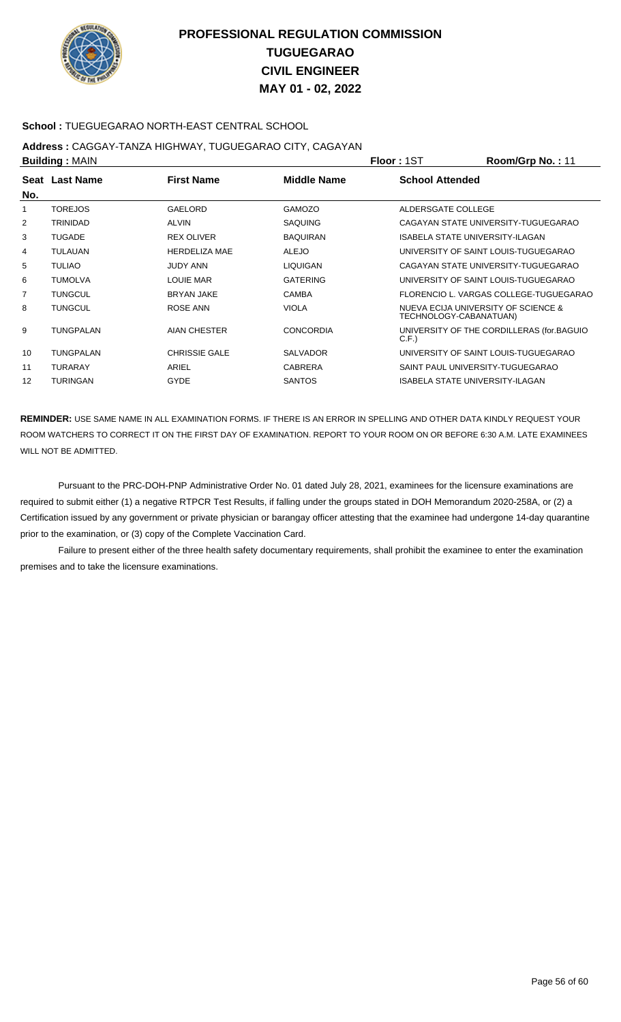

### **School :** TUEGUEGARAO NORTH-EAST CENTRAL SCHOOL

## **Address :** CAGGAY-TANZA HIGHWAY, TUGUEGARAO CITY, CAGAYAN

| <b>Building: MAIN</b> |                 |                      |                    | <b>Floor: 1ST</b>                                             | Room/Grp No.: 11                          |
|-----------------------|-----------------|----------------------|--------------------|---------------------------------------------------------------|-------------------------------------------|
| No.                   | Seat Last Name  | <b>First Name</b>    | <b>Middle Name</b> | <b>School Attended</b>                                        |                                           |
|                       | <b>TOREJOS</b>  | GAELORD              | <b>GAMOZO</b>      | ALDERSGATE COLLEGE                                            |                                           |
| 2                     | <b>TRINIDAD</b> | <b>ALVIN</b>         | <b>SAQUING</b>     |                                                               | CAGAYAN STATE UNIVERSITY-TUGUEGARAO       |
| 3                     | <b>TUGADE</b>   | <b>REX OLIVER</b>    | <b>BAQUIRAN</b>    | ISABELA STATE UNIVERSITY-ILAGAN                               |                                           |
| 4                     | <b>TULAUAN</b>  | <b>HERDELIZA MAE</b> | <b>ALEJO</b>       |                                                               | UNIVERSITY OF SAINT LOUIS-TUGUEGARAO      |
| 5                     | <b>TULIAO</b>   | <b>JUDY ANN</b>      | <b>LIQUIGAN</b>    |                                                               | CAGAYAN STATE UNIVERSITY-TUGUEGARAO       |
| 6                     | <b>TUMOLVA</b>  | <b>LOUIE MAR</b>     | <b>GATERING</b>    |                                                               | UNIVERSITY OF SAINT LOUIS-TUGUEGARAO      |
| $\overline{7}$        | <b>TUNGCUL</b>  | <b>BRYAN JAKE</b>    | <b>CAMBA</b>       |                                                               | FLORENCIO L. VARGAS COLLEGE-TUGUEGARAO    |
| 8                     | <b>TUNGCUL</b>  | ROSE ANN             | <b>VIOLA</b>       | NUEVA ECIJA UNIVERSITY OF SCIENCE &<br>TECHNOLOGY-CABANATUAN) |                                           |
| 9                     | TUNGPALAN       | AIAN CHESTER         | <b>CONCORDIA</b>   | C.F.                                                          | UNIVERSITY OF THE CORDILLERAS (for.BAGUIO |
| 10                    | TUNGPALAN       | <b>CHRISSIE GALE</b> | <b>SALVADOR</b>    |                                                               | UNIVERSITY OF SAINT LOUIS-TUGUEGARAO      |
| 11                    | <b>TURARAY</b>  | ARIEL                | <b>CABRERA</b>     | SAINT PAUL UNIVERSITY-TUGUEGARAO                              |                                           |
| 12                    | <b>TURINGAN</b> | <b>GYDE</b>          | <b>SANTOS</b>      | ISABELA STATE UNIVERSITY-ILAGAN                               |                                           |

**REMINDER:** USE SAME NAME IN ALL EXAMINATION FORMS. IF THERE IS AN ERROR IN SPELLING AND OTHER DATA KINDLY REQUEST YOUR ROOM WATCHERS TO CORRECT IT ON THE FIRST DAY OF EXAMINATION. REPORT TO YOUR ROOM ON OR BEFORE 6:30 A.M. LATE EXAMINEES WILL NOT BE ADMITTED.

 Pursuant to the PRC-DOH-PNP Administrative Order No. 01 dated July 28, 2021, examinees for the licensure examinations are required to submit either (1) a negative RTPCR Test Results, if falling under the groups stated in DOH Memorandum 2020-258A, or (2) a Certification issued by any government or private physician or barangay officer attesting that the examinee had undergone 14-day quarantine prior to the examination, or (3) copy of the Complete Vaccination Card.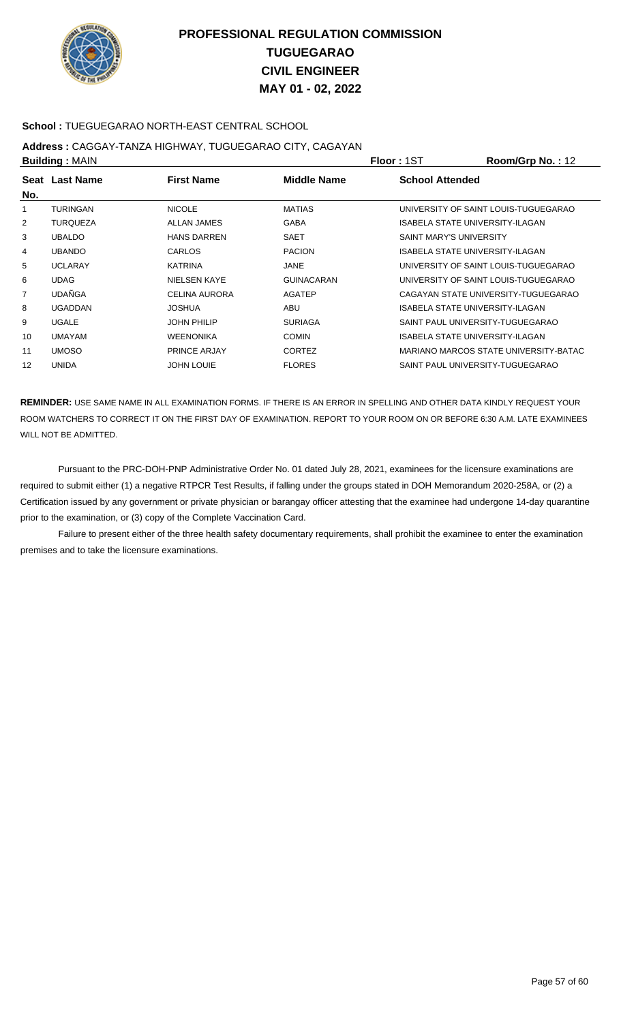

### **School :** TUEGUEGARAO NORTH-EAST CENTRAL SCHOOL

## **Address :** CAGGAY-TANZA HIGHWAY, TUGUEGARAO CITY, CAGAYAN

| <b>Building: MAIN</b> |                 |                      |                   | Floor: 1ST                     | Room/Grp No.: 12                      |
|-----------------------|-----------------|----------------------|-------------------|--------------------------------|---------------------------------------|
| No.                   | Seat Last Name  | <b>First Name</b>    | Middle Name       | <b>School Attended</b>         |                                       |
| 1                     | <b>TURINGAN</b> | <b>NICOLE</b>        | <b>MATIAS</b>     |                                | UNIVERSITY OF SAINT LOUIS-TUGUEGARAO  |
| 2                     | <b>TURQUEZA</b> | ALLAN JAMES          | <b>GABA</b>       |                                | ISABELA STATE UNIVERSITY-ILAGAN       |
| 3                     | <b>UBALDO</b>   | <b>HANS DARREN</b>   | SAET              | <b>SAINT MARY'S UNIVERSITY</b> |                                       |
| 4                     | <b>UBANDO</b>   | CARLOS               | <b>PACION</b>     |                                | ISABELA STATE UNIVERSITY-ILAGAN       |
| 5                     | <b>UCLARAY</b>  | <b>KATRINA</b>       | JANE              |                                | UNIVERSITY OF SAINT LOUIS-TUGUEGARAO  |
| 6                     | <b>UDAG</b>     | <b>NIELSEN KAYE</b>  | <b>GUINACARAN</b> |                                | UNIVERSITY OF SAINT LOUIS-TUGUEGARAO  |
| 7                     | <b>UDAÑGA</b>   | <b>CELINA AURORA</b> | <b>AGATEP</b>     |                                | CAGAYAN STATE UNIVERSITY-TUGUEGARAO   |
| 8                     | <b>UGADDAN</b>  | <b>JOSHUA</b>        | <b>ABU</b>        |                                | ISABELA STATE UNIVERSITY-ILAGAN       |
| 9                     | <b>UGALE</b>    | <b>JOHN PHILIP</b>   | <b>SURIAGA</b>    |                                | SAINT PAUL UNIVERSITY-TUGUEGARAO      |
| 10                    | <b>UMAYAM</b>   | <b>WEENONIKA</b>     | <b>COMIN</b>      |                                | ISABELA STATE UNIVERSITY-ILAGAN       |
| 11                    | <b>UMOSO</b>    | <b>PRINCE ARJAY</b>  | <b>CORTEZ</b>     |                                | MARIANO MARCOS STATE UNIVERSITY-BATAC |
| 12                    | <b>UNIDA</b>    | <b>JOHN LOUIE</b>    | <b>FLORES</b>     |                                | SAINT PAUL UNIVERSITY-TUGUEGARAO      |

**REMINDER:** USE SAME NAME IN ALL EXAMINATION FORMS. IF THERE IS AN ERROR IN SPELLING AND OTHER DATA KINDLY REQUEST YOUR ROOM WATCHERS TO CORRECT IT ON THE FIRST DAY OF EXAMINATION. REPORT TO YOUR ROOM ON OR BEFORE 6:30 A.M. LATE EXAMINEES WILL NOT BE ADMITTED.

 Pursuant to the PRC-DOH-PNP Administrative Order No. 01 dated July 28, 2021, examinees for the licensure examinations are required to submit either (1) a negative RTPCR Test Results, if falling under the groups stated in DOH Memorandum 2020-258A, or (2) a Certification issued by any government or private physician or barangay officer attesting that the examinee had undergone 14-day quarantine prior to the examination, or (3) copy of the Complete Vaccination Card.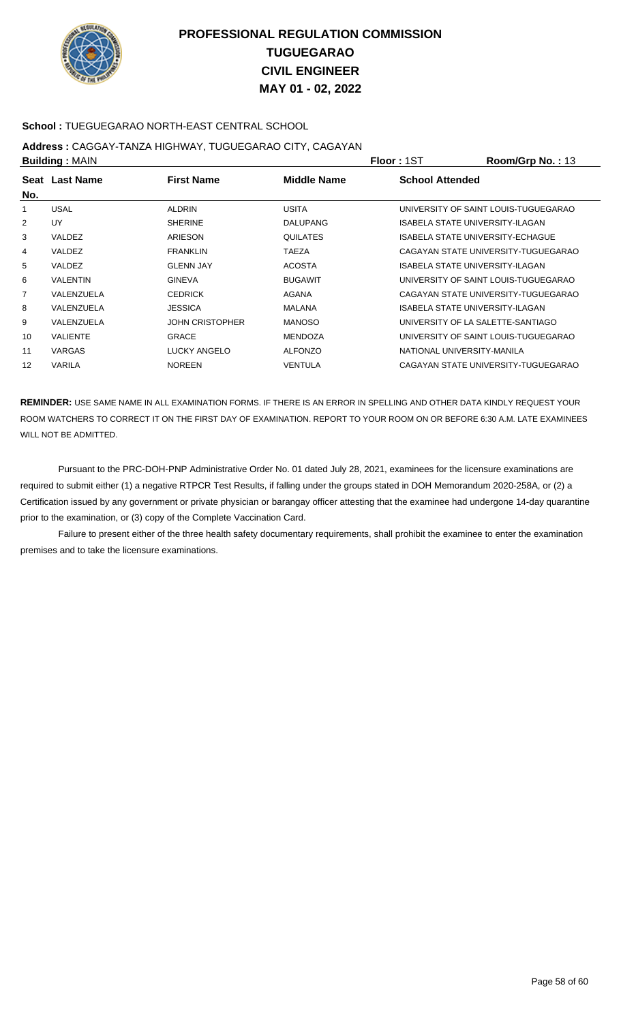

### **School :** TUEGUEGARAO NORTH-EAST CENTRAL SCHOOL

## **Address :** CAGGAY-TANZA HIGHWAY, TUGUEGARAO CITY, CAGAYAN

| <b>Building: MAIN</b> |                 |                        | <b>Floor: 1ST</b> | Room/Grp No.: 13       |                                      |
|-----------------------|-----------------|------------------------|-------------------|------------------------|--------------------------------------|
| No.                   | Seat Last Name  | <b>First Name</b>      | Middle Name       | <b>School Attended</b> |                                      |
|                       | <b>USAL</b>     | <b>ALDRIN</b>          | <b>USITA</b>      |                        | UNIVERSITY OF SAINT LOUIS-TUGUEGARAO |
| $\overline{2}$        | UY              | <b>SHERINE</b>         | <b>DALUPANG</b>   |                        | ISABELA STATE UNIVERSITY-ILAGAN      |
| 3                     | VALDEZ          | ARIESON                | <b>QUILATES</b>   |                        | ISABELA STATE UNIVERSITY-ECHAGUE     |
| 4                     | VALDEZ          | <b>FRANKLIN</b>        | <b>TAEZA</b>      |                        | CAGAYAN STATE UNIVERSITY-TUGUEGARAO  |
| 5                     | VALDEZ          | <b>GLENN JAY</b>       | <b>ACOSTA</b>     |                        | ISABELA STATE UNIVERSITY-ILAGAN      |
| 6                     | <b>VALENTIN</b> | <b>GINEVA</b>          | <b>BUGAWIT</b>    |                        | UNIVERSITY OF SAINT LOUIS-TUGUEGARAO |
| $\overline{7}$        | VALENZUELA      | <b>CEDRICK</b>         | <b>AGANA</b>      |                        | CAGAYAN STATE UNIVERSITY-TUGUEGARAO  |
| 8                     | VALENZUELA      | <b>JESSICA</b>         | <b>MALANA</b>     |                        | ISABELA STATE UNIVERSITY-ILAGAN      |
| 9                     | VALENZUELA      | <b>JOHN CRISTOPHER</b> | <b>MANOSO</b>     |                        | UNIVERSITY OF LA SALETTE-SANTIAGO    |
| 10                    | <b>VALIENTE</b> | <b>GRACE</b>           | <b>MENDOZA</b>    |                        | UNIVERSITY OF SAINT LOUIS-TUGUEGARAO |
| 11                    | <b>VARGAS</b>   | LUCKY ANGELO           | <b>ALFONZO</b>    |                        | NATIONAL UNIVERSITY-MANILA           |
| 12                    | <b>VARILA</b>   | <b>NOREEN</b>          | VENTULA           |                        | CAGAYAN STATE UNIVERSITY-TUGUEGARAO  |

**REMINDER:** USE SAME NAME IN ALL EXAMINATION FORMS. IF THERE IS AN ERROR IN SPELLING AND OTHER DATA KINDLY REQUEST YOUR ROOM WATCHERS TO CORRECT IT ON THE FIRST DAY OF EXAMINATION. REPORT TO YOUR ROOM ON OR BEFORE 6:30 A.M. LATE EXAMINEES WILL NOT BE ADMITTED.

 Pursuant to the PRC-DOH-PNP Administrative Order No. 01 dated July 28, 2021, examinees for the licensure examinations are required to submit either (1) a negative RTPCR Test Results, if falling under the groups stated in DOH Memorandum 2020-258A, or (2) a Certification issued by any government or private physician or barangay officer attesting that the examinee had undergone 14-day quarantine prior to the examination, or (3) copy of the Complete Vaccination Card.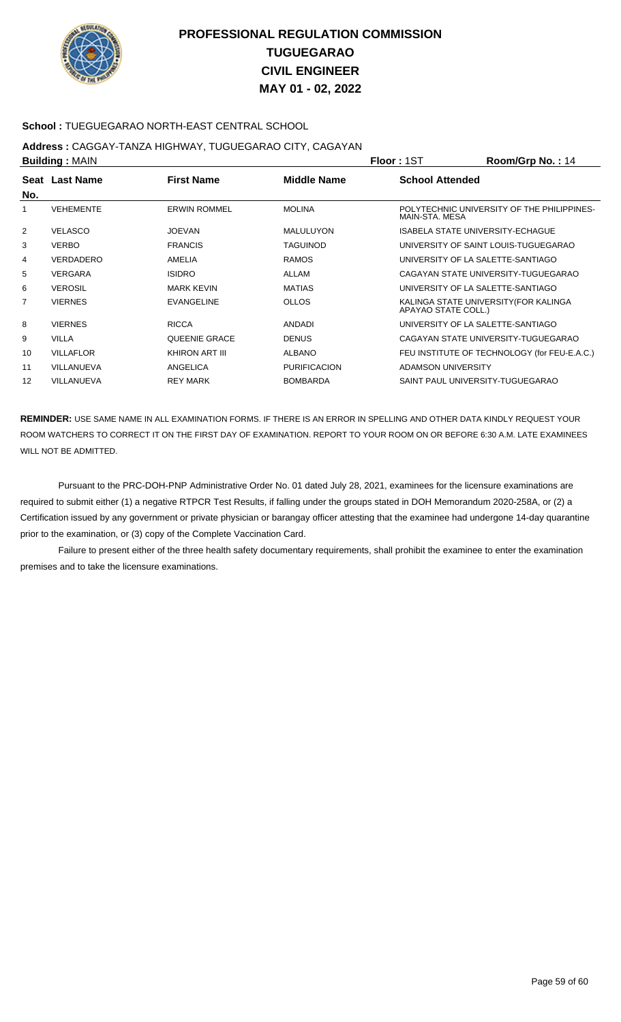

### **School :** TUEGUEGARAO NORTH-EAST CENTRAL SCHOOL

## **Address :** CAGGAY-TANZA HIGHWAY, TUGUEGARAO CITY, CAGAYAN

| <b>Building: MAIN</b> |                  |                      |                     | <b>Floor: 1ST</b>                 | Room/Grp No.: 14                             |
|-----------------------|------------------|----------------------|---------------------|-----------------------------------|----------------------------------------------|
| No.                   | Seat Last Name   | <b>First Name</b>    | Middle Name         | <b>School Attended</b>            |                                              |
|                       | <b>VEHEMENTE</b> | <b>ERWIN ROMMEL</b>  | <b>MOLINA</b>       | MAIN-STA, MESA                    | POLYTECHNIC UNIVERSITY OF THE PHILIPPINES-   |
| 2                     | <b>VELASCO</b>   | <b>JOEVAN</b>        | <b>MALULUYON</b>    | ISABELA STATE UNIVERSITY-ECHAGUE  |                                              |
| 3                     | <b>VERBO</b>     | <b>FRANCIS</b>       | <b>TAGUINOD</b>     |                                   | UNIVERSITY OF SAINT LOUIS-TUGUEGARAO         |
| 4                     | VERDADERO        | AMELIA               | <b>RAMOS</b>        | UNIVERSITY OF LA SALETTE-SANTIAGO |                                              |
| 5                     | <b>VERGARA</b>   | <b>ISIDRO</b>        | ALLAM               |                                   | CAGAYAN STATE UNIVERSITY-TUGUEGARAO          |
| 6                     | <b>VEROSIL</b>   | <b>MARK KEVIN</b>    | <b>MATIAS</b>       | UNIVERSITY OF LA SALETTE-SANTIAGO |                                              |
| 7                     | <b>VIERNES</b>   | <b>EVANGELINE</b>    | <b>OLLOS</b>        | APAYAO STATE COLL.)               | KALINGA STATE UNIVERSITY (FOR KALINGA        |
| 8                     | <b>VIERNES</b>   | <b>RICCA</b>         | <b>ANDADI</b>       | UNIVERSITY OF LA SALETTE-SANTIAGO |                                              |
| 9                     | <b>VILLA</b>     | <b>QUEENIE GRACE</b> | <b>DENUS</b>        |                                   | CAGAYAN STATE UNIVERSITY-TUGUEGARAO          |
| 10                    | <b>VILLAFLOR</b> | KHIRON ART III       | <b>ALBANO</b>       |                                   | FEU INSTITUTE OF TECHNOLOGY (for FEU-E.A.C.) |
| 11                    | VILLANUEVA       | ANGELICA             | <b>PURIFICACION</b> | ADAMSON UNIVERSITY                |                                              |
| 12                    | VILLANUEVA       | <b>REY MARK</b>      | <b>BOMBARDA</b>     | SAINT PAUL UNIVERSITY-TUGUEGARAO  |                                              |

**REMINDER:** USE SAME NAME IN ALL EXAMINATION FORMS. IF THERE IS AN ERROR IN SPELLING AND OTHER DATA KINDLY REQUEST YOUR ROOM WATCHERS TO CORRECT IT ON THE FIRST DAY OF EXAMINATION. REPORT TO YOUR ROOM ON OR BEFORE 6:30 A.M. LATE EXAMINEES WILL NOT BE ADMITTED.

 Pursuant to the PRC-DOH-PNP Administrative Order No. 01 dated July 28, 2021, examinees for the licensure examinations are required to submit either (1) a negative RTPCR Test Results, if falling under the groups stated in DOH Memorandum 2020-258A, or (2) a Certification issued by any government or private physician or barangay officer attesting that the examinee had undergone 14-day quarantine prior to the examination, or (3) copy of the Complete Vaccination Card.